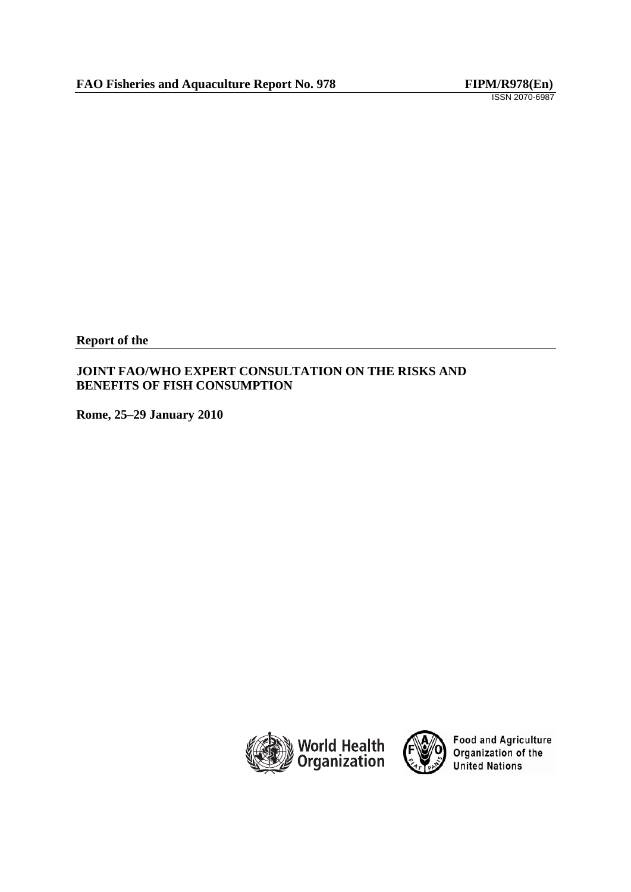**Report of the** 

# **JOINT FAO/WHO EXPERT CONSULTATION ON THE RISKS AND BENEFITS OF FISH CONSUMPTION**

**Rome, 25–29 January 2010** 





Food and Agriculture<br>Organization of the **United Nations**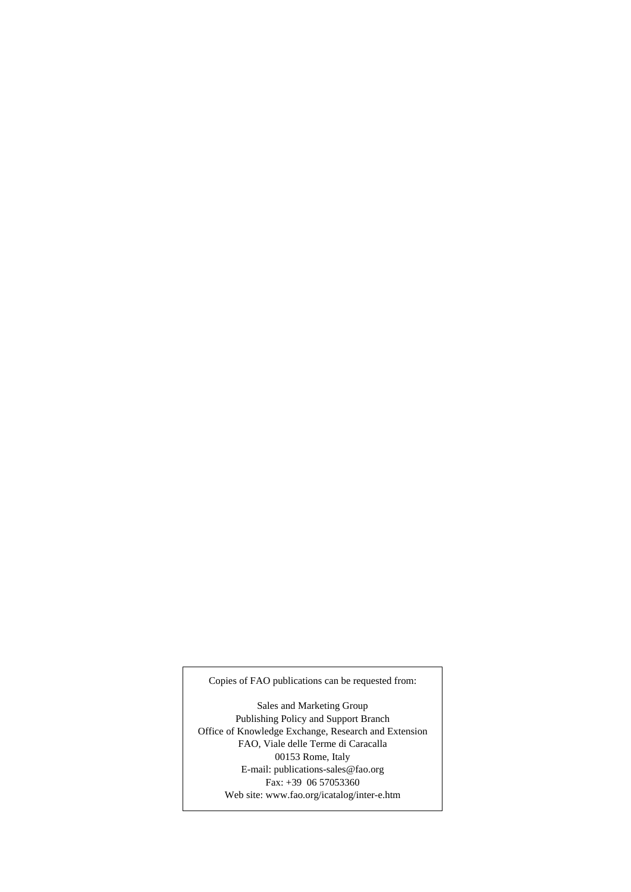Copies of FAO publications can be requested from:

Sales and Marketing Group Publishing Policy and Support Branch Office of Knowledge Exchange, Research and Extension FAO, Viale delle Terme di Caracalla 00153 Rome, Italy E-mail: publications-sales@fao.org Fax: +39 06 57053360 Web site: www.fao.org/icatalog/inter-e.htm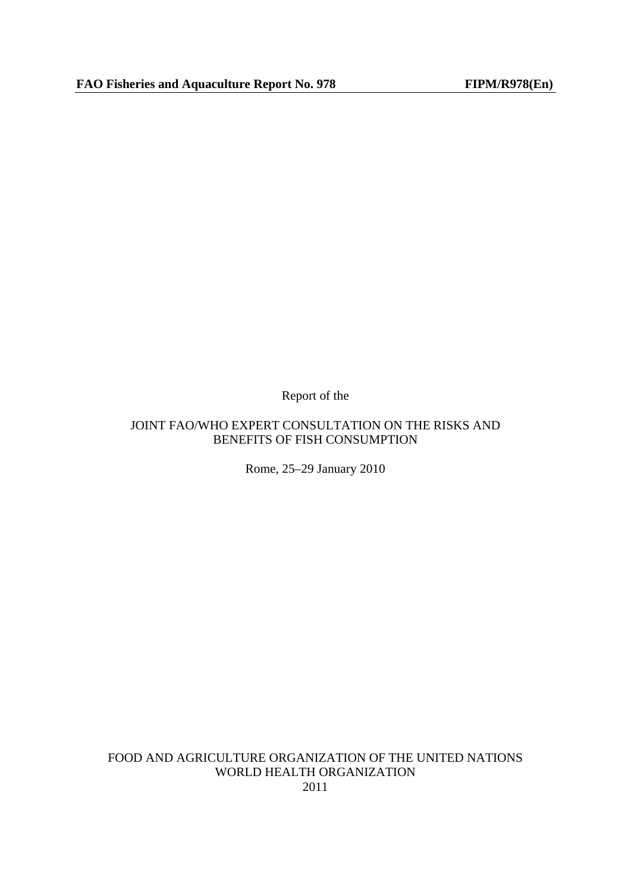Report of the

# JOINT FAO/WHO EXPERT CONSULTATION ON THE RISKS AND BENEFITS OF FISH CONSUMPTION

Rome, 25–29 January 2010

FOOD AND AGRICULTURE ORGANIZATION OF THE UNITED NATIONS WORLD HEALTH ORGANIZATION 2011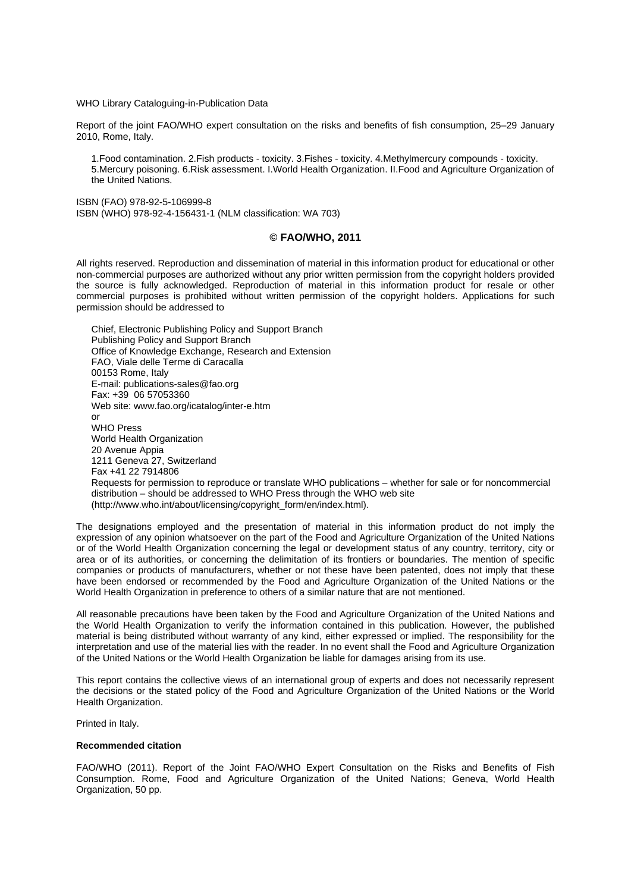WHO Library Cataloguing-in-Publication Data

Report of the joint FAO/WHO expert consultation on the risks and benefits of fish consumption, 25–29 January 2010, Rome, Italy.

1.Food contamination. 2.Fish products - toxicity. 3.Fishes - toxicity. 4.Methylmercury compounds - toxicity. 5.Mercury poisoning. 6.Risk assessment. I.World Health Organization. II.Food and Agriculture Organization of the United Nations.

ISBN (FAO) 978-92-5-106999-8 ISBN (WHO) 978-92-4-156431-1 (NLM classification: WA 703)

#### **© FAO/WHO, 2011**

All rights reserved. Reproduction and dissemination of material in this information product for educational or other non-commercial purposes are authorized without any prior written permission from the copyright holders provided the source is fully acknowledged. Reproduction of material in this information product for resale or other commercial purposes is prohibited without written permission of the copyright holders. Applications for such permission should be addressed to

Chief, Electronic Publishing Policy and Support Branch Publishing Policy and Support Branch Office of Knowledge Exchange, Research and Extension FAO, Viale delle Terme di Caracalla 00153 Rome, Italy E-mail: publications-sales@fao.org Fax: +39 06 57053360 Web site: www.fao.org/icatalog/inter-e.htm or WHO Press World Health Organization 20 Avenue Appia 1211 Geneva 27, Switzerland Fax +41 22 7914806 Requests for permission to reproduce or translate WHO publications – whether for sale or for noncommercial distribution – should be addressed to WHO Press through the WHO web site (http://www.who.int/about/licensing/copyright\_form/en/index.html).

The designations employed and the presentation of material in this information product do not imply the expression of any opinion whatsoever on the part of the Food and Agriculture Organization of the United Nations or of the World Health Organization concerning the legal or development status of any country, territory, city or area or of its authorities, or concerning the delimitation of its frontiers or boundaries. The mention of specific companies or products of manufacturers, whether or not these have been patented, does not imply that these have been endorsed or recommended by the Food and Agriculture Organization of the United Nations or the World Health Organization in preference to others of a similar nature that are not mentioned.

All reasonable precautions have been taken by the Food and Agriculture Organization of the United Nations and the World Health Organization to verify the information contained in this publication. However, the published material is being distributed without warranty of any kind, either expressed or implied. The responsibility for the interpretation and use of the material lies with the reader. In no event shall the Food and Agriculture Organization of the United Nations or the World Health Organization be liable for damages arising from its use.

This report contains the collective views of an international group of experts and does not necessarily represent the decisions or the stated policy of the Food and Agriculture Organization of the United Nations or the World Health Organization.

Printed in Italy.

#### **Recommended citation**

FAO/WHO (2011). Report of the Joint FAO/WHO Expert Consultation on the Risks and Benefits of Fish Consumption. Rome, Food and Agriculture Organization of the United Nations; Geneva, World Health Organization, 50 pp.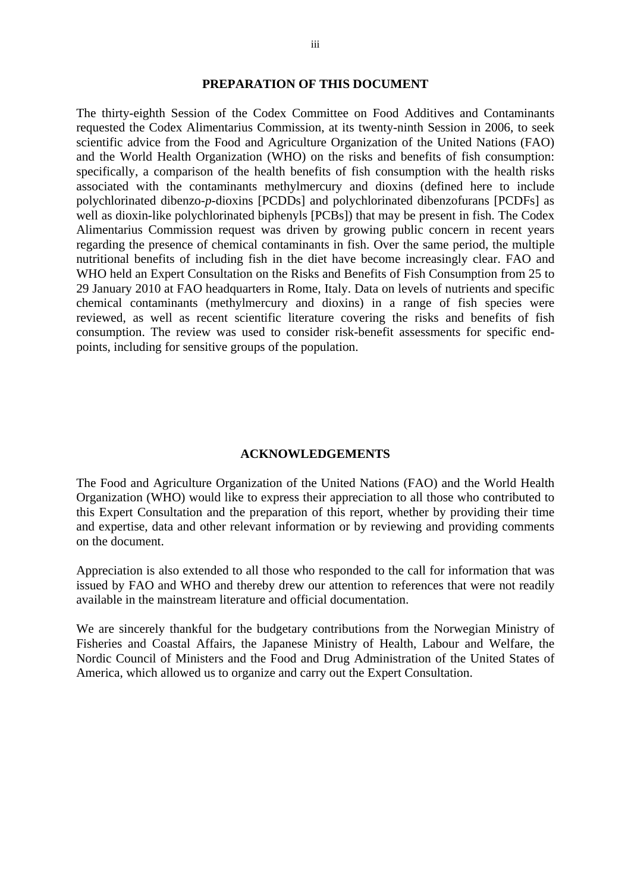#### **PREPARATION OF THIS DOCUMENT**

The thirty-eighth Session of the Codex Committee on Food Additives and Contaminants requested the Codex Alimentarius Commission, at its twenty-ninth Session in 2006, to seek scientific advice from the Food and Agriculture Organization of the United Nations (FAO) and the World Health Organization (WHO) on the risks and benefits of fish consumption: specifically, a comparison of the health benefits of fish consumption with the health risks associated with the contaminants methylmercury and dioxins (defined here to include polychlorinated dibenzo-*p*-dioxins [PCDDs] and polychlorinated dibenzofurans [PCDFs] as well as dioxin-like polychlorinated biphenyls [PCBs]) that may be present in fish. The Codex Alimentarius Commission request was driven by growing public concern in recent years regarding the presence of chemical contaminants in fish. Over the same period, the multiple nutritional benefits of including fish in the diet have become increasingly clear. FAO and WHO held an Expert Consultation on the Risks and Benefits of Fish Consumption from 25 to 29 January 2010 at FAO headquarters in Rome, Italy. Data on levels of nutrients and specific chemical contaminants (methylmercury and dioxins) in a range of fish species were reviewed, as well as recent scientific literature covering the risks and benefits of fish consumption. The review was used to consider risk-benefit assessments for specific endpoints, including for sensitive groups of the population.

#### **ACKNOWLEDGEMENTS**

The Food and Agriculture Organization of the United Nations (FAO) and the World Health Organization (WHO) would like to express their appreciation to all those who contributed to this Expert Consultation and the preparation of this report, whether by providing their time and expertise, data and other relevant information or by reviewing and providing comments on the document.

Appreciation is also extended to all those who responded to the call for information that was issued by FAO and WHO and thereby drew our attention to references that were not readily available in the mainstream literature and official documentation.

We are sincerely thankful for the budgetary contributions from the Norwegian Ministry of Fisheries and Coastal Affairs, the Japanese Ministry of Health, Labour and Welfare, the Nordic Council of Ministers and the Food and Drug Administration of the United States of America, which allowed us to organize and carry out the Expert Consultation.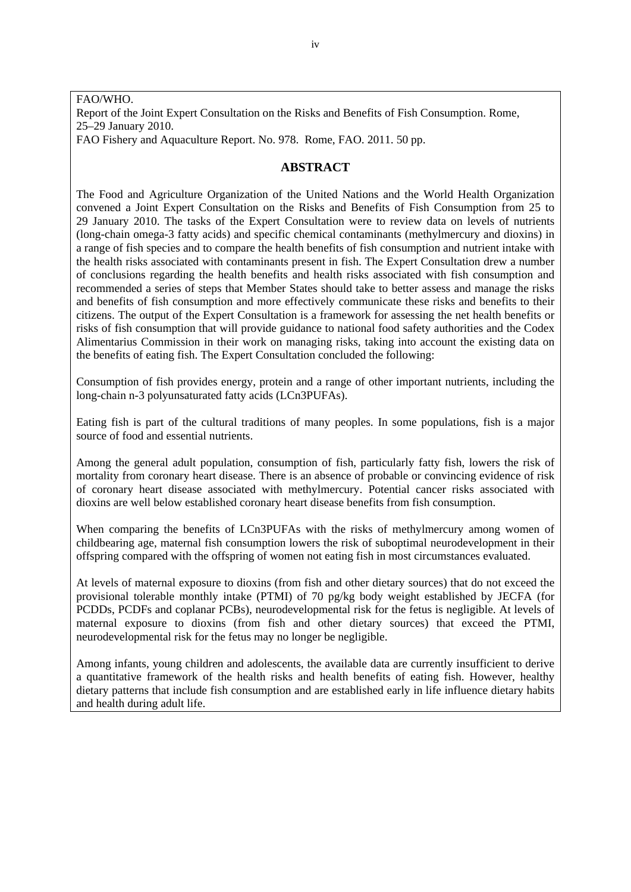#### FAO/WHO. Report of the Joint Expert Consultation on the Risks and Benefits of Fish Consumption. Rome, 25–29 January 2010. FAO Fishery and Aquaculture Report. No. 978. Rome, FAO. 2011. 50 pp.

## **ABSTRACT**

The Food and Agriculture Organization of the United Nations and the World Health Organization convened a Joint Expert Consultation on the Risks and Benefits of Fish Consumption from 25 to 29 January 2010. The tasks of the Expert Consultation were to review data on levels of nutrients (long-chain omega-3 fatty acids) and specific chemical contaminants (methylmercury and dioxins) in a range of fish species and to compare the health benefits of fish consumption and nutrient intake with the health risks associated with contaminants present in fish. The Expert Consultation drew a number of conclusions regarding the health benefits and health risks associated with fish consumption and recommended a series of steps that Member States should take to better assess and manage the risks and benefits of fish consumption and more effectively communicate these risks and benefits to their citizens. The output of the Expert Consultation is a framework for assessing the net health benefits or risks of fish consumption that will provide guidance to national food safety authorities and the Codex Alimentarius Commission in their work on managing risks, taking into account the existing data on the benefits of eating fish. The Expert Consultation concluded the following:

Consumption of fish provides energy, protein and a range of other important nutrients, including the long-chain n-3 polyunsaturated fatty acids (LCn3PUFAs).

Eating fish is part of the cultural traditions of many peoples. In some populations, fish is a major source of food and essential nutrients.

Among the general adult population, consumption of fish, particularly fatty fish, lowers the risk of mortality from coronary heart disease. There is an absence of probable or convincing evidence of risk of coronary heart disease associated with methylmercury. Potential cancer risks associated with dioxins are well below established coronary heart disease benefits from fish consumption.

When comparing the benefits of LCn3PUFAs with the risks of methylmercury among women of childbearing age, maternal fish consumption lowers the risk of suboptimal neurodevelopment in their offspring compared with the offspring of women not eating fish in most circumstances evaluated.

At levels of maternal exposure to dioxins (from fish and other dietary sources) that do not exceed the provisional tolerable monthly intake (PTMI) of 70 pg/kg body weight established by JECFA (for PCDDs, PCDFs and coplanar PCBs), neurodevelopmental risk for the fetus is negligible. At levels of maternal exposure to dioxins (from fish and other dietary sources) that exceed the PTMI, neurodevelopmental risk for the fetus may no longer be negligible.

Among infants, young children and adolescents, the available data are currently insufficient to derive a quantitative framework of the health risks and health benefits of eating fish. However, healthy dietary patterns that include fish consumption and are established early in life influence dietary habits and health during adult life.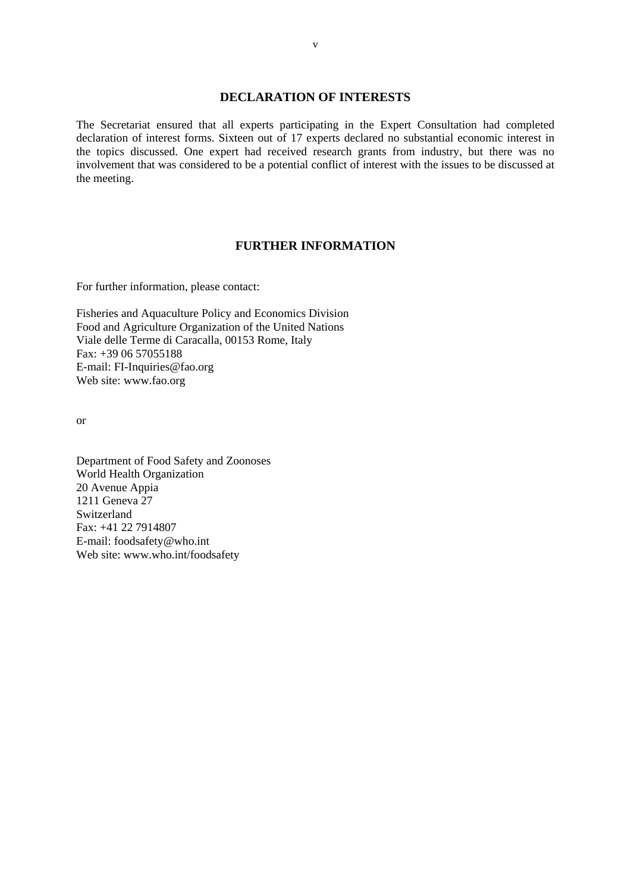#### **DECLARATION OF INTERESTS**

The Secretariat ensured that all experts participating in the Expert Consultation had completed declaration of interest forms. Sixteen out of 17 experts declared no substantial economic interest in the topics discussed. One expert had received research grants from industry, but there was no involvement that was considered to be a potential conflict of interest with the issues to be discussed at the meeting.

#### **FURTHER INFORMATION**

For further information, please contact:

Fisheries and Aquaculture Policy and Economics Division Food and Agriculture Organization of the United Nations Viale delle Terme di Caracalla, 00153 Rome, Italy Fax: +39 06 57055188 E-mail: FI-Inquiries@fao.org Web site: www.fao.org

or

Department of Food Safety and Zoonoses World Health Organization 20 Avenue Appia 1211 Geneva 27 Switzerland Fax: +41 22 7914807 E-mail: foodsafety@who.int Web site: www.who.int/foodsafety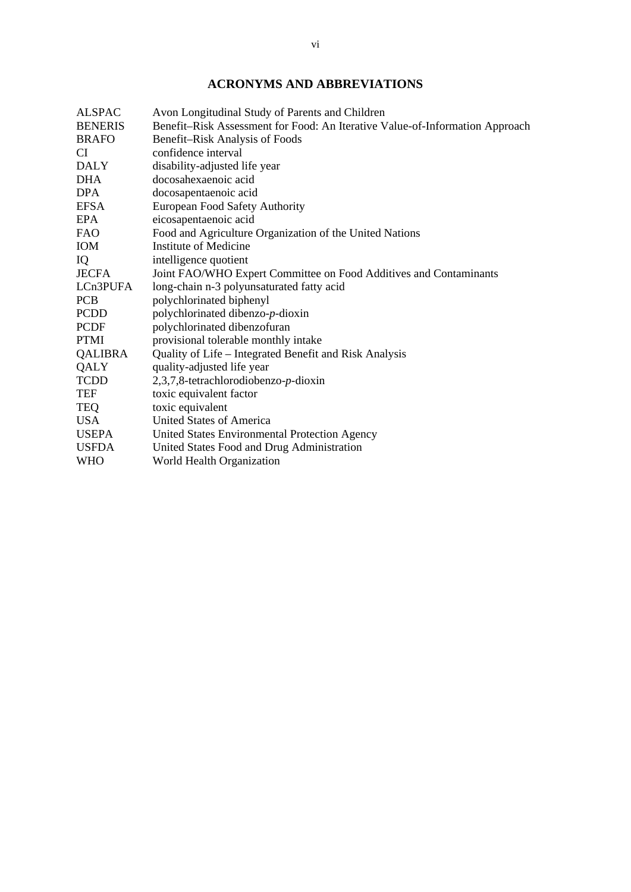# **ACRONYMS AND ABBREVIATIONS**

| <b>ALSPAC</b>  | Avon Longitudinal Study of Parents and Children                              |
|----------------|------------------------------------------------------------------------------|
| <b>BENERIS</b> | Benefit-Risk Assessment for Food: An Iterative Value-of-Information Approach |
| <b>BRAFO</b>   | Benefit-Risk Analysis of Foods                                               |
| CI.            | confidence interval                                                          |
| <b>DALY</b>    | disability-adjusted life year                                                |
| <b>DHA</b>     | docosahexaenoic acid                                                         |
| <b>DPA</b>     | docosapentaenoic acid                                                        |
| <b>EFSA</b>    | <b>European Food Safety Authority</b>                                        |
| EPA            | eicosapentaenoic acid                                                        |
| FAO.           | Food and Agriculture Organization of the United Nations                      |
| <b>IOM</b>     | Institute of Medicine                                                        |
| IQ             | intelligence quotient                                                        |
| <b>JECFA</b>   | Joint FAO/WHO Expert Committee on Food Additives and Contaminants            |
| LCn3PUFA       | long-chain n-3 polyunsaturated fatty acid                                    |
| <b>PCB</b>     | polychlorinated biphenyl                                                     |
| <b>PCDD</b>    | polychlorinated dibenzo-p-dioxin                                             |
| <b>PCDF</b>    | polychlorinated dibenzofuran                                                 |
| <b>PTMI</b>    | provisional tolerable monthly intake                                         |
| <b>QALIBRA</b> | Quality of Life - Integrated Benefit and Risk Analysis                       |
| QALY           | quality-adjusted life year                                                   |
| <b>TCDD</b>    | $2,3,7,8$ -tetrachlorodiobenzo-p-dioxin                                      |
| <b>TEF</b>     | toxic equivalent factor                                                      |
| <b>TEQ</b>     | toxic equivalent                                                             |
| USA            | United States of America                                                     |
| <b>USEPA</b>   | United States Environmental Protection Agency                                |
| <b>USFDA</b>   | United States Food and Drug Administration                                   |
| <b>WHO</b>     | World Health Organization                                                    |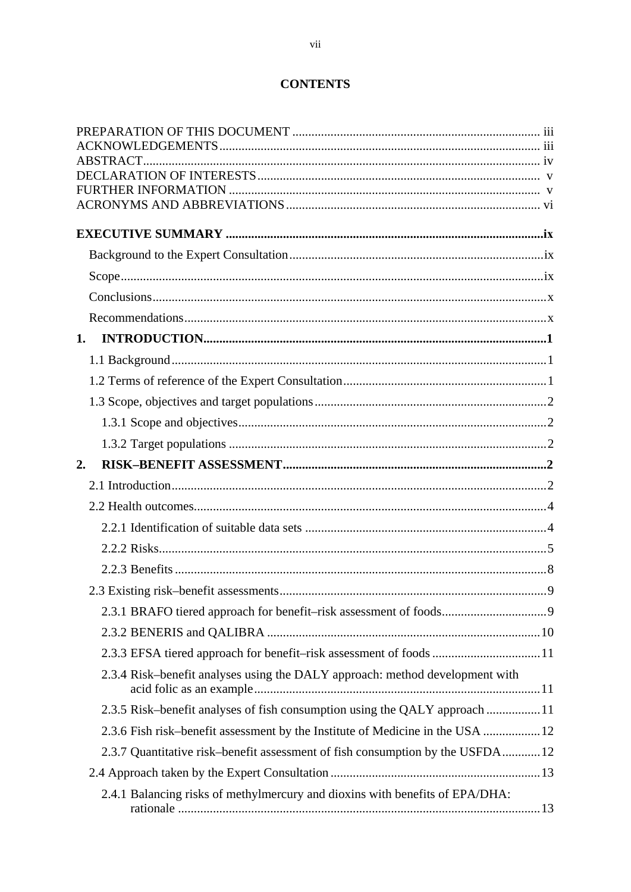# **CONTENTS**

| 1.                                                                             |  |
|--------------------------------------------------------------------------------|--|
|                                                                                |  |
|                                                                                |  |
|                                                                                |  |
|                                                                                |  |
|                                                                                |  |
| 2.                                                                             |  |
|                                                                                |  |
|                                                                                |  |
|                                                                                |  |
|                                                                                |  |
|                                                                                |  |
|                                                                                |  |
|                                                                                |  |
|                                                                                |  |
| 2.3.3 EFSA tiered approach for benefit-risk assessment of foods 11             |  |
| 2.3.4 Risk-benefit analyses using the DALY approach: method development with   |  |
| 2.3.5 Risk-benefit analyses of fish consumption using the QALY approach 11     |  |
| 2.3.6 Fish risk-benefit assessment by the Institute of Medicine in the USA  12 |  |
| 2.3.7 Quantitative risk-benefit assessment of fish consumption by the USFDA12  |  |
|                                                                                |  |
| 2.4.1 Balancing risks of methylmercury and dioxins with benefits of EPA/DHA:   |  |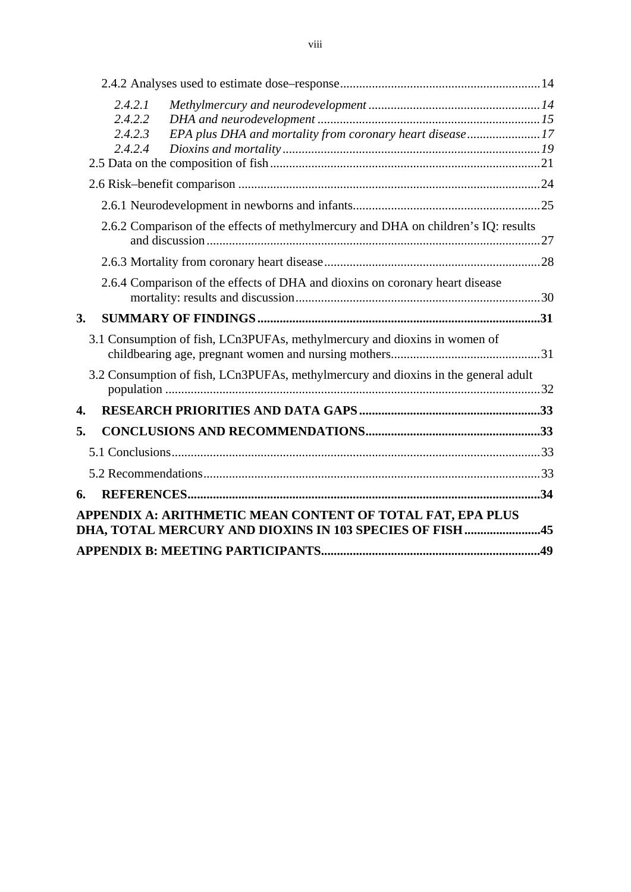| 2.4.2.1                                                                            |  |
|------------------------------------------------------------------------------------|--|
| 2.4.2.2                                                                            |  |
| EPA plus DHA and mortality from coronary heart disease17<br>2.4.2.3                |  |
| 2.4.2.4                                                                            |  |
|                                                                                    |  |
|                                                                                    |  |
| 2.6.2 Comparison of the effects of methylmercury and DHA on children's IQ: results |  |
|                                                                                    |  |
|                                                                                    |  |
| 2.6.4 Comparison of the effects of DHA and dioxins on coronary heart disease       |  |
|                                                                                    |  |
| 3.                                                                                 |  |
| 3.1 Consumption of fish, LCn3PUFAs, methylmercury and dioxins in women of          |  |
|                                                                                    |  |
| 3.2 Consumption of fish, LCn3PUFAs, methylmercury and dioxins in the general adult |  |
| 4.                                                                                 |  |
| 5.                                                                                 |  |
|                                                                                    |  |
|                                                                                    |  |
| 6.                                                                                 |  |
| APPENDIX A: ARITHMETIC MEAN CONTENT OF TOTAL FAT, EPA PLUS                         |  |
| DHA, TOTAL MERCURY AND DIOXINS IN 103 SPECIES OF FISH 45                           |  |
|                                                                                    |  |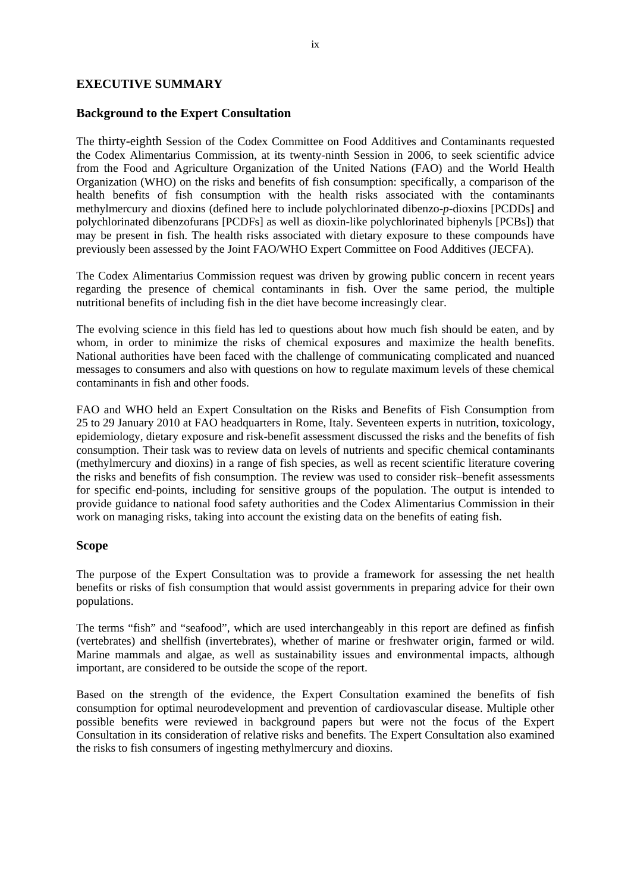#### **EXECUTIVE SUMMARY**

#### **Background to the Expert Consultation**

The thirty-eighth Session of the Codex Committee on Food Additives and Contaminants requested the Codex Alimentarius Commission, at its twenty-ninth Session in 2006, to seek scientific advice from the Food and Agriculture Organization of the United Nations (FAO) and the World Health Organization (WHO) on the risks and benefits of fish consumption: specifically, a comparison of the health benefits of fish consumption with the health risks associated with the contaminants methylmercury and dioxins (defined here to include polychlorinated dibenzo-*p*-dioxins [PCDDs] and polychlorinated dibenzofurans [PCDFs] as well as dioxin-like polychlorinated biphenyls [PCBs]) that may be present in fish. The health risks associated with dietary exposure to these compounds have previously been assessed by the Joint FAO/WHO Expert Committee on Food Additives (JECFA).

The Codex Alimentarius Commission request was driven by growing public concern in recent years regarding the presence of chemical contaminants in fish. Over the same period, the multiple nutritional benefits of including fish in the diet have become increasingly clear.

The evolving science in this field has led to questions about how much fish should be eaten, and by whom, in order to minimize the risks of chemical exposures and maximize the health benefits. National authorities have been faced with the challenge of communicating complicated and nuanced messages to consumers and also with questions on how to regulate maximum levels of these chemical contaminants in fish and other foods.

FAO and WHO held an Expert Consultation on the Risks and Benefits of Fish Consumption from 25 to 29 January 2010 at FAO headquarters in Rome, Italy. Seventeen experts in nutrition, toxicology, epidemiology, dietary exposure and risk-benefit assessment discussed the risks and the benefits of fish consumption. Their task was to review data on levels of nutrients and specific chemical contaminants (methylmercury and dioxins) in a range of fish species, as well as recent scientific literature covering the risks and benefits of fish consumption. The review was used to consider risk–benefit assessments for specific end-points, including for sensitive groups of the population. The output is intended to provide guidance to national food safety authorities and the Codex Alimentarius Commission in their work on managing risks, taking into account the existing data on the benefits of eating fish.

#### **Scope**

The purpose of the Expert Consultation was to provide a framework for assessing the net health benefits or risks of fish consumption that would assist governments in preparing advice for their own populations.

The terms "fish" and "seafood", which are used interchangeably in this report are defined as finfish (vertebrates) and shellfish (invertebrates), whether of marine or freshwater origin, farmed or wild. Marine mammals and algae, as well as sustainability issues and environmental impacts, although important, are considered to be outside the scope of the report.

Based on the strength of the evidence, the Expert Consultation examined the benefits of fish consumption for optimal neurodevelopment and prevention of cardiovascular disease. Multiple other possible benefits were reviewed in background papers but were not the focus of the Expert Consultation in its consideration of relative risks and benefits. The Expert Consultation also examined the risks to fish consumers of ingesting methylmercury and dioxins.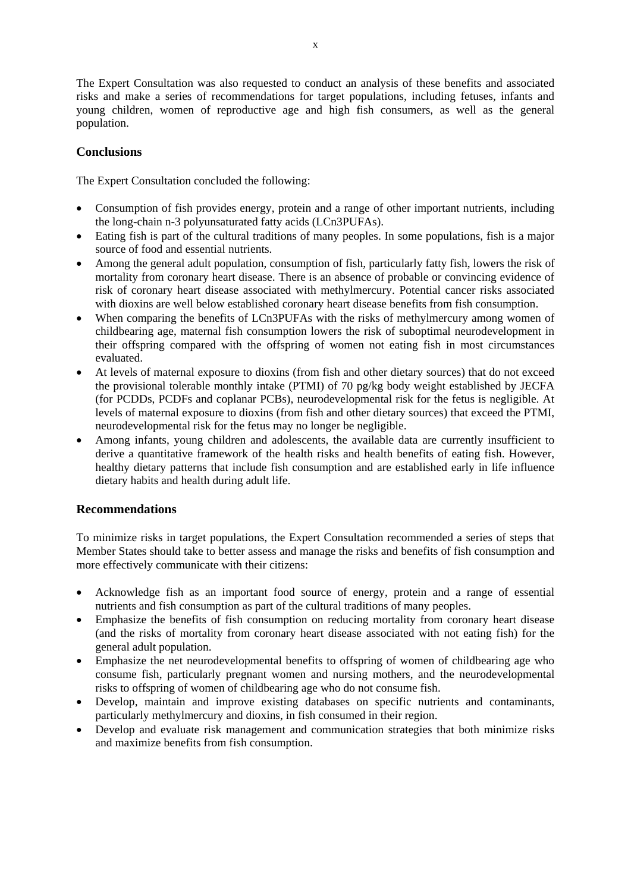The Expert Consultation was also requested to conduct an analysis of these benefits and associated risks and make a series of recommendations for target populations, including fetuses, infants and young children, women of reproductive age and high fish consumers, as well as the general population.

## **Conclusions**

The Expert Consultation concluded the following:

- Consumption of fish provides energy, protein and a range of other important nutrients, including the long-chain n-3 polyunsaturated fatty acids (LCn3PUFAs).
- Eating fish is part of the cultural traditions of many peoples. In some populations, fish is a major source of food and essential nutrients.
- Among the general adult population, consumption of fish, particularly fatty fish, lowers the risk of mortality from coronary heart disease. There is an absence of probable or convincing evidence of risk of coronary heart disease associated with methylmercury. Potential cancer risks associated with dioxins are well below established coronary heart disease benefits from fish consumption.
- When comparing the benefits of LCn3PUFAs with the risks of methylmercury among women of childbearing age, maternal fish consumption lowers the risk of suboptimal neurodevelopment in their offspring compared with the offspring of women not eating fish in most circumstances evaluated.
- At levels of maternal exposure to dioxins (from fish and other dietary sources) that do not exceed the provisional tolerable monthly intake (PTMI) of 70 pg/kg body weight established by JECFA (for PCDDs, PCDFs and coplanar PCBs), neurodevelopmental risk for the fetus is negligible. At levels of maternal exposure to dioxins (from fish and other dietary sources) that exceed the PTMI, neurodevelopmental risk for the fetus may no longer be negligible.
- Among infants, young children and adolescents, the available data are currently insufficient to derive a quantitative framework of the health risks and health benefits of eating fish. However, healthy dietary patterns that include fish consumption and are established early in life influence dietary habits and health during adult life.

## **Recommendations**

To minimize risks in target populations, the Expert Consultation recommended a series of steps that Member States should take to better assess and manage the risks and benefits of fish consumption and more effectively communicate with their citizens:

- Acknowledge fish as an important food source of energy, protein and a range of essential nutrients and fish consumption as part of the cultural traditions of many peoples.
- Emphasize the benefits of fish consumption on reducing mortality from coronary heart disease (and the risks of mortality from coronary heart disease associated with not eating fish) for the general adult population.
- Emphasize the net neurodevelopmental benefits to offspring of women of childbearing age who consume fish, particularly pregnant women and nursing mothers, and the neurodevelopmental risks to offspring of women of childbearing age who do not consume fish.
- Develop, maintain and improve existing databases on specific nutrients and contaminants, particularly methylmercury and dioxins, in fish consumed in their region.
- Develop and evaluate risk management and communication strategies that both minimize risks and maximize benefits from fish consumption.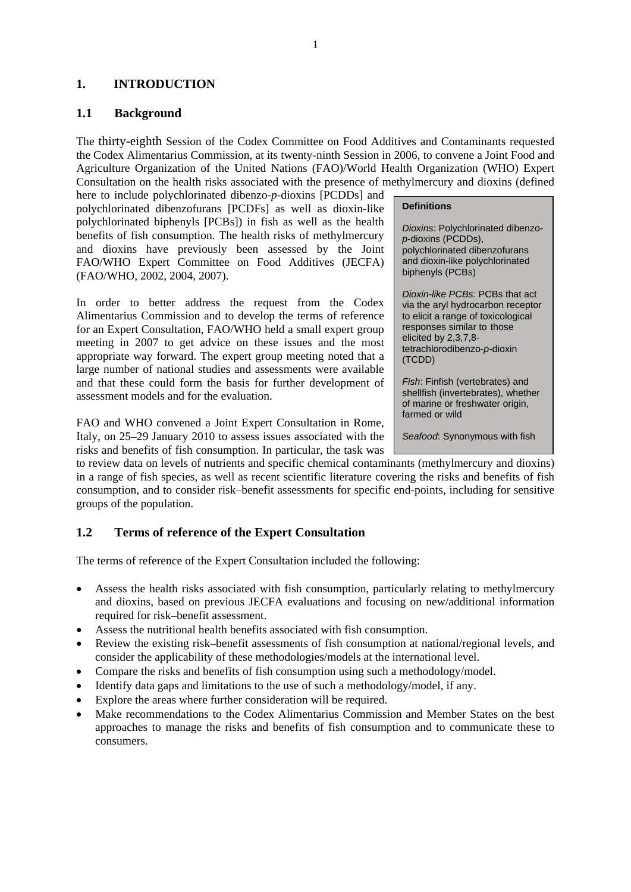## **1. INTRODUCTION**

## **1.1 Background**

The thirty-eighth Session of the Codex Committee on Food Additives and Contaminants requested the Codex Alimentarius Commission, at its twenty-ninth Session in 2006, to convene a Joint Food and Agriculture Organization of the United Nations (FAO)/World Health Organization (WHO) Expert Consultation on the health risks associated with the presence of methylmercury and dioxins (defined

here to include polychlorinated dibenzo-*p*-dioxins [PCDDs] and polychlorinated dibenzofurans [PCDFs] as well as dioxin-like polychlorinated biphenyls [PCBs]) in fish as well as the health benefits of fish consumption. The health risks of methylmercury and dioxins have previously been assessed by the Joint FAO/WHO Expert Committee on Food Additives (JECFA) (FAO/WHO, 2002, 2004, 2007).

In order to better address the request from the Codex Alimentarius Commission and to develop the terms of reference for an Expert Consultation, FAO/WHO held a small expert group meeting in 2007 to get advice on these issues and the most appropriate way forward. The expert group meeting noted that a large number of national studies and assessments were available and that these could form the basis for further development of assessment models and for the evaluation.

FAO and WHO convened a Joint Expert Consultation in Rome, Italy, on 25–29 January 2010 to assess issues associated with the risks and benefits of fish consumption. In particular, the task was

to review data on levels of nutrients and specific chemical contaminants (methylmercury and dioxins) in a range of fish species, as well as recent scientific literature covering the risks and benefits of fish consumption, and to consider risk–benefit assessments for specific end-points, including for sensitive groups of the population.

## **1.2 Terms of reference of the Expert Consultation**

The terms of reference of the Expert Consultation included the following:

- Assess the health risks associated with fish consumption, particularly relating to methylmercury and dioxins, based on previous JECFA evaluations and focusing on new/additional information required for risk–benefit assessment.
- Assess the nutritional health benefits associated with fish consumption.
- Review the existing risk–benefit assessments of fish consumption at national/regional levels, and consider the applicability of these methodologies/models at the international level.
- Compare the risks and benefits of fish consumption using such a methodology/model.
- Identify data gaps and limitations to the use of such a methodology/model, if any.
- Explore the areas where further consideration will be required.
- Make recommendations to the Codex Alimentarius Commission and Member States on the best approaches to manage the risks and benefits of fish consumption and to communicate these to consumers.

#### **Definitions**

*Dioxins*: Polychlorinated dibenzo*p*-dioxins (PCDDs), polychlorinated dibenzofurans and dioxin-like polychlorinated biphenyls (PCBs)

*Dioxin-like PCBs:* PCBs that act via the aryl hydrocarbon receptor to elicit a range of toxicological responses similar to those elicited by 2,3,7,8 tetrachlorodibenzo-*p*-dioxin (TCDD)

*Fish*: Finfish (vertebrates) and shellfish (invertebrates), whether of marine or freshwater origin, farmed or wild

*Seafood*: Synonymous with fish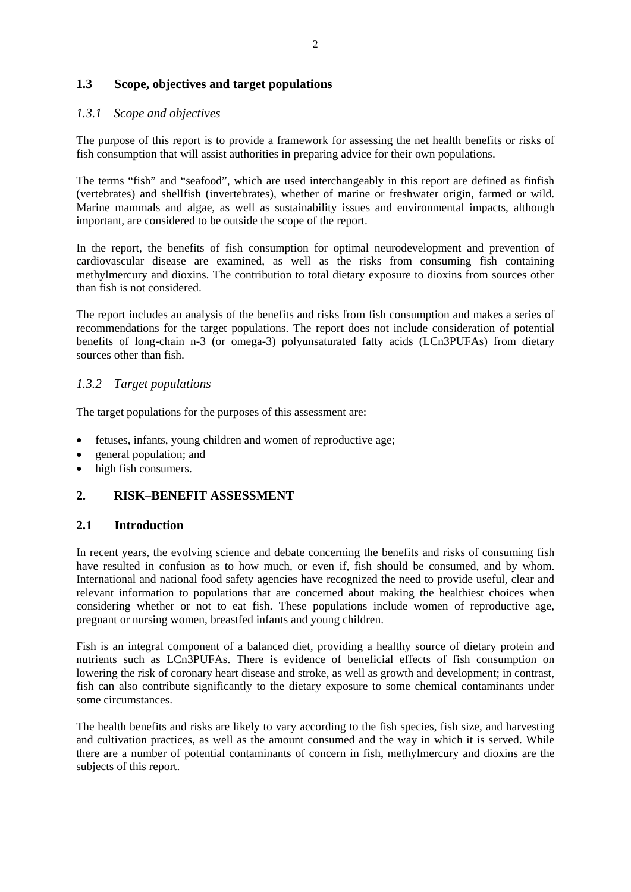## **1.3 Scope, objectives and target populations**

#### *1.3.1 Scope and objectives*

The purpose of this report is to provide a framework for assessing the net health benefits or risks of fish consumption that will assist authorities in preparing advice for their own populations.

The terms "fish" and "seafood", which are used interchangeably in this report are defined as finfish (vertebrates) and shellfish (invertebrates), whether of marine or freshwater origin, farmed or wild. Marine mammals and algae, as well as sustainability issues and environmental impacts, although important, are considered to be outside the scope of the report.

In the report, the benefits of fish consumption for optimal neurodevelopment and prevention of cardiovascular disease are examined, as well as the risks from consuming fish containing methylmercury and dioxins. The contribution to total dietary exposure to dioxins from sources other than fish is not considered.

The report includes an analysis of the benefits and risks from fish consumption and makes a series of recommendations for the target populations. The report does not include consideration of potential benefits of long-chain n-3 (or omega-3) polyunsaturated fatty acids (LCn3PUFAs) from dietary sources other than fish.

## *1.3.2 Target populations*

The target populations for the purposes of this assessment are:

- fetuses, infants, young children and women of reproductive age;
- general population; and
- high fish consumers.

## **2. RISK–BENEFIT ASSESSMENT**

## **2.1 Introduction**

In recent years, the evolving science and debate concerning the benefits and risks of consuming fish have resulted in confusion as to how much, or even if, fish should be consumed, and by whom. International and national food safety agencies have recognized the need to provide useful, clear and relevant information to populations that are concerned about making the healthiest choices when considering whether or not to eat fish. These populations include women of reproductive age, pregnant or nursing women, breastfed infants and young children.

Fish is an integral component of a balanced diet, providing a healthy source of dietary protein and nutrients such as LCn3PUFAs. There is evidence of beneficial effects of fish consumption on lowering the risk of coronary heart disease and stroke, as well as growth and development; in contrast, fish can also contribute significantly to the dietary exposure to some chemical contaminants under some circumstances.

The health benefits and risks are likely to vary according to the fish species, fish size, and harvesting and cultivation practices, as well as the amount consumed and the way in which it is served. While there are a number of potential contaminants of concern in fish, methylmercury and dioxins are the subjects of this report.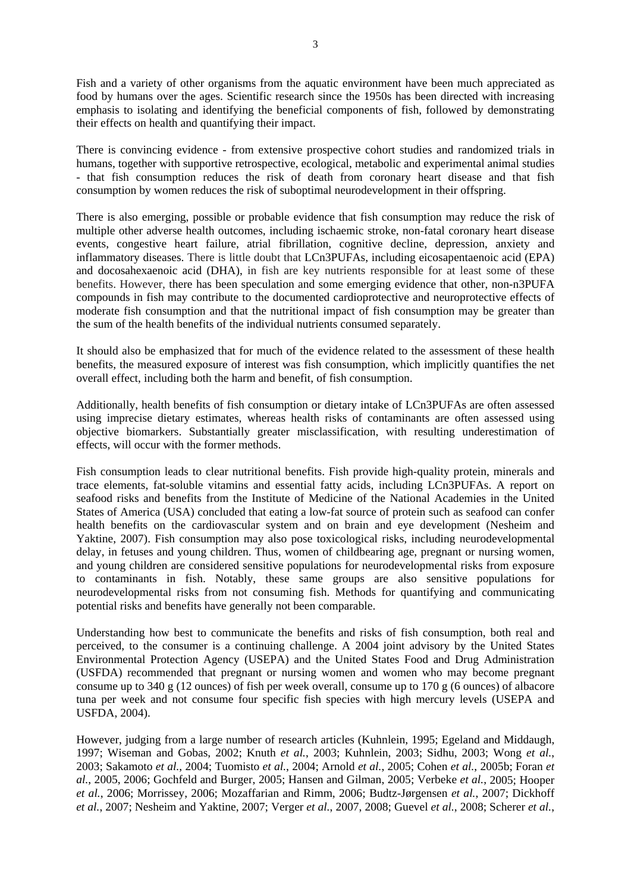Fish and a variety of other organisms from the aquatic environment have been much appreciated as food by humans over the ages. Scientific research since the 1950s has been directed with increasing emphasis to isolating and identifying the beneficial components of fish, followed by demonstrating their effects on health and quantifying their impact.

There is convincing evidence - from extensive prospective cohort studies and randomized trials in humans, together with supportive retrospective, ecological, metabolic and experimental animal studies - that fish consumption reduces the risk of death from coronary heart disease and that fish consumption by women reduces the risk of suboptimal neurodevelopment in their offspring.

There is also emerging, possible or probable evidence that fish consumption may reduce the risk of multiple other adverse health outcomes, including ischaemic stroke, non-fatal coronary heart disease events, congestive heart failure, atrial fibrillation, cognitive decline, depression, anxiety and inflammatory diseases. There is little doubt that LCn3PUFAs, including eicosapentaenoic acid (EPA) and docosahexaenoic acid (DHA), in fish are key nutrients responsible for at least some of these benefits. However, there has been speculation and some emerging evidence that other, non-n3PUFA compounds in fish may contribute to the documented cardioprotective and neuroprotective effects of moderate fish consumption and that the nutritional impact of fish consumption may be greater than the sum of the health benefits of the individual nutrients consumed separately.

It should also be emphasized that for much of the evidence related to the assessment of these health benefits, the measured exposure of interest was fish consumption, which implicitly quantifies the net overall effect, including both the harm and benefit, of fish consumption.

Additionally, health benefits of fish consumption or dietary intake of LCn3PUFAs are often assessed using imprecise dietary estimates, whereas health risks of contaminants are often assessed using objective biomarkers. Substantially greater misclassification, with resulting underestimation of effects, will occur with the former methods.

Fish consumption leads to clear nutritional benefits. Fish provide high-quality protein, minerals and trace elements, fat-soluble vitamins and essential fatty acids, including LCn3PUFAs. A report on seafood risks and benefits from the Institute of Medicine of the National Academies in the United States of America (USA) concluded that eating a low-fat source of protein such as seafood can confer health benefits on the cardiovascular system and on brain and eye development (Nesheim and Yaktine, 2007). Fish consumption may also pose toxicological risks, including neurodevelopmental delay, in fetuses and young children. Thus, women of childbearing age, pregnant or nursing women, and young children are considered sensitive populations for neurodevelopmental risks from exposure to contaminants in fish. Notably, these same groups are also sensitive populations for neurodevelopmental risks from not consuming fish. Methods for quantifying and communicating potential risks and benefits have generally not been comparable.

Understanding how best to communicate the benefits and risks of fish consumption, both real and perceived, to the consumer is a continuing challenge. A 2004 joint advisory by the United States Environmental Protection Agency (USEPA) and the United States Food and Drug Administration (USFDA) recommended that pregnant or nursing women and women who may become pregnant consume up to 340 g (12 ounces) of fish per week overall, consume up to 170 g (6 ounces) of albacore tuna per week and not consume four specific fish species with high mercury levels (USEPA and USFDA, 2004).

However, judging from a large number of research articles (Kuhnlein, 1995; Egeland and Middaugh, 1997; Wiseman and Gobas, 2002; Knuth *et al.*, 2003; Kuhnlein, 2003; Sidhu, 2003; Wong *et al.*, 2003; Sakamoto *et al.*, 2004; Tuomisto *et al.*, 2004; Arnold *et al.*, 2005; Cohen *et al.*, 2005b; Foran *et al.*, 2005, 2006; Gochfeld and Burger, 2005; Hansen and Gilman, 2005; Verbeke *et al.*, 2005; Hooper *et al.*, 2006; Morrissey, 2006; Mozaffarian and Rimm, 2006; Budtz-Jørgensen *et al.*, 2007; Dickhoff *et al.*, 2007; Nesheim and Yaktine, 2007; Verger *et al.*, 2007, 2008; Guevel *et al.*, 2008; Scherer *et al.*,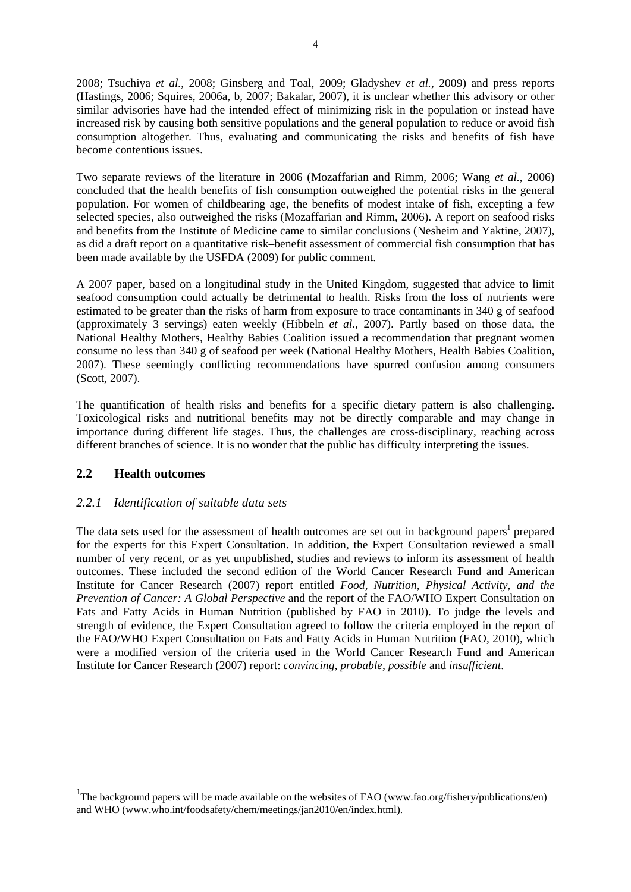2008; Tsuchiya *et al.*, 2008; Ginsberg and Toal, 2009; Gladyshev *et al.*, 2009) and press reports (Hastings, 2006; Squires, 2006a, b, 2007; Bakalar, 2007), it is unclear whether this advisory or other similar advisories have had the intended effect of minimizing risk in the population or instead have increased risk by causing both sensitive populations and the general population to reduce or avoid fish consumption altogether. Thus, evaluating and communicating the risks and benefits of fish have become contentious issues.

Two separate reviews of the literature in 2006 (Mozaffarian and Rimm, 2006; Wang *et al.*, 2006) concluded that the health benefits of fish consumption outweighed the potential risks in the general population. For women of childbearing age, the benefits of modest intake of fish, excepting a few selected species, also outweighed the risks (Mozaffarian and Rimm, 2006). A report on seafood risks and benefits from the Institute of Medicine came to similar conclusions (Nesheim and Yaktine, 2007), as did a draft report on a quantitative risk–benefit assessment of commercial fish consumption that has been made available by the USFDA (2009) for public comment.

A 2007 paper, based on a longitudinal study in the United Kingdom, suggested that advice to limit seafood consumption could actually be detrimental to health. Risks from the loss of nutrients were estimated to be greater than the risks of harm from exposure to trace contaminants in 340 g of seafood (approximately 3 servings) eaten weekly (Hibbeln *et al.*, 2007). Partly based on those data, the National Healthy Mothers, Healthy Babies Coalition issued a recommendation that pregnant women consume no less than 340 g of seafood per week (National Healthy Mothers, Health Babies Coalition, 2007). These seemingly conflicting recommendations have spurred confusion among consumers (Scott, 2007).

The quantification of health risks and benefits for a specific dietary pattern is also challenging. Toxicological risks and nutritional benefits may not be directly comparable and may change in importance during different life stages. Thus, the challenges are cross-disciplinary, reaching across different branches of science. It is no wonder that the public has difficulty interpreting the issues.

## **2.2 Health outcomes**

1

## *2.2.1 Identification of suitable data sets*

The data sets used for the assessment of health outcomes are set out in background papers<sup>1</sup> prepared for the experts for this Expert Consultation. In addition, the Expert Consultation reviewed a small number of very recent, or as yet unpublished, studies and reviews to inform its assessment of health outcomes. These included the second edition of the World Cancer Research Fund and American Institute for Cancer Research (2007) report entitled *Food, Nutrition, Physical Activity, and the Prevention of Cancer: A Global Perspective* and the report of the FAO/WHO Expert Consultation on Fats and Fatty Acids in Human Nutrition (published by FAO in 2010). To judge the levels and strength of evidence, the Expert Consultation agreed to follow the criteria employed in the report of the FAO/WHO Expert Consultation on Fats and Fatty Acids in Human Nutrition (FAO, 2010), which were a modified version of the criteria used in the World Cancer Research Fund and American Institute for Cancer Research (2007) report: *convincing*, *probable*, *possible* and *insufficient*.

<sup>&</sup>lt;sup>1</sup>The background papers will be made available on the websites of FAO (www.fao.org/fishery/publications/en) and WHO (www.who.int/foodsafety/chem/meetings/jan2010/en/index.html).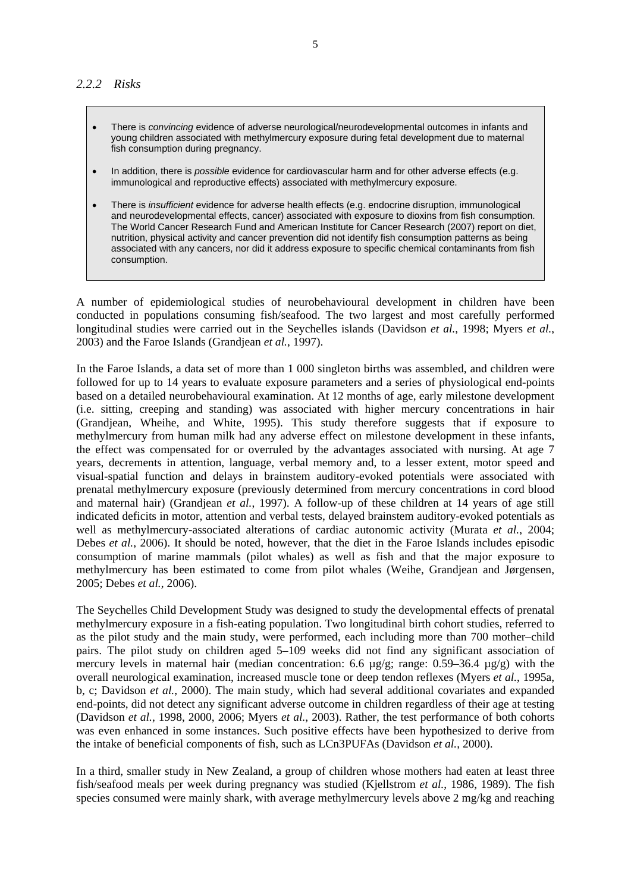- There is *convincing* evidence of adverse neurological/neurodevelopmental outcomes in infants and young children associated with methylmercury exposure during fetal development due to maternal fish consumption during pregnancy.
- In addition, there is *possible* evidence for cardiovascular harm and for other adverse effects (e.g. immunological and reproductive effects) associated with methylmercury exposure.
- There is *insufficient* evidence for adverse health effects (e.g. endocrine disruption, immunological and neurodevelopmental effects, cancer) associated with exposure to dioxins from fish consumption. The World Cancer Research Fund and American Institute for Cancer Research (2007) report on diet, nutrition, physical activity and cancer prevention did not identify fish consumption patterns as being associated with any cancers, nor did it address exposure to specific chemical contaminants from fish consumption.

A number of epidemiological studies of neurobehavioural development in children have been conducted in populations consuming fish/seafood. The two largest and most carefully performed longitudinal studies were carried out in the Seychelles islands (Davidson *et al.*, 1998; Myers *et al.*, 2003) and the Faroe Islands (Grandjean *et al.*, 1997).

In the Faroe Islands, a data set of more than 1 000 singleton births was assembled, and children were followed for up to 14 years to evaluate exposure parameters and a series of physiological end-points based on a detailed neurobehavioural examination. At 12 months of age, early milestone development (i.e. sitting, creeping and standing) was associated with higher mercury concentrations in hair (Grandjean, Wheihe, and White, 1995). This study therefore suggests that if exposure to methylmercury from human milk had any adverse effect on milestone development in these infants, the effect was compensated for or overruled by the advantages associated with nursing. At age 7 years, decrements in attention, language, verbal memory and, to a lesser extent, motor speed and visual-spatial function and delays in brainstem auditory-evoked potentials were associated with prenatal methylmercury exposure (previously determined from mercury concentrations in cord blood and maternal hair) (Grandjean *et al.*, 1997). A follow-up of these children at 14 years of age still indicated deficits in motor, attention and verbal tests, delayed brainstem auditory-evoked potentials as well as methylmercury-associated alterations of cardiac autonomic activity (Murata *et al.*, 2004; Debes *et al.*, 2006). It should be noted, however, that the diet in the Faroe Islands includes episodic consumption of marine mammals (pilot whales) as well as fish and that the major exposure to methylmercury has been estimated to come from pilot whales (Weihe, Grandjean and Jørgensen, 2005; Debes *et al.*, 2006).

The Seychelles Child Development Study was designed to study the developmental effects of prenatal methylmercury exposure in a fish-eating population. Two longitudinal birth cohort studies, referred to as the pilot study and the main study, were performed, each including more than 700 mother–child pairs. The pilot study on children aged 5–109 weeks did not find any significant association of mercury levels in maternal hair (median concentration: 6.6 µg/g; range: 0.59–36.4 µg/g) with the overall neurological examination, increased muscle tone or deep tendon reflexes (Myers *et al.*, 1995a, b, c; Davidson *et al.*, 2000). The main study, which had several additional covariates and expanded end-points, did not detect any significant adverse outcome in children regardless of their age at testing (Davidson *et al.*, 1998, 2000, 2006; Myers *et al.*, 2003). Rather, the test performance of both cohorts was even enhanced in some instances. Such positive effects have been hypothesized to derive from the intake of beneficial components of fish, such as LCn3PUFAs (Davidson *et al.*, 2000).

In a third, smaller study in New Zealand, a group of children whose mothers had eaten at least three fish/seafood meals per week during pregnancy was studied (Kjellstrom *et al.*, 1986, 1989). The fish species consumed were mainly shark, with average methylmercury levels above 2 mg/kg and reaching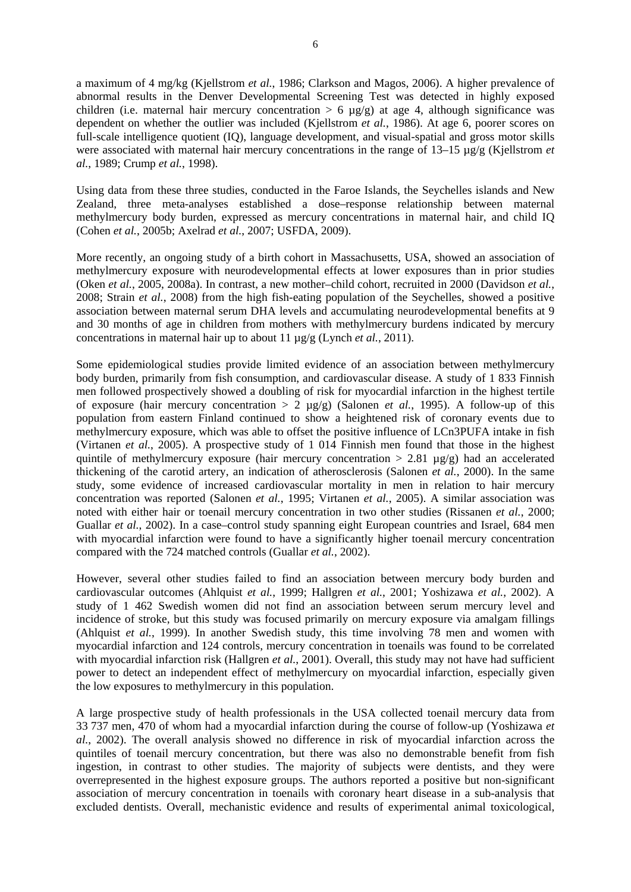a maximum of 4 mg/kg (Kjellstrom *et al.*, 1986; Clarkson and Magos, 2006). A higher prevalence of abnormal results in the Denver Developmental Screening Test was detected in highly exposed children (i.e. maternal hair mercury concentration  $> 6 \mu g/g$ ) at age 4, although significance was dependent on whether the outlier was included (Kjellstrom *et al.*, 1986). At age 6, poorer scores on full-scale intelligence quotient (IQ), language development, and visual-spatial and gross motor skills were associated with maternal hair mercury concentrations in the range of 13–15 µg/g (Kjellstrom *et al.*, 1989; Crump *et al.*, 1998).

Using data from these three studies, conducted in the Faroe Islands, the Seychelles islands and New Zealand, three meta-analyses established a dose–response relationship between maternal methylmercury body burden, expressed as mercury concentrations in maternal hair, and child IQ (Cohen *et al.*, 2005b; Axelrad *et al.*, 2007; USFDA, 2009).

More recently, an ongoing study of a birth cohort in Massachusetts, USA, showed an association of methylmercury exposure with neurodevelopmental effects at lower exposures than in prior studies (Oken *et al.*, 2005, 2008a). In contrast, a new mother–child cohort, recruited in 2000 (Davidson *et al.*, 2008; Strain *et al.*, 2008) from the high fish-eating population of the Seychelles, showed a positive association between maternal serum DHA levels and accumulating neurodevelopmental benefits at 9 and 30 months of age in children from mothers with methylmercury burdens indicated by mercury concentrations in maternal hair up to about 11 µg/g (Lynch *et al.*, 2011).

Some epidemiological studies provide limited evidence of an association between methylmercury body burden, primarily from fish consumption, and cardiovascular disease. A study of 1 833 Finnish men followed prospectively showed a doubling of risk for myocardial infarction in the highest tertile of exposure (hair mercury concentration  $> 2 \mu g/g$ ) (Salonen *et al.*, 1995). A follow-up of this population from eastern Finland continued to show a heightened risk of coronary events due to methylmercury exposure, which was able to offset the positive influence of LCn3PUFA intake in fish (Virtanen *et al.*, 2005). A prospective study of 1 014 Finnish men found that those in the highest quintile of methylmercury exposure (hair mercury concentration  $> 2.81 \text{ }\mu\text{g/g}$ ) had an accelerated thickening of the carotid artery, an indication of atherosclerosis (Salonen *et al.*, 2000). In the same study, some evidence of increased cardiovascular mortality in men in relation to hair mercury concentration was reported (Salonen *et al.*, 1995; Virtanen *et al.*, 2005). A similar association was noted with either hair or toenail mercury concentration in two other studies (Rissanen *et al.*, 2000; Guallar *et al.*, 2002). In a case–control study spanning eight European countries and Israel, 684 men with myocardial infarction were found to have a significantly higher toenail mercury concentration compared with the 724 matched controls (Guallar *et al.*, 2002).

However, several other studies failed to find an association between mercury body burden and cardiovascular outcomes (Ahlquist *et al.*, 1999; Hallgren *et al.*, 2001; Yoshizawa *et al.*, 2002). A study of 1 462 Swedish women did not find an association between serum mercury level and incidence of stroke, but this study was focused primarily on mercury exposure via amalgam fillings (Ahlquist *et al.*, 1999). In another Swedish study, this time involving 78 men and women with myocardial infarction and 124 controls, mercury concentration in toenails was found to be correlated with myocardial infarction risk (Hallgren *et al.*, 2001). Overall, this study may not have had sufficient power to detect an independent effect of methylmercury on myocardial infarction, especially given the low exposures to methylmercury in this population.

A large prospective study of health professionals in the USA collected toenail mercury data from 33 737 men, 470 of whom had a myocardial infarction during the course of follow-up (Yoshizawa *et al.*, 2002). The overall analysis showed no difference in risk of myocardial infarction across the quintiles of toenail mercury concentration, but there was also no demonstrable benefit from fish ingestion, in contrast to other studies. The majority of subjects were dentists, and they were overrepresented in the highest exposure groups. The authors reported a positive but non-significant association of mercury concentration in toenails with coronary heart disease in a sub-analysis that excluded dentists. Overall, mechanistic evidence and results of experimental animal toxicological,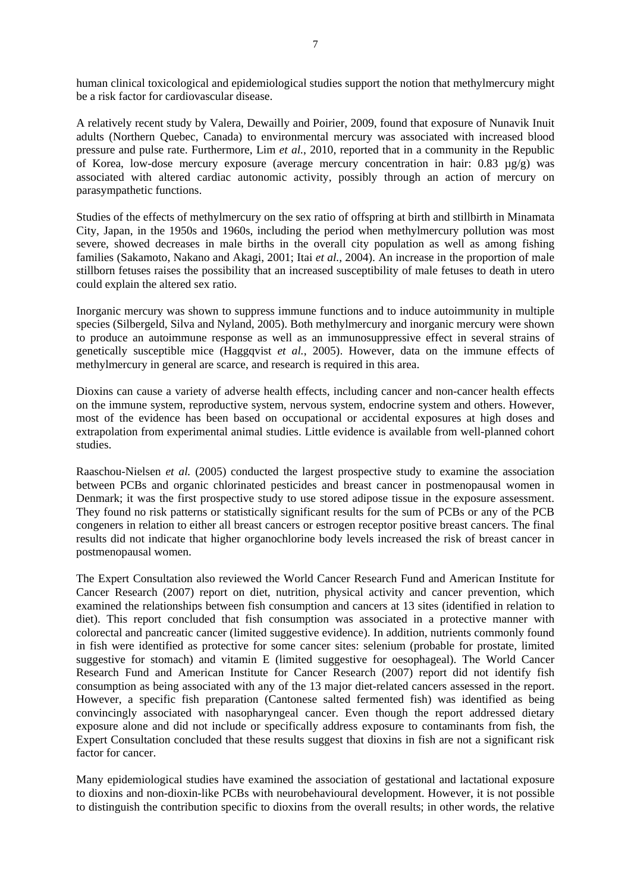human clinical toxicological and epidemiological studies support the notion that methylmercury might be a risk factor for cardiovascular disease.

A relatively recent study by Valera, Dewailly and Poirier, 2009, found that exposure of Nunavik Inuit adults (Northern Quebec, Canada) to environmental mercury was associated with increased blood pressure and pulse rate. Furthermore, Lim *et al.*, 2010, reported that in a community in the Republic of Korea, low-dose mercury exposure (average mercury concentration in hair: 0.83 µg/g) was associated with altered cardiac autonomic activity, possibly through an action of mercury on parasympathetic functions.

Studies of the effects of methylmercury on the sex ratio of offspring at birth and stillbirth in Minamata City, Japan, in the 1950s and 1960s, including the period when methylmercury pollution was most severe, showed decreases in male births in the overall city population as well as among fishing families (Sakamoto, Nakano and Akagi, 2001; Itai *et al.*, 2004). An increase in the proportion of male stillborn fetuses raises the possibility that an increased susceptibility of male fetuses to death in utero could explain the altered sex ratio.

Inorganic mercury was shown to suppress immune functions and to induce autoimmunity in multiple species (Silbergeld, Silva and Nyland, 2005). Both methylmercury and inorganic mercury were shown to produce an autoimmune response as well as an immunosuppressive effect in several strains of genetically susceptible mice (Haggqvist *et al.*, 2005). However, data on the immune effects of methylmercury in general are scarce, and research is required in this area.

Dioxins can cause a variety of adverse health effects, including cancer and non-cancer health effects on the immune system, reproductive system, nervous system, endocrine system and others. However, most of the evidence has been based on occupational or accidental exposures at high doses and extrapolation from experimental animal studies. Little evidence is available from well-planned cohort studies.

Raaschou-Nielsen *et al.* (2005) conducted the largest prospective study to examine the association between PCBs and organic chlorinated pesticides and breast cancer in postmenopausal women in Denmark; it was the first prospective study to use stored adipose tissue in the exposure assessment. They found no risk patterns or statistically significant results for the sum of PCBs or any of the PCB congeners in relation to either all breast cancers or estrogen receptor positive breast cancers. The final results did not indicate that higher organochlorine body levels increased the risk of breast cancer in postmenopausal women.

The Expert Consultation also reviewed the World Cancer Research Fund and American Institute for Cancer Research (2007) report on diet, nutrition, physical activity and cancer prevention, which examined the relationships between fish consumption and cancers at 13 sites (identified in relation to diet). This report concluded that fish consumption was associated in a protective manner with colorectal and pancreatic cancer (limited suggestive evidence). In addition, nutrients commonly found in fish were identified as protective for some cancer sites: selenium (probable for prostate, limited suggestive for stomach) and vitamin E (limited suggestive for oesophageal). The World Cancer Research Fund and American Institute for Cancer Research (2007) report did not identify fish consumption as being associated with any of the 13 major diet-related cancers assessed in the report. However, a specific fish preparation (Cantonese salted fermented fish) was identified as being convincingly associated with nasopharyngeal cancer. Even though the report addressed dietary exposure alone and did not include or specifically address exposure to contaminants from fish, the Expert Consultation concluded that these results suggest that dioxins in fish are not a significant risk factor for cancer.

Many epidemiological studies have examined the association of gestational and lactational exposure to dioxins and non-dioxin-like PCBs with neurobehavioural development. However, it is not possible to distinguish the contribution specific to dioxins from the overall results; in other words, the relative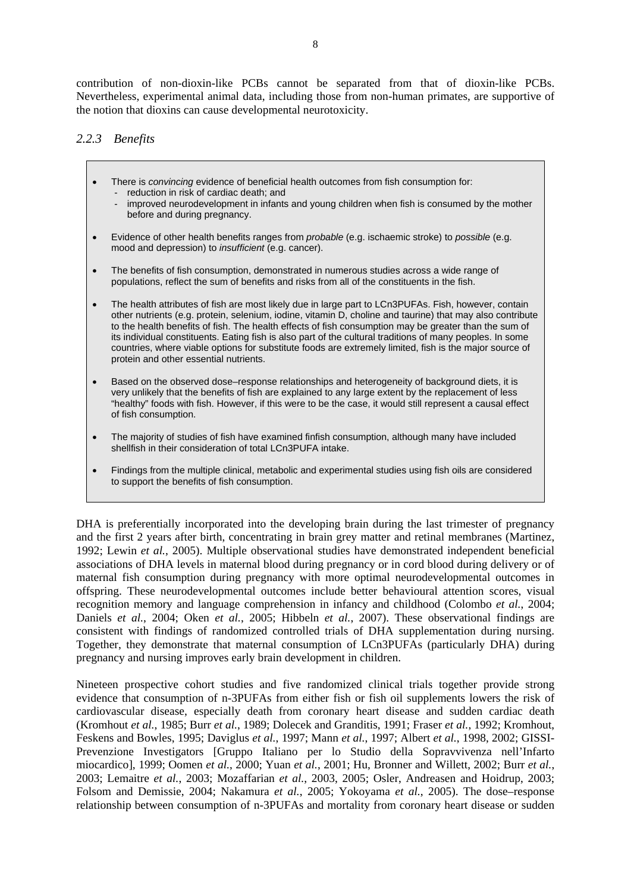contribution of non-dioxin-like PCBs cannot be separated from that of dioxin-like PCBs. Nevertheless, experimental animal data, including those from non-human primates, are supportive of the notion that dioxins can cause developmental neurotoxicity.

#### *2.2.3 Benefits*

- There is *convincing* evidence of beneficial health outcomes from fish consumption for: - reduction in risk of cardiac death; and
	- improved neurodevelopment in infants and young children when fish is consumed by the mother before and during pregnancy.
- Evidence of other health benefits ranges from *probable* (e.g. ischaemic stroke) to *possible* (e.g. mood and depression) to *insufficient* (e.g. cancer).
- The benefits of fish consumption, demonstrated in numerous studies across a wide range of populations, reflect the sum of benefits and risks from all of the constituents in the fish.
- The health attributes of fish are most likely due in large part to LCn3PUFAs. Fish, however, contain other nutrients (e.g. protein, selenium, iodine, vitamin D, choline and taurine) that may also contribute to the health benefits of fish. The health effects of fish consumption may be greater than the sum of its individual constituents. Eating fish is also part of the cultural traditions of many peoples. In some countries, where viable options for substitute foods are extremely limited, fish is the major source of protein and other essential nutrients.
- Based on the observed dose–response relationships and heterogeneity of background diets, it is very unlikely that the benefits of fish are explained to any large extent by the replacement of less "healthy" foods with fish. However, if this were to be the case, it would still represent a causal effect of fish consumption.
- The majority of studies of fish have examined finfish consumption, although many have included shellfish in their consideration of total LCn3PUFA intake.
- Findings from the multiple clinical, metabolic and experimental studies using fish oils are considered to support the benefits of fish consumption.

DHA is preferentially incorporated into the developing brain during the last trimester of pregnancy and the first 2 years after birth, concentrating in brain grey matter and retinal membranes (Martinez, 1992; Lewin *et al.*, 2005). Multiple observational studies have demonstrated independent beneficial associations of DHA levels in maternal blood during pregnancy or in cord blood during delivery or of maternal fish consumption during pregnancy with more optimal neurodevelopmental outcomes in offspring. These neurodevelopmental outcomes include better behavioural attention scores, visual recognition memory and language comprehension in infancy and childhood (Colombo *et al.*, 2004; Daniels *et al.*, 2004; Oken *et al.*, 2005; Hibbeln *et al.*, 2007). These observational findings are consistent with findings of randomized controlled trials of DHA supplementation during nursing. Together, they demonstrate that maternal consumption of LCn3PUFAs (particularly DHA) during pregnancy and nursing improves early brain development in children.

Nineteen prospective cohort studies and five randomized clinical trials together provide strong evidence that consumption of n-3PUFAs from either fish or fish oil supplements lowers the risk of cardiovascular disease, especially death from coronary heart disease and sudden cardiac death (Kromhout *et al.*, 1985; Burr *et al.*, 1989; Dolecek and Granditis, 1991; Fraser *et al.*, 1992; Kromhout, Feskens and Bowles, 1995; Daviglus *et al.*, 1997; Mann *et al.*, 1997; Albert *et al.*, 1998, 2002; GISSI-Prevenzione Investigators [Gruppo Italiano per lo Studio della Sopravvivenza nell'Infarto miocardico], 1999; Oomen *et al.*, 2000; Yuan *et al.*, 2001; Hu, Bronner and Willett, 2002; Burr *et al.*, 2003; Lemaitre *et al.*, 2003; Mozaffarian *et al.*, 2003, 2005; Osler, Andreasen and Hoidrup, 2003; Folsom and Demissie, 2004; Nakamura *et al.*, 2005; Yokoyama *et al.*, 2005). The dose–response relationship between consumption of n-3PUFAs and mortality from coronary heart disease or sudden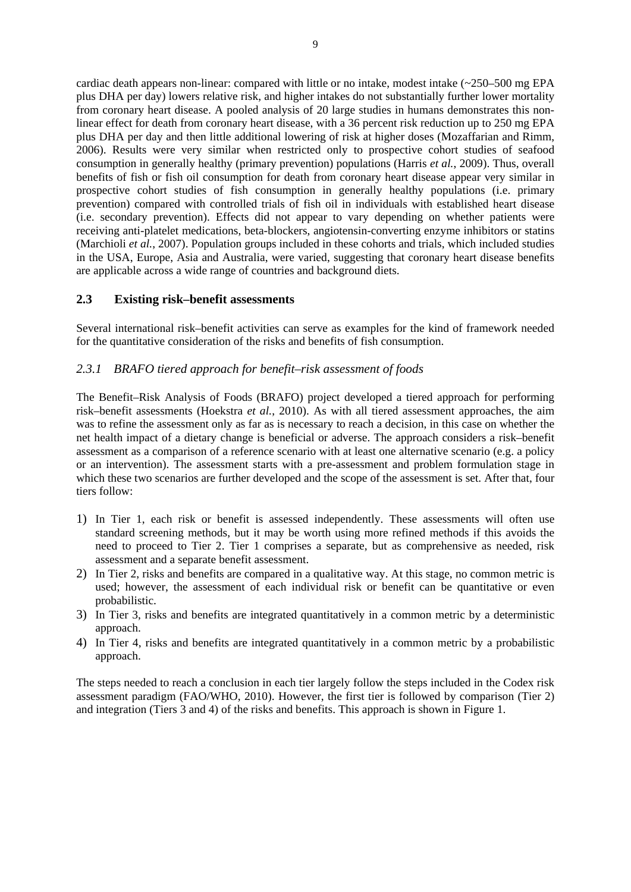cardiac death appears non-linear: compared with little or no intake, modest intake (~250–500 mg EPA plus DHA per day) lowers relative risk, and higher intakes do not substantially further lower mortality from coronary heart disease. A pooled analysis of 20 large studies in humans demonstrates this nonlinear effect for death from coronary heart disease, with a 36 percent risk reduction up to 250 mg EPA plus DHA per day and then little additional lowering of risk at higher doses (Mozaffarian and Rimm, 2006). Results were very similar when restricted only to prospective cohort studies of seafood consumption in generally healthy (primary prevention) populations (Harris *et al.*, 2009). Thus, overall benefits of fish or fish oil consumption for death from coronary heart disease appear very similar in prospective cohort studies of fish consumption in generally healthy populations (i.e. primary prevention) compared with controlled trials of fish oil in individuals with established heart disease (i.e. secondary prevention). Effects did not appear to vary depending on whether patients were receiving anti-platelet medications, beta-blockers, angiotensin-converting enzyme inhibitors or statins (Marchioli *et al.*, 2007). Population groups included in these cohorts and trials, which included studies in the USA, Europe, Asia and Australia, were varied, suggesting that coronary heart disease benefits are applicable across a wide range of countries and background diets.

#### **2.3 Existing risk–benefit assessments**

Several international risk–benefit activities can serve as examples for the kind of framework needed for the quantitative consideration of the risks and benefits of fish consumption.

#### *2.3.1 BRAFO tiered approach for benefit–risk assessment of foods*

The Benefit–Risk Analysis of Foods (BRAFO) project developed a tiered approach for performing risk–benefit assessments (Hoekstra *et al.*, 2010). As with all tiered assessment approaches, the aim was to refine the assessment only as far as is necessary to reach a decision, in this case on whether the net health impact of a dietary change is beneficial or adverse. The approach considers a risk–benefit assessment as a comparison of a reference scenario with at least one alternative scenario (e.g. a policy or an intervention). The assessment starts with a pre-assessment and problem formulation stage in which these two scenarios are further developed and the scope of the assessment is set. After that, four tiers follow:

- 1) In Tier 1, each risk or benefit is assessed independently. These assessments will often use standard screening methods, but it may be worth using more refined methods if this avoids the need to proceed to Tier 2. Tier 1 comprises a separate, but as comprehensive as needed, risk assessment and a separate benefit assessment.
- 2) In Tier 2, risks and benefits are compared in a qualitative way. At this stage, no common metric is used; however, the assessment of each individual risk or benefit can be quantitative or even probabilistic.
- 3) In Tier 3, risks and benefits are integrated quantitatively in a common metric by a deterministic approach.
- 4) In Tier 4, risks and benefits are integrated quantitatively in a common metric by a probabilistic approach.

The steps needed to reach a conclusion in each tier largely follow the steps included in the Codex risk assessment paradigm (FAO/WHO, 2010). However, the first tier is followed by comparison (Tier 2) and integration (Tiers 3 and 4) of the risks and benefits. This approach is shown in Figure 1.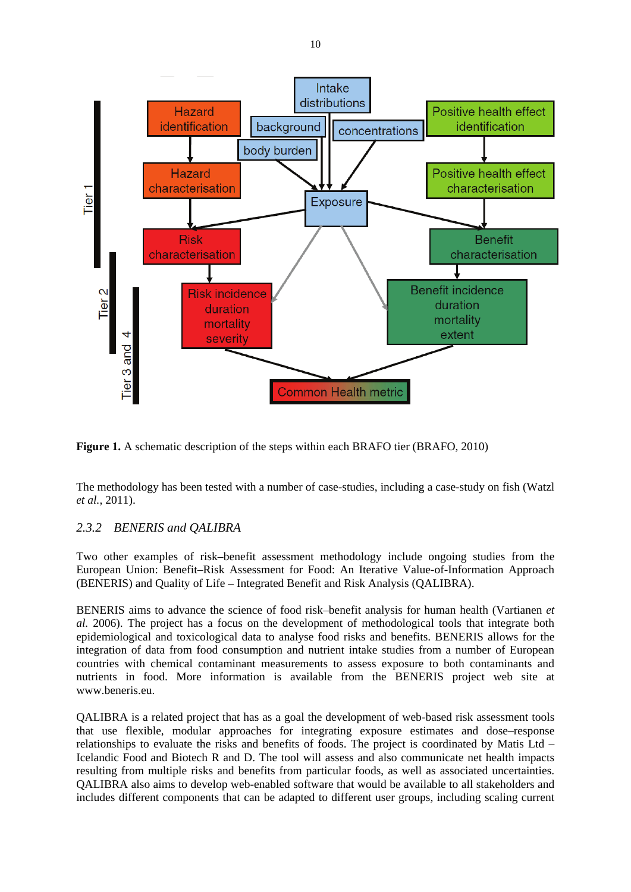

**Figure 1.** A schematic description of the steps within each BRAFO tier (BRAFO, 2010)

The methodology has been tested with a number of case-studies, including a case-study on fish (Watzl *et al.*, 2011).

## *2.3.2 BENERIS and QALIBRA*

Two other examples of risk–benefit assessment methodology include ongoing studies from the European Union: Benefit–Risk Assessment for Food: An Iterative Value-of-Information Approach (BENERIS) and Quality of Life – Integrated Benefit and Risk Analysis (QALIBRA).

BENERIS aims to advance the science of food risk–benefit analysis for human health (Vartianen *et al.* 2006). The project has a focus on the development of methodological tools that integrate both epidemiological and toxicological data to analyse food risks and benefits. BENERIS allows for the integration of data from food consumption and nutrient intake studies from a number of European countries with chemical contaminant measurements to assess exposure to both contaminants and nutrients in food. More information is available from the BENERIS project web site at www.beneris.eu.

QALIBRA is a related project that has as a goal the development of web-based risk assessment tools that use flexible, modular approaches for integrating exposure estimates and dose–response relationships to evaluate the risks and benefits of foods. The project is coordinated by Matis Ltd – Icelandic Food and Biotech R and D. The tool will assess and also communicate net health impacts resulting from multiple risks and benefits from particular foods, as well as associated uncertainties. QALIBRA also aims to develop web-enabled software that would be available to all stakeholders and includes different components that can be adapted to different user groups, including scaling current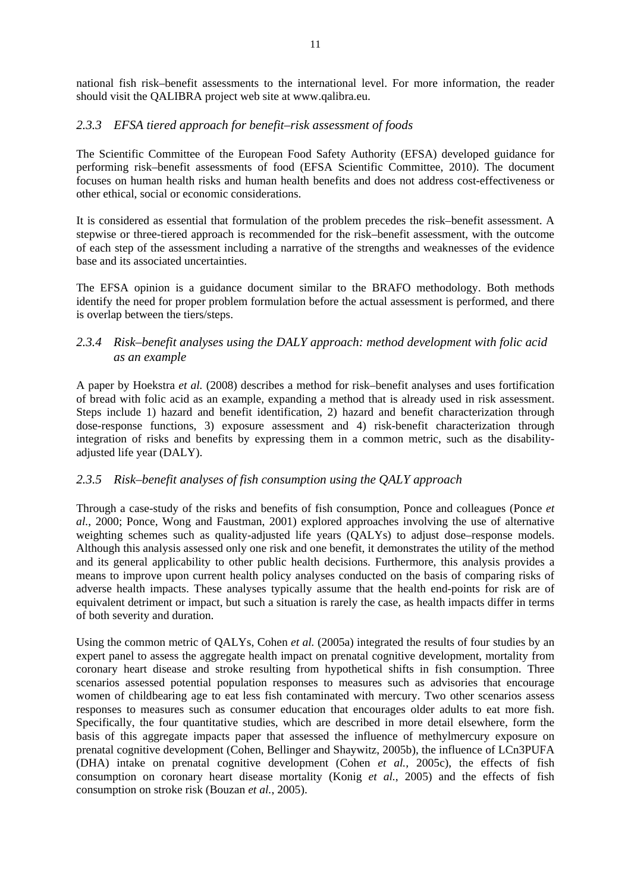national fish risk–benefit assessments to the international level. For more information, the reader should visit the QALIBRA project web site at www.qalibra.eu.

#### *2.3.3 EFSA tiered approach for benefit–risk assessment of foods*

The Scientific Committee of the European Food Safety Authority (EFSA) developed guidance for performing risk–benefit assessments of food (EFSA Scientific Committee, 2010). The document focuses on human health risks and human health benefits and does not address cost-effectiveness or other ethical, social or economic considerations.

It is considered as essential that formulation of the problem precedes the risk–benefit assessment. A stepwise or three-tiered approach is recommended for the risk–benefit assessment, with the outcome of each step of the assessment including a narrative of the strengths and weaknesses of the evidence base and its associated uncertainties.

The EFSA opinion is a guidance document similar to the BRAFO methodology. Both methods identify the need for proper problem formulation before the actual assessment is performed, and there is overlap between the tiers/steps.

#### *2.3.4 Risk–benefit analyses using the DALY approach: method development with folic acid as an example*

A paper by Hoekstra *et al.* (2008) describes a method for risk–benefit analyses and uses fortification of bread with folic acid as an example, expanding a method that is already used in risk assessment. Steps include 1) hazard and benefit identification, 2) hazard and benefit characterization through dose-response functions, 3) exposure assessment and 4) risk-benefit characterization through integration of risks and benefits by expressing them in a common metric, such as the disabilityadjusted life year (DALY).

## *2.3.5 Risk–benefit analyses of fish consumption using the QALY approach*

Through a case-study of the risks and benefits of fish consumption, Ponce and colleagues (Ponce *et al.*, 2000; Ponce, Wong and Faustman, 2001) explored approaches involving the use of alternative weighting schemes such as quality-adjusted life years (QALYs) to adjust dose–response models. Although this analysis assessed only one risk and one benefit, it demonstrates the utility of the method and its general applicability to other public health decisions. Furthermore, this analysis provides a means to improve upon current health policy analyses conducted on the basis of comparing risks of adverse health impacts. These analyses typically assume that the health end-points for risk are of equivalent detriment or impact, but such a situation is rarely the case, as health impacts differ in terms of both severity and duration.

Using the common metric of QALYs, Cohen *et al.* (2005a) integrated the results of four studies by an expert panel to assess the aggregate health impact on prenatal cognitive development, mortality from coronary heart disease and stroke resulting from hypothetical shifts in fish consumption. Three scenarios assessed potential population responses to measures such as advisories that encourage women of childbearing age to eat less fish contaminated with mercury. Two other scenarios assess responses to measures such as consumer education that encourages older adults to eat more fish. Specifically, the four quantitative studies, which are described in more detail elsewhere, form the basis of this aggregate impacts paper that assessed the influence of methylmercury exposure on prenatal cognitive development (Cohen, Bellinger and Shaywitz, 2005b), the influence of LCn3PUFA (DHA) intake on prenatal cognitive development (Cohen *et al.,* 2005c), the effects of fish consumption on coronary heart disease mortality (Konig *et al.*, 2005) and the effects of fish consumption on stroke risk (Bouzan *et al.*, 2005).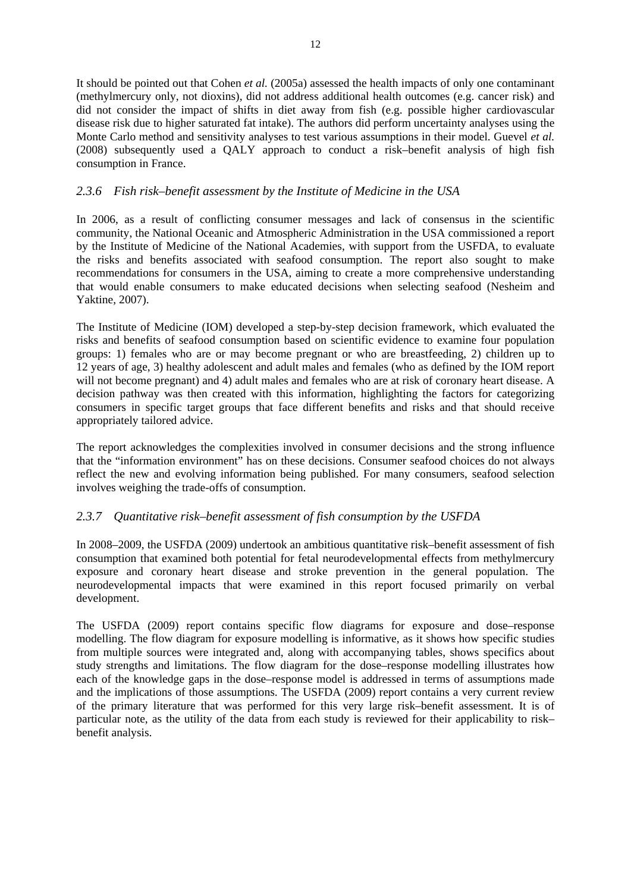It should be pointed out that Cohen *et al.* (2005a) assessed the health impacts of only one contaminant (methylmercury only, not dioxins), did not address additional health outcomes (e.g. cancer risk) and did not consider the impact of shifts in diet away from fish (e.g. possible higher cardiovascular disease risk due to higher saturated fat intake). The authors did perform uncertainty analyses using the Monte Carlo method and sensitivity analyses to test various assumptions in their model. Guevel *et al.* (2008) subsequently used a QALY approach to conduct a risk–benefit analysis of high fish consumption in France.

## *2.3.6 Fish risk–benefit assessment by the Institute of Medicine in the USA*

In 2006, as a result of conflicting consumer messages and lack of consensus in the scientific community, the National Oceanic and Atmospheric Administration in the USA commissioned a report by the Institute of Medicine of the National Academies, with support from the USFDA, to evaluate the risks and benefits associated with seafood consumption. The report also sought to make recommendations for consumers in the USA, aiming to create a more comprehensive understanding that would enable consumers to make educated decisions when selecting seafood (Nesheim and Yaktine, 2007).

The Institute of Medicine (IOM) developed a step-by-step decision framework, which evaluated the risks and benefits of seafood consumption based on scientific evidence to examine four population groups: 1) females who are or may become pregnant or who are breastfeeding, 2) children up to 12 years of age, 3) healthy adolescent and adult males and females (who as defined by the IOM report will not become pregnant) and 4) adult males and females who are at risk of coronary heart disease. A decision pathway was then created with this information, highlighting the factors for categorizing consumers in specific target groups that face different benefits and risks and that should receive appropriately tailored advice.

The report acknowledges the complexities involved in consumer decisions and the strong influence that the "information environment" has on these decisions. Consumer seafood choices do not always reflect the new and evolving information being published. For many consumers, seafood selection involves weighing the trade-offs of consumption.

## *2.3.7 Quantitative risk–benefit assessment of fish consumption by the USFDA*

In 2008–2009, the USFDA (2009) undertook an ambitious quantitative risk–benefit assessment of fish consumption that examined both potential for fetal neurodevelopmental effects from methylmercury exposure and coronary heart disease and stroke prevention in the general population. The neurodevelopmental impacts that were examined in this report focused primarily on verbal development.

The USFDA (2009) report contains specific flow diagrams for exposure and dose–response modelling. The flow diagram for exposure modelling is informative, as it shows how specific studies from multiple sources were integrated and, along with accompanying tables, shows specifics about study strengths and limitations. The flow diagram for the dose–response modelling illustrates how each of the knowledge gaps in the dose–response model is addressed in terms of assumptions made and the implications of those assumptions. The USFDA (2009) report contains a very current review of the primary literature that was performed for this very large risk–benefit assessment. It is of particular note, as the utility of the data from each study is reviewed for their applicability to risk– benefit analysis.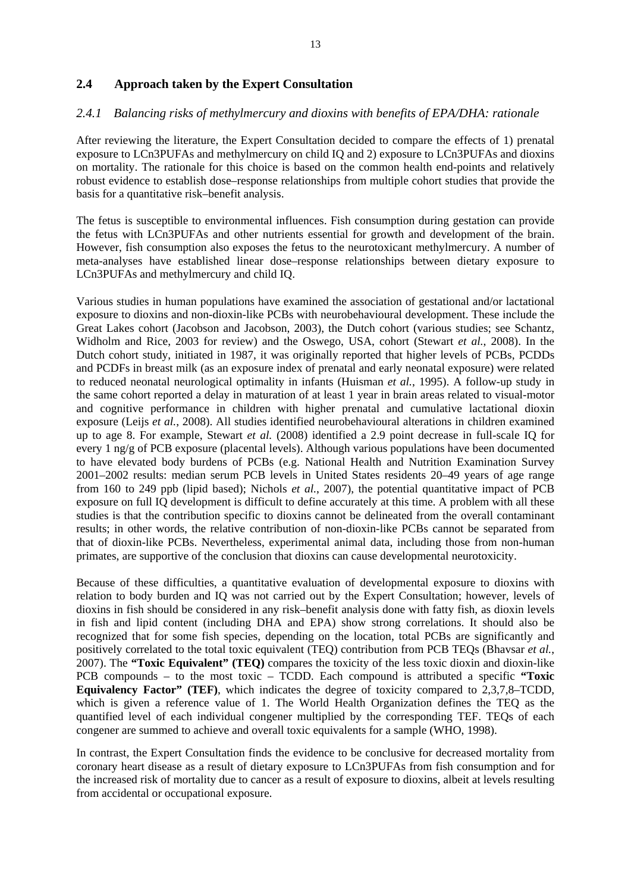#### **2.4 Approach taken by the Expert Consultation**

#### *2.4.1 Balancing risks of methylmercury and dioxins with benefits of EPA/DHA: rationale*

After reviewing the literature, the Expert Consultation decided to compare the effects of 1) prenatal exposure to LCn3PUFAs and methylmercury on child IQ and 2) exposure to LCn3PUFAs and dioxins on mortality. The rationale for this choice is based on the common health end-points and relatively robust evidence to establish dose–response relationships from multiple cohort studies that provide the basis for a quantitative risk–benefit analysis.

The fetus is susceptible to environmental influences. Fish consumption during gestation can provide the fetus with LCn3PUFAs and other nutrients essential for growth and development of the brain. However, fish consumption also exposes the fetus to the neurotoxicant methylmercury. A number of meta-analyses have established linear dose–response relationships between dietary exposure to LCn3PUFAs and methylmercury and child IQ.

Various studies in human populations have examined the association of gestational and/or lactational exposure to dioxins and non-dioxin-like PCBs with neurobehavioural development. These include the Great Lakes cohort (Jacobson and Jacobson, 2003), the Dutch cohort (various studies; see Schantz, Widholm and Rice, 2003 for review) and the Oswego, USA, cohort (Stewart *et al.*, 2008). In the Dutch cohort study, initiated in 1987, it was originally reported that higher levels of PCBs, PCDDs and PCDFs in breast milk (as an exposure index of prenatal and early neonatal exposure) were related to reduced neonatal neurological optimality in infants (Huisman *et al.*, 1995). A follow-up study in the same cohort reported a delay in maturation of at least 1 year in brain areas related to visual-motor and cognitive performance in children with higher prenatal and cumulative lactational dioxin exposure (Leijs *et al.*, 2008). All studies identified neurobehavioural alterations in children examined up to age 8. For example, Stewart *et al.* (2008) identified a 2.9 point decrease in full-scale IQ for every 1 ng/g of PCB exposure (placental levels). Although various populations have been documented to have elevated body burdens of PCBs (e.g. National Health and Nutrition Examination Survey 2001–2002 results: median serum PCB levels in United States residents 20–49 years of age range from 160 to 249 ppb (lipid based); Nichols *et al.*, 2007), the potential quantitative impact of PCB exposure on full IQ development is difficult to define accurately at this time. A problem with all these studies is that the contribution specific to dioxins cannot be delineated from the overall contaminant results; in other words, the relative contribution of non-dioxin-like PCBs cannot be separated from that of dioxin-like PCBs. Nevertheless, experimental animal data, including those from non-human primates, are supportive of the conclusion that dioxins can cause developmental neurotoxicity.

Because of these difficulties, a quantitative evaluation of developmental exposure to dioxins with relation to body burden and IQ was not carried out by the Expert Consultation; however, levels of dioxins in fish should be considered in any risk–benefit analysis done with fatty fish, as dioxin levels in fish and lipid content (including DHA and EPA) show strong correlations. It should also be recognized that for some fish species, depending on the location, total PCBs are significantly and positively correlated to the total toxic equivalent (TEQ) contribution from PCB TEQs (Bhavsar *et al.*, 2007). The **"Toxic Equivalent" (TEQ)** compares the toxicity of the less toxic dioxin and dioxin-like PCB compounds – to the most toxic – TCDD. Each compound is attributed a specific **"Toxic Equivalency Factor" (TEF)**, which indicates the degree of toxicity compared to 2,3,7,8–TCDD, which is given a reference value of 1. The World Health Organization defines the TEQ as the quantified level of each individual congener multiplied by the corresponding TEF. TEQs of each congener are summed to achieve and overall toxic equivalents for a sample (WHO, 1998).

In contrast, the Expert Consultation finds the evidence to be conclusive for decreased mortality from coronary heart disease as a result of dietary exposure to LCn3PUFAs from fish consumption and for the increased risk of mortality due to cancer as a result of exposure to dioxins, albeit at levels resulting from accidental or occupational exposure.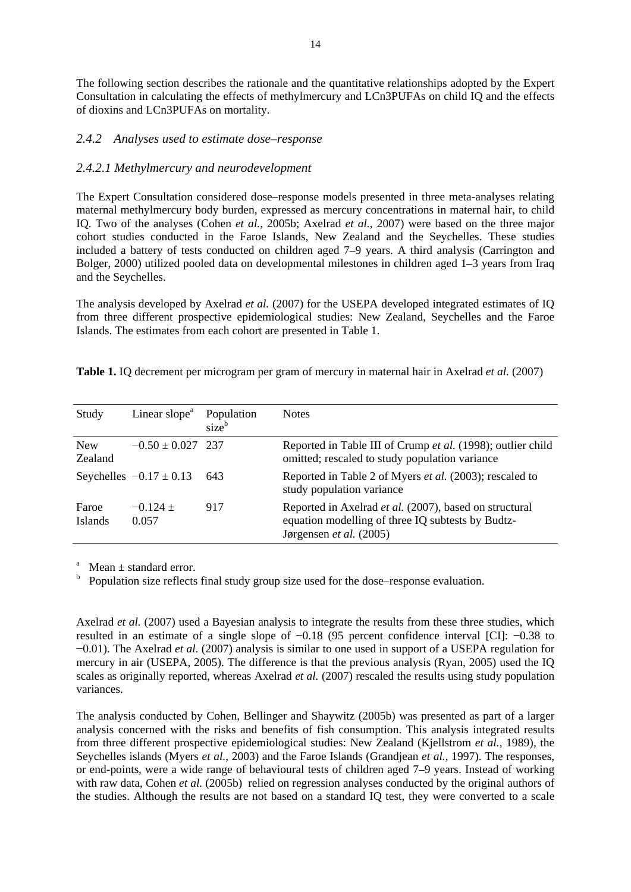The following section describes the rationale and the quantitative relationships adopted by the Expert Consultation in calculating the effects of methylmercury and LCn3PUFAs on child IQ and the effects of dioxins and LCn3PUFAs on mortality.

#### *2.4.2 Analyses used to estimate dose–response*

#### *2.4.2.1 Methylmercury and neurodevelopment*

The Expert Consultation considered dose–response models presented in three meta-analyses relating maternal methylmercury body burden, expressed as mercury concentrations in maternal hair, to child IQ. Two of the analyses (Cohen *et al.*, 2005b; Axelrad *et al.*, 2007) were based on the three major cohort studies conducted in the Faroe Islands, New Zealand and the Seychelles. These studies included a battery of tests conducted on children aged 7–9 years. A third analysis (Carrington and Bolger, 2000) utilized pooled data on developmental milestones in children aged 1–3 years from Iraq and the Seychelles.

The analysis developed by Axelrad *et al.* (2007) for the USEPA developed integrated estimates of IQ from three different prospective epidemiological studies: New Zealand, Seychelles and the Faroe Islands. The estimates from each cohort are presented in Table 1.

| Study                   | Linear slope <sup>a</sup>   | Population<br>size <sup>b</sup> | <b>Notes</b>                                                                                                                           |
|-------------------------|-----------------------------|---------------------------------|----------------------------------------------------------------------------------------------------------------------------------------|
| <b>New</b><br>Zealand   | $-0.50 \pm 0.027$ 237       |                                 | Reported in Table III of Crump et al. (1998); outlier child<br>omitted; rescaled to study population variance                          |
|                         | Seychelles $-0.17 \pm 0.13$ | 643                             | Reported in Table 2 of Myers et al. (2003); rescaled to<br>study population variance                                                   |
| Faroe<br><b>Islands</b> | $-0.124 +$<br>0.057         | 917                             | Reported in Axelrad et al. (2007), based on structural<br>equation modelling of three IQ subtests by Budtz-<br>Jørgensen et al. (2005) |

**Table 1.** IQ decrement per microgram per gram of mercury in maternal hair in Axelrad *et al.* (2007)

a Mean  $\pm$  standard error.

b Population size reflects final study group size used for the dose–response evaluation.

Axelrad *et al.* (2007) used a Bayesian analysis to integrate the results from these three studies, which resulted in an estimate of a single slope of −0.18 (95 percent confidence interval [CI]: −0.38 to −0.01). The Axelrad *et al.* (2007) analysis is similar to one used in support of a USEPA regulation for mercury in air (USEPA, 2005). The difference is that the previous analysis (Ryan, 2005) used the IQ scales as originally reported, whereas Axelrad *et al.* (2007) rescaled the results using study population variances.

The analysis conducted by Cohen, Bellinger and Shaywitz (2005b) was presented as part of a larger analysis concerned with the risks and benefits of fish consumption. This analysis integrated results from three different prospective epidemiological studies: New Zealand (Kjellstrom *et al.*, 1989), the Seychelles islands (Myers *et al.*, 2003) and the Faroe Islands (Grandjean *et al.*, 1997). The responses, or end-points, were a wide range of behavioural tests of children aged 7–9 years. Instead of working with raw data, Cohen *et al.* (2005b) relied on regression analyses conducted by the original authors of the studies. Although the results are not based on a standard IQ test, they were converted to a scale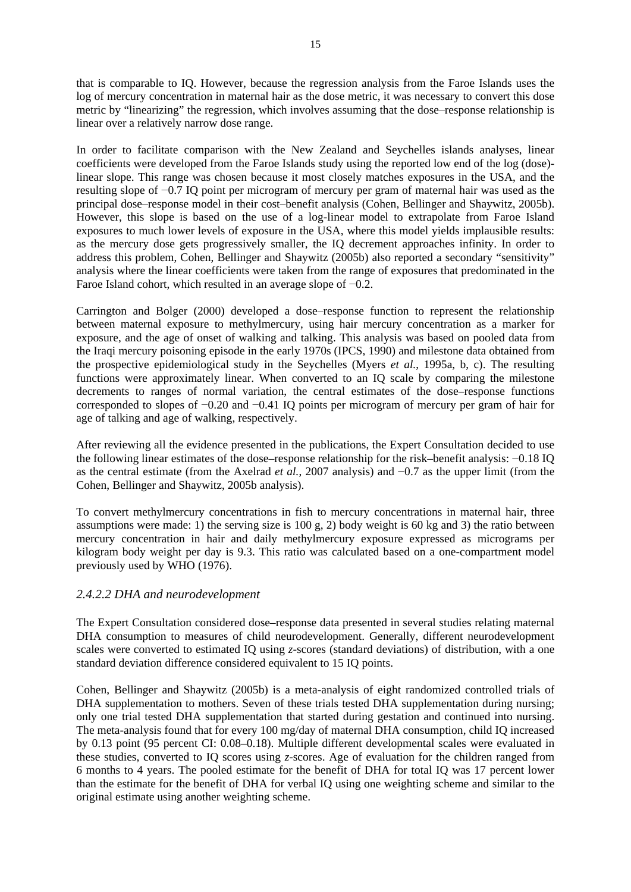that is comparable to IQ. However, because the regression analysis from the Faroe Islands uses the log of mercury concentration in maternal hair as the dose metric, it was necessary to convert this dose metric by "linearizing" the regression, which involves assuming that the dose–response relationship is linear over a relatively narrow dose range.

In order to facilitate comparison with the New Zealand and Seychelles islands analyses, linear coefficients were developed from the Faroe Islands study using the reported low end of the log (dose) linear slope. This range was chosen because it most closely matches exposures in the USA, and the resulting slope of −0.7 IQ point per microgram of mercury per gram of maternal hair was used as the principal dose–response model in their cost–benefit analysis (Cohen, Bellinger and Shaywitz, 2005b). However, this slope is based on the use of a log-linear model to extrapolate from Faroe Island exposures to much lower levels of exposure in the USA, where this model yields implausible results: as the mercury dose gets progressively smaller, the IQ decrement approaches infinity. In order to address this problem, Cohen, Bellinger and Shaywitz (2005b) also reported a secondary "sensitivity" analysis where the linear coefficients were taken from the range of exposures that predominated in the Faroe Island cohort, which resulted in an average slope of −0.2.

Carrington and Bolger (2000) developed a dose–response function to represent the relationship between maternal exposure to methylmercury, using hair mercury concentration as a marker for exposure, and the age of onset of walking and talking. This analysis was based on pooled data from the Iraqi mercury poisoning episode in the early 1970s (IPCS, 1990) and milestone data obtained from the prospective epidemiological study in the Seychelles (Myers *et al.*, 1995a, b, c). The resulting functions were approximately linear. When converted to an IQ scale by comparing the milestone decrements to ranges of normal variation, the central estimates of the dose–response functions corresponded to slopes of −0.20 and −0.41 IQ points per microgram of mercury per gram of hair for age of talking and age of walking, respectively.

After reviewing all the evidence presented in the publications, the Expert Consultation decided to use the following linear estimates of the dose–response relationship for the risk–benefit analysis: −0.18 IQ as the central estimate (from the Axelrad *et al.*, 2007 analysis) and −0.7 as the upper limit (from the Cohen, Bellinger and Shaywitz, 2005b analysis).

To convert methylmercury concentrations in fish to mercury concentrations in maternal hair, three assumptions were made: 1) the serving size is 100 g, 2) body weight is 60 kg and 3) the ratio between mercury concentration in hair and daily methylmercury exposure expressed as micrograms per kilogram body weight per day is 9.3. This ratio was calculated based on a one-compartment model previously used by WHO (1976).

## *2.4.2.2 DHA and neurodevelopment*

The Expert Consultation considered dose–response data presented in several studies relating maternal DHA consumption to measures of child neurodevelopment. Generally, different neurodevelopment scales were converted to estimated IQ using *z*-scores (standard deviations) of distribution, with a one standard deviation difference considered equivalent to 15 IQ points.

Cohen, Bellinger and Shaywitz (2005b) is a meta-analysis of eight randomized controlled trials of DHA supplementation to mothers. Seven of these trials tested DHA supplementation during nursing; only one trial tested DHA supplementation that started during gestation and continued into nursing. The meta-analysis found that for every 100 mg/day of maternal DHA consumption, child IQ increased by 0.13 point (95 percent CI: 0.08–0.18). Multiple different developmental scales were evaluated in these studies, converted to IQ scores using *z*-scores. Age of evaluation for the children ranged from 6 months to 4 years. The pooled estimate for the benefit of DHA for total IQ was 17 percent lower than the estimate for the benefit of DHA for verbal IQ using one weighting scheme and similar to the original estimate using another weighting scheme.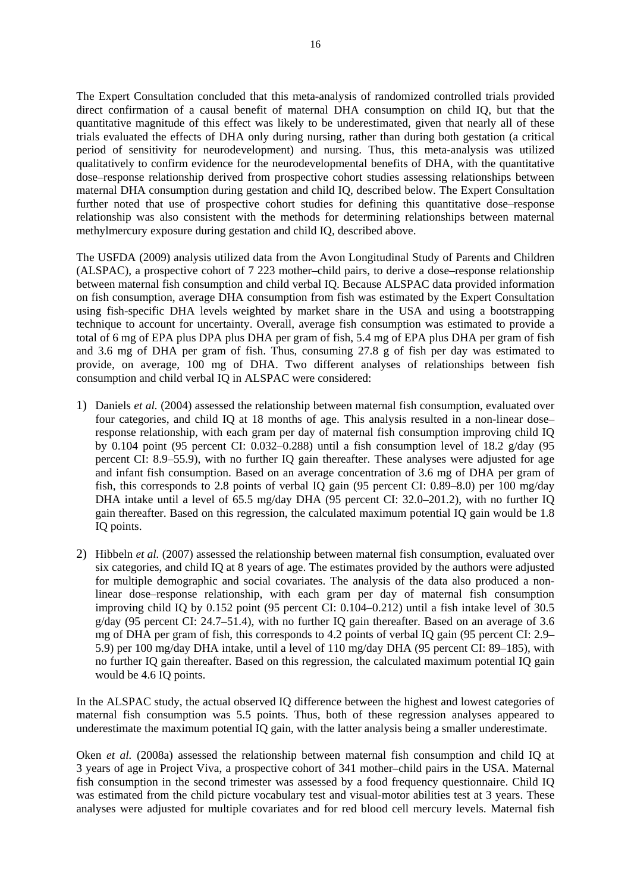The Expert Consultation concluded that this meta-analysis of randomized controlled trials provided direct confirmation of a causal benefit of maternal DHA consumption on child IQ, but that the quantitative magnitude of this effect was likely to be underestimated, given that nearly all of these trials evaluated the effects of DHA only during nursing, rather than during both gestation (a critical period of sensitivity for neurodevelopment) and nursing. Thus, this meta-analysis was utilized qualitatively to confirm evidence for the neurodevelopmental benefits of DHA, with the quantitative dose–response relationship derived from prospective cohort studies assessing relationships between maternal DHA consumption during gestation and child IQ, described below. The Expert Consultation further noted that use of prospective cohort studies for defining this quantitative dose–response relationship was also consistent with the methods for determining relationships between maternal methylmercury exposure during gestation and child IQ, described above.

The USFDA (2009) analysis utilized data from the Avon Longitudinal Study of Parents and Children (ALSPAC), a prospective cohort of 7 223 mother–child pairs, to derive a dose–response relationship between maternal fish consumption and child verbal IQ. Because ALSPAC data provided information on fish consumption, average DHA consumption from fish was estimated by the Expert Consultation using fish-specific DHA levels weighted by market share in the USA and using a bootstrapping technique to account for uncertainty. Overall, average fish consumption was estimated to provide a total of 6 mg of EPA plus DPA plus DHA per gram of fish, 5.4 mg of EPA plus DHA per gram of fish and 3.6 mg of DHA per gram of fish. Thus, consuming 27.8 g of fish per day was estimated to provide, on average, 100 mg of DHA. Two different analyses of relationships between fish consumption and child verbal IQ in ALSPAC were considered:

- 1) Daniels *et al.* (2004) assessed the relationship between maternal fish consumption, evaluated over four categories, and child IQ at 18 months of age. This analysis resulted in a non-linear dose– response relationship, with each gram per day of maternal fish consumption improving child IQ by 0.104 point (95 percent CI: 0.032–0.288) until a fish consumption level of 18.2 g/day (95 percent CI: 8.9–55.9), with no further IQ gain thereafter. These analyses were adjusted for age and infant fish consumption. Based on an average concentration of 3.6 mg of DHA per gram of fish, this corresponds to 2.8 points of verbal IQ gain (95 percent CI: 0.89–8.0) per 100 mg/day DHA intake until a level of 65.5 mg/day DHA (95 percent CI: 32.0–201.2), with no further IQ gain thereafter. Based on this regression, the calculated maximum potential IQ gain would be 1.8 IQ points.
- 2) Hibbeln *et al.* (2007) assessed the relationship between maternal fish consumption, evaluated over six categories, and child IQ at 8 years of age. The estimates provided by the authors were adjusted for multiple demographic and social covariates. The analysis of the data also produced a nonlinear dose–response relationship, with each gram per day of maternal fish consumption improving child IQ by 0.152 point (95 percent CI: 0.104–0.212) until a fish intake level of 30.5 g/day (95 percent CI: 24.7–51.4), with no further IQ gain thereafter. Based on an average of 3.6 mg of DHA per gram of fish, this corresponds to 4.2 points of verbal IQ gain (95 percent CI: 2.9– 5.9) per 100 mg/day DHA intake, until a level of 110 mg/day DHA (95 percent CI: 89–185), with no further IQ gain thereafter. Based on this regression, the calculated maximum potential IQ gain would be 4.6 IQ points.

In the ALSPAC study, the actual observed IQ difference between the highest and lowest categories of maternal fish consumption was 5.5 points. Thus, both of these regression analyses appeared to underestimate the maximum potential IQ gain, with the latter analysis being a smaller underestimate.

Oken *et al.* (2008a) assessed the relationship between maternal fish consumption and child IQ at 3 years of age in Project Viva, a prospective cohort of 341 mother–child pairs in the USA. Maternal fish consumption in the second trimester was assessed by a food frequency questionnaire. Child IQ was estimated from the child picture vocabulary test and visual-motor abilities test at 3 years. These analyses were adjusted for multiple covariates and for red blood cell mercury levels. Maternal fish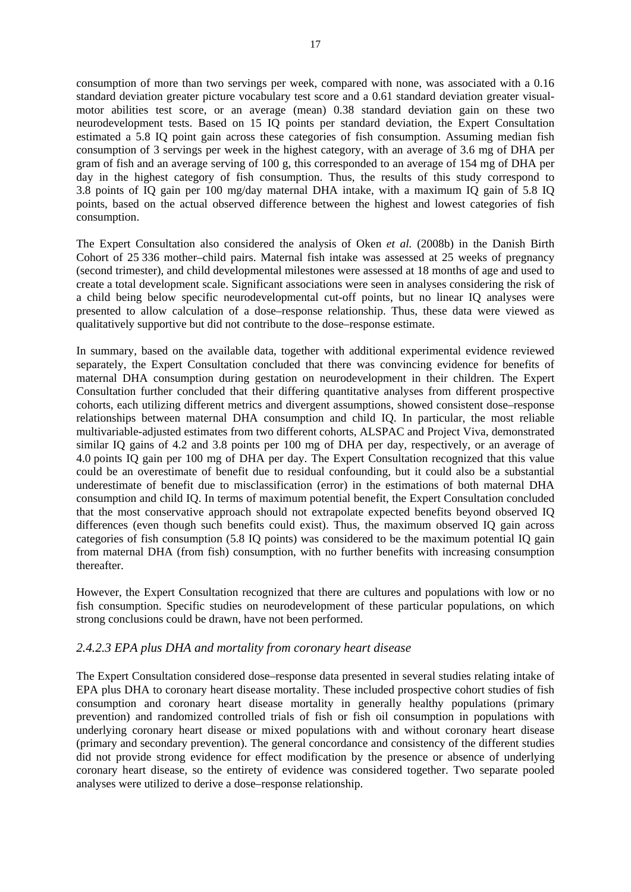consumption of more than two servings per week, compared with none, was associated with a 0.16 standard deviation greater picture vocabulary test score and a 0.61 standard deviation greater visualmotor abilities test score, or an average (mean) 0.38 standard deviation gain on these two neurodevelopment tests. Based on 15 IQ points per standard deviation, the Expert Consultation estimated a 5.8 IQ point gain across these categories of fish consumption. Assuming median fish consumption of 3 servings per week in the highest category, with an average of 3.6 mg of DHA per gram of fish and an average serving of 100 g, this corresponded to an average of 154 mg of DHA per day in the highest category of fish consumption. Thus, the results of this study correspond to 3.8 points of IQ gain per 100 mg/day maternal DHA intake, with a maximum IQ gain of 5.8 IQ points, based on the actual observed difference between the highest and lowest categories of fish consumption.

The Expert Consultation also considered the analysis of Oken *et al.* (2008b) in the Danish Birth Cohort of 25 336 mother–child pairs. Maternal fish intake was assessed at 25 weeks of pregnancy (second trimester), and child developmental milestones were assessed at 18 months of age and used to create a total development scale. Significant associations were seen in analyses considering the risk of a child being below specific neurodevelopmental cut-off points, but no linear IQ analyses were presented to allow calculation of a dose–response relationship. Thus, these data were viewed as qualitatively supportive but did not contribute to the dose–response estimate.

In summary, based on the available data, together with additional experimental evidence reviewed separately, the Expert Consultation concluded that there was convincing evidence for benefits of maternal DHA consumption during gestation on neurodevelopment in their children. The Expert Consultation further concluded that their differing quantitative analyses from different prospective cohorts, each utilizing different metrics and divergent assumptions, showed consistent dose–response relationships between maternal DHA consumption and child IQ. In particular, the most reliable multivariable-adjusted estimates from two different cohorts, ALSPAC and Project Viva, demonstrated similar IQ gains of 4.2 and 3.8 points per 100 mg of DHA per day, respectively, or an average of 4.0 points IQ gain per 100 mg of DHA per day. The Expert Consultation recognized that this value could be an overestimate of benefit due to residual confounding, but it could also be a substantial underestimate of benefit due to misclassification (error) in the estimations of both maternal DHA consumption and child IQ. In terms of maximum potential benefit, the Expert Consultation concluded that the most conservative approach should not extrapolate expected benefits beyond observed IQ differences (even though such benefits could exist). Thus, the maximum observed IQ gain across categories of fish consumption (5.8 IQ points) was considered to be the maximum potential IQ gain from maternal DHA (from fish) consumption, with no further benefits with increasing consumption thereafter.

However, the Expert Consultation recognized that there are cultures and populations with low or no fish consumption. Specific studies on neurodevelopment of these particular populations, on which strong conclusions could be drawn, have not been performed.

## *2.4.2.3 EPA plus DHA and mortality from coronary heart disease*

The Expert Consultation considered dose–response data presented in several studies relating intake of EPA plus DHA to coronary heart disease mortality. These included prospective cohort studies of fish consumption and coronary heart disease mortality in generally healthy populations (primary prevention) and randomized controlled trials of fish or fish oil consumption in populations with underlying coronary heart disease or mixed populations with and without coronary heart disease (primary and secondary prevention). The general concordance and consistency of the different studies did not provide strong evidence for effect modification by the presence or absence of underlying coronary heart disease, so the entirety of evidence was considered together. Two separate pooled analyses were utilized to derive a dose–response relationship.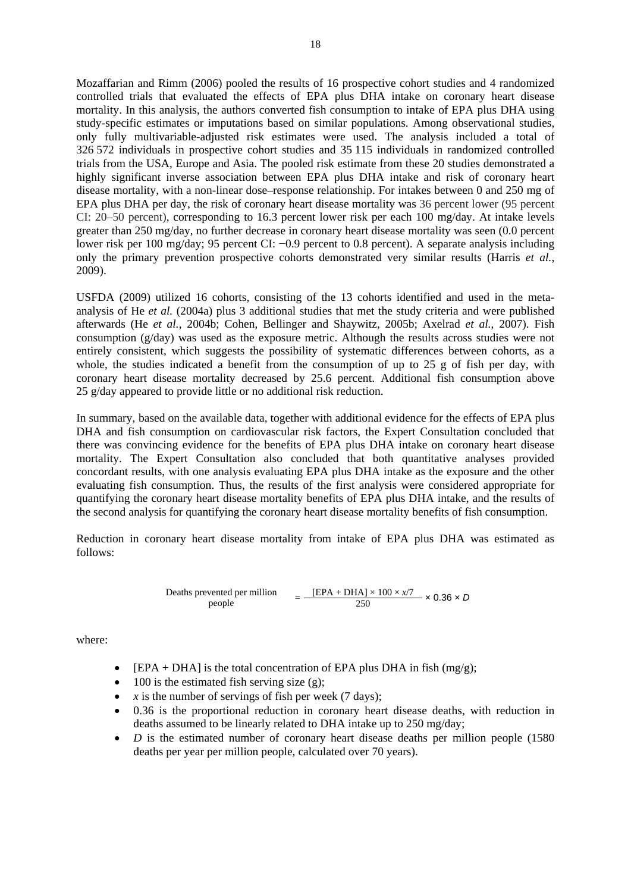Mozaffarian and Rimm (2006) pooled the results of 16 prospective cohort studies and 4 randomized controlled trials that evaluated the effects of EPA plus DHA intake on coronary heart disease mortality. In this analysis, the authors converted fish consumption to intake of EPA plus DHA using study-specific estimates or imputations based on similar populations. Among observational studies, only fully multivariable-adjusted risk estimates were used. The analysis included a total of 326 572 individuals in prospective cohort studies and 35 115 individuals in randomized controlled trials from the USA, Europe and Asia. The pooled risk estimate from these 20 studies demonstrated a highly significant inverse association between EPA plus DHA intake and risk of coronary heart disease mortality, with a non-linear dose–response relationship. For intakes between 0 and 250 mg of EPA plus DHA per day, the risk of coronary heart disease mortality was 36 percent lower (95 percent CI: 20–50 percent), corresponding to 16.3 percent lower risk per each 100 mg/day. At intake levels greater than 250 mg/day, no further decrease in coronary heart disease mortality was seen (0.0 percent lower risk per 100 mg/day; 95 percent CI: −0.9 percent to 0.8 percent). A separate analysis including only the primary prevention prospective cohorts demonstrated very similar results (Harris *et al.*, 2009).

USFDA (2009) utilized 16 cohorts, consisting of the 13 cohorts identified and used in the metaanalysis of He *et al.* (2004a) plus 3 additional studies that met the study criteria and were published afterwards (He *et al.*, 2004b; Cohen, Bellinger and Shaywitz, 2005b; Axelrad *et al.*, 2007). Fish consumption (g/day) was used as the exposure metric. Although the results across studies were not entirely consistent, which suggests the possibility of systematic differences between cohorts, as a whole, the studies indicated a benefit from the consumption of up to 25 g of fish per day, with coronary heart disease mortality decreased by 25.6 percent. Additional fish consumption above 25 g/day appeared to provide little or no additional risk reduction.

In summary, based on the available data, together with additional evidence for the effects of EPA plus DHA and fish consumption on cardiovascular risk factors, the Expert Consultation concluded that there was convincing evidence for the benefits of EPA plus DHA intake on coronary heart disease mortality. The Expert Consultation also concluded that both quantitative analyses provided concordant results, with one analysis evaluating EPA plus DHA intake as the exposure and the other evaluating fish consumption. Thus, the results of the first analysis were considered appropriate for quantifying the coronary heart disease mortality benefits of EPA plus DHA intake, and the results of the second analysis for quantifying the coronary heart disease mortality benefits of fish consumption.

Reduction in coronary heart disease mortality from intake of EPA plus DHA was estimated as follows:

Deaths prevented per million  
people = 
$$
\frac{[EPA + DHA] \times 100 \times x/7}{250} \times 0.36 \times D
$$

where:

- $[EPA + DHA]$  is the total concentration of EPA plus DHA in fish  $(mg/g)$ ;
- 100 is the estimated fish serving size (g);
- $\chi$  is the number of servings of fish per week (7 days);
- 0.36 is the proportional reduction in coronary heart disease deaths, with reduction in deaths assumed to be linearly related to DHA intake up to 250 mg/day;
- *D* is the estimated number of coronary heart disease deaths per million people (1580) deaths per year per million people, calculated over 70 years).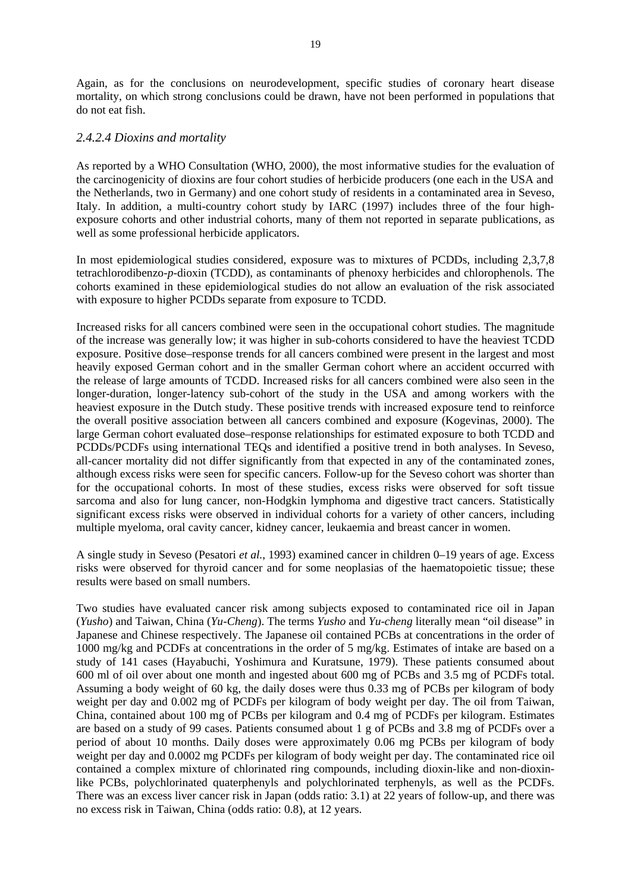Again, as for the conclusions on neurodevelopment, specific studies of coronary heart disease mortality, on which strong conclusions could be drawn, have not been performed in populations that do not eat fish.

#### *2.4.2.4 Dioxins and mortality*

As reported by a WHO Consultation (WHO, 2000), the most informative studies for the evaluation of the carcinogenicity of dioxins are four cohort studies of herbicide producers (one each in the USA and the Netherlands, two in Germany) and one cohort study of residents in a contaminated area in Seveso, Italy. In addition, a multi-country cohort study by IARC (1997) includes three of the four highexposure cohorts and other industrial cohorts, many of them not reported in separate publications, as well as some professional herbicide applicators.

In most epidemiological studies considered, exposure was to mixtures of PCDDs, including 2,3,7,8 tetrachlorodibenzo-*p*-dioxin (TCDD), as contaminants of phenoxy herbicides and chlorophenols. The cohorts examined in these epidemiological studies do not allow an evaluation of the risk associated with exposure to higher PCDDs separate from exposure to TCDD.

Increased risks for all cancers combined were seen in the occupational cohort studies. The magnitude of the increase was generally low; it was higher in sub-cohorts considered to have the heaviest TCDD exposure. Positive dose–response trends for all cancers combined were present in the largest and most heavily exposed German cohort and in the smaller German cohort where an accident occurred with the release of large amounts of TCDD. Increased risks for all cancers combined were also seen in the longer-duration, longer-latency sub-cohort of the study in the USA and among workers with the heaviest exposure in the Dutch study. These positive trends with increased exposure tend to reinforce the overall positive association between all cancers combined and exposure (Kogevinas, 2000). The large German cohort evaluated dose–response relationships for estimated exposure to both TCDD and PCDDs/PCDFs using international TEQs and identified a positive trend in both analyses. In Seveso, all-cancer mortality did not differ significantly from that expected in any of the contaminated zones, although excess risks were seen for specific cancers. Follow-up for the Seveso cohort was shorter than for the occupational cohorts. In most of these studies, excess risks were observed for soft tissue sarcoma and also for lung cancer, non-Hodgkin lymphoma and digestive tract cancers. Statistically significant excess risks were observed in individual cohorts for a variety of other cancers, including multiple myeloma, oral cavity cancer, kidney cancer, leukaemia and breast cancer in women.

A single study in Seveso (Pesatori *et al.*, 1993) examined cancer in children 0–19 years of age. Excess risks were observed for thyroid cancer and for some neoplasias of the haematopoietic tissue; these results were based on small numbers.

Two studies have evaluated cancer risk among subjects exposed to contaminated rice oil in Japan (*Yusho*) and Taiwan, China (*Yu-Cheng*). The terms *Yusho* and *Yu-cheng* literally mean "oil disease" in Japanese and Chinese respectively. The Japanese oil contained PCBs at concentrations in the order of 1000 mg/kg and PCDFs at concentrations in the order of 5 mg/kg. Estimates of intake are based on a study of 141 cases (Hayabuchi, Yoshimura and Kuratsune, 1979). These patients consumed about 600 ml of oil over about one month and ingested about 600 mg of PCBs and 3.5 mg of PCDFs total. Assuming a body weight of 60 kg, the daily doses were thus 0.33 mg of PCBs per kilogram of body weight per day and 0.002 mg of PCDFs per kilogram of body weight per day. The oil from Taiwan, China, contained about 100 mg of PCBs per kilogram and 0.4 mg of PCDFs per kilogram. Estimates are based on a study of 99 cases. Patients consumed about 1 g of PCBs and 3.8 mg of PCDFs over a period of about 10 months. Daily doses were approximately 0.06 mg PCBs per kilogram of body weight per day and 0.0002 mg PCDFs per kilogram of body weight per day. The contaminated rice oil contained a complex mixture of chlorinated ring compounds, including dioxin-like and non-dioxinlike PCBs, polychlorinated quaterphenyls and polychlorinated terphenyls, as well as the PCDFs. There was an excess liver cancer risk in Japan (odds ratio: 3.1) at 22 years of follow-up, and there was no excess risk in Taiwan, China (odds ratio: 0.8), at 12 years.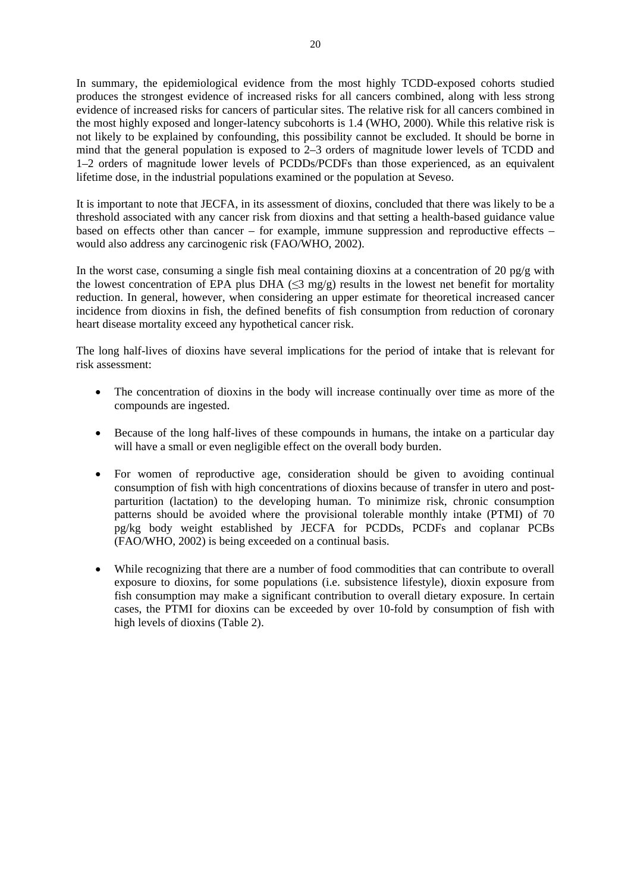In summary, the epidemiological evidence from the most highly TCDD-exposed cohorts studied produces the strongest evidence of increased risks for all cancers combined, along with less strong evidence of increased risks for cancers of particular sites. The relative risk for all cancers combined in the most highly exposed and longer-latency subcohorts is 1.4 (WHO, 2000). While this relative risk is not likely to be explained by confounding, this possibility cannot be excluded. It should be borne in mind that the general population is exposed to 2–3 orders of magnitude lower levels of TCDD and 1–2 orders of magnitude lower levels of PCDDs/PCDFs than those experienced, as an equivalent lifetime dose, in the industrial populations examined or the population at Seveso.

It is important to note that JECFA, in its assessment of dioxins, concluded that there was likely to be a threshold associated with any cancer risk from dioxins and that setting a health-based guidance value based on effects other than cancer – for example, immune suppression and reproductive effects – would also address any carcinogenic risk (FAO/WHO, 2002).

In the worst case, consuming a single fish meal containing dioxins at a concentration of 20 pg/g with the lowest concentration of EPA plus DHA ( $\leq$ 3 mg/g) results in the lowest net benefit for mortality reduction. In general, however, when considering an upper estimate for theoretical increased cancer incidence from dioxins in fish, the defined benefits of fish consumption from reduction of coronary heart disease mortality exceed any hypothetical cancer risk.

The long half-lives of dioxins have several implications for the period of intake that is relevant for risk assessment:

- The concentration of dioxins in the body will increase continually over time as more of the compounds are ingested.
- Because of the long half-lives of these compounds in humans, the intake on a particular day will have a small or even negligible effect on the overall body burden.
- For women of reproductive age, consideration should be given to avoiding continual consumption of fish with high concentrations of dioxins because of transfer in utero and postparturition (lactation) to the developing human. To minimize risk, chronic consumption patterns should be avoided where the provisional tolerable monthly intake (PTMI) of 70 pg/kg body weight established by JECFA for PCDDs, PCDFs and coplanar PCBs (FAO/WHO, 2002) is being exceeded on a continual basis.
- While recognizing that there are a number of food commodities that can contribute to overall exposure to dioxins, for some populations (i.e. subsistence lifestyle), dioxin exposure from fish consumption may make a significant contribution to overall dietary exposure. In certain cases, the PTMI for dioxins can be exceeded by over 10-fold by consumption of fish with high levels of dioxins (Table 2).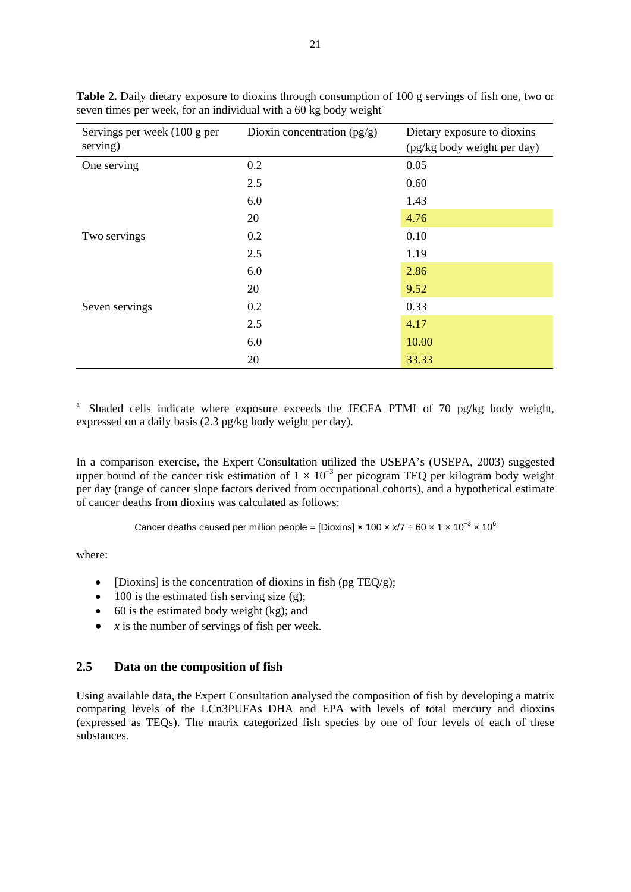| Servings per week (100 g per<br>serving) | Dioxin concentration $(pg/g)$ | Dietary exposure to dioxins<br>(pg/kg body weight per day) |
|------------------------------------------|-------------------------------|------------------------------------------------------------|
| One serving                              | 0.2                           | 0.05                                                       |
|                                          | 2.5                           | 0.60                                                       |
|                                          | 6.0                           | 1.43                                                       |
|                                          | 20                            | 4.76                                                       |
| Two servings                             | 0.2                           | 0.10                                                       |
|                                          | 2.5                           | 1.19                                                       |
|                                          | 6.0                           | 2.86                                                       |
|                                          | 20                            | 9.52                                                       |
| Seven servings                           | 0.2                           | 0.33                                                       |
|                                          | 2.5                           | 4.17                                                       |
|                                          | 6.0                           | 10.00                                                      |
|                                          | 20                            | 33.33                                                      |

**Table 2.** Daily dietary exposure to dioxins through consumption of 100 g servings of fish one, two or seven times per week, for an individual with a  $60$  kg body weight<sup>a</sup>

<sup>a</sup> Shaded cells indicate where exposure exceeds the JECFA PTMI of 70 pg/kg body weight, expressed on a daily basis (2.3 pg/kg body weight per day).

In a comparison exercise, the Expert Consultation utilized the USEPA's (USEPA, 2003) suggested upper bound of the cancer risk estimation of  $1 \times 10^{-3}$  per picogram TEQ per kilogram body weight per day (range of cancer slope factors derived from occupational cohorts), and a hypothetical estimate of cancer deaths from dioxins was calculated as follows:

Cancer deaths caused per million people = [Dioxins] × 100 ×  $x/7 \div 60 \times 1 \times 10^{-3} \times 10^{6}$ 

where:

- [Dioxins] is the concentration of dioxins in fish (pg TEQ/g);
- $\bullet$  100 is the estimated fish serving size (g);
- $\bullet$  60 is the estimated body weight (kg); and
- $\bullet$  *x* is the number of servings of fish per week.

## **2.5 Data on the composition of fish**

Using available data, the Expert Consultation analysed the composition of fish by developing a matrix comparing levels of the LCn3PUFAs DHA and EPA with levels of total mercury and dioxins (expressed as TEQs). The matrix categorized fish species by one of four levels of each of these substances.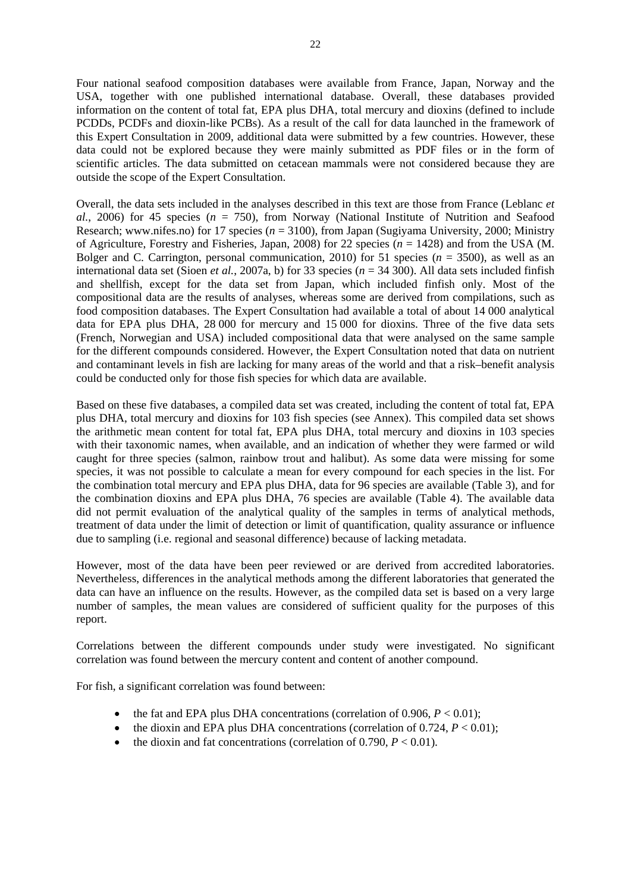Four national seafood composition databases were available from France, Japan, Norway and the USA, together with one published international database. Overall, these databases provided information on the content of total fat, EPA plus DHA, total mercury and dioxins (defined to include PCDDs, PCDFs and dioxin-like PCBs). As a result of the call for data launched in the framework of this Expert Consultation in 2009, additional data were submitted by a few countries. However, these data could not be explored because they were mainly submitted as PDF files or in the form of scientific articles. The data submitted on cetacean mammals were not considered because they are outside the scope of the Expert Consultation.

Overall, the data sets included in the analyses described in this text are those from France (Leblanc *et al.*, 2006) for 45 species (*n* = 750), from Norway (National Institute of Nutrition and Seafood Research; www.nifes.no) for 17 species (*n* = 3100), from Japan (Sugiyama University, 2000; Ministry of Agriculture, Forestry and Fisheries, Japan, 2008) for 22 species (*n* = 1428) and from the USA (M. Bolger and C. Carrington, personal communication, 2010) for 51 species  $(n = 3500)$ , as well as an international data set (Sioen *et al.*, 2007a, b) for 33 species ( $n = 34,300$ ). All data sets included finfish and shellfish, except for the data set from Japan, which included finfish only. Most of the compositional data are the results of analyses, whereas some are derived from compilations, such as food composition databases. The Expert Consultation had available a total of about 14 000 analytical data for EPA plus DHA, 28 000 for mercury and 15 000 for dioxins. Three of the five data sets (French, Norwegian and USA) included compositional data that were analysed on the same sample for the different compounds considered. However, the Expert Consultation noted that data on nutrient and contaminant levels in fish are lacking for many areas of the world and that a risk–benefit analysis could be conducted only for those fish species for which data are available.

Based on these five databases, a compiled data set was created, including the content of total fat, EPA plus DHA, total mercury and dioxins for 103 fish species (see Annex). This compiled data set shows the arithmetic mean content for total fat, EPA plus DHA, total mercury and dioxins in 103 species with their taxonomic names, when available, and an indication of whether they were farmed or wild caught for three species (salmon, rainbow trout and halibut). As some data were missing for some species, it was not possible to calculate a mean for every compound for each species in the list. For the combination total mercury and EPA plus DHA, data for 96 species are available (Table 3), and for the combination dioxins and EPA plus DHA, 76 species are available (Table 4). The available data did not permit evaluation of the analytical quality of the samples in terms of analytical methods, treatment of data under the limit of detection or limit of quantification, quality assurance or influence due to sampling (i.e. regional and seasonal difference) because of lacking metadata.

However, most of the data have been peer reviewed or are derived from accredited laboratories. Nevertheless, differences in the analytical methods among the different laboratories that generated the data can have an influence on the results. However, as the compiled data set is based on a very large number of samples, the mean values are considered of sufficient quality for the purposes of this report.

Correlations between the different compounds under study were investigated. No significant correlation was found between the mercury content and content of another compound.

For fish, a significant correlation was found between:

- the fat and EPA plus DHA concentrations (correlation of  $0.906$ ,  $P < 0.01$ );
- the dioxin and EPA plus DHA concentrations (correlation of  $0.724$ ,  $P < 0.01$ );
- the dioxin and fat concentrations (correlation of  $0.790, P < 0.01$ ).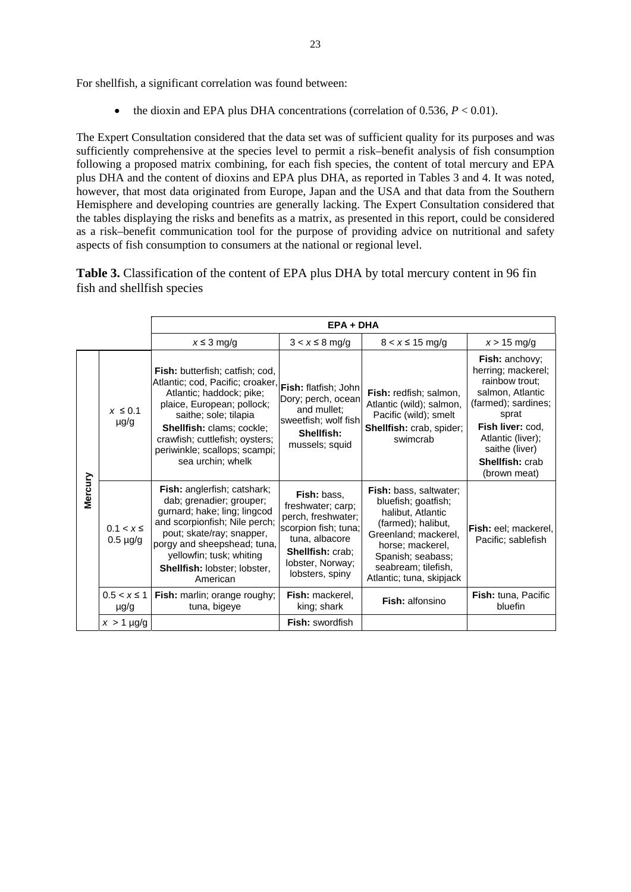For shellfish, a significant correlation was found between:

the dioxin and EPA plus DHA concentrations (correlation of  $0.536$ ,  $P < 0.01$ ).

The Expert Consultation considered that the data set was of sufficient quality for its purposes and was sufficiently comprehensive at the species level to permit a risk–benefit analysis of fish consumption following a proposed matrix combining, for each fish species, the content of total mercury and EPA plus DHA and the content of dioxins and EPA plus DHA, as reported in Tables 3 and 4. It was noted, however, that most data originated from Europe, Japan and the USA and that data from the Southern Hemisphere and developing countries are generally lacking. The Expert Consultation considered that the tables displaying the risks and benefits as a matrix, as presented in this report, could be considered as a risk–benefit communication tool for the purpose of providing advice on nutritional and safety aspects of fish consumption to consumers at the national or regional level.

**Table 3.** Classification of the content of EPA plus DHA by total mercury content in 96 fin fish and shellfish species

|         |                                | $EPA + DHA$                                                                                                                                                                                                                                                                               |                                                                                                                                                                           |                                                                                                                                                                                                                     |                                                                                                                                                                                                                        |  |  |  |
|---------|--------------------------------|-------------------------------------------------------------------------------------------------------------------------------------------------------------------------------------------------------------------------------------------------------------------------------------------|---------------------------------------------------------------------------------------------------------------------------------------------------------------------------|---------------------------------------------------------------------------------------------------------------------------------------------------------------------------------------------------------------------|------------------------------------------------------------------------------------------------------------------------------------------------------------------------------------------------------------------------|--|--|--|
|         |                                | $x \leq 3$ mg/g                                                                                                                                                                                                                                                                           | $3 < x \leq 8$ mg/g                                                                                                                                                       | $8 < x \le 15$ mg/g                                                                                                                                                                                                 | $x > 15$ mg/g                                                                                                                                                                                                          |  |  |  |
|         | $x \leq 0.1$<br>$\mu$ g/g      | <b>Fish:</b> butterfish; catfish; cod,<br>Atlantic; cod, Pacific; croaker,<br>Atlantic; haddock; pike;<br>plaice, European; pollock;<br>saithe; sole; tilapia<br><b>Shellfish: clams: cockle:</b><br>crawfish; cuttlefish; oysters;<br>periwinkle; scallops; scampi;<br>sea urchin; whelk | Fish: flatfish; John<br>Dory; perch, ocean<br>and mullet:<br>sweetfish; wolf fish<br>Shellfish:<br>mussels; squid                                                         | Fish: redfish; salmon,<br>Atlantic (wild); salmon,<br>Pacific (wild); smelt<br>Shellfish: crab, spider;<br>swimcrab                                                                                                 | <b>Fish:</b> anchovy:<br>herring; mackerel;<br>rainbow trout:<br>salmon, Atlantic<br>(farmed); sardines;<br>sprat<br>Fish liver: cod.<br>Atlantic (liver);<br>saithe (liver)<br><b>Shellfish: crab</b><br>(brown meat) |  |  |  |
| Mercury | $0.1 < x \le$<br>$0.5 \mu g/g$ | <b>Fish:</b> anglerfish; catshark;<br>dab; grenadier; grouper;<br>gurnard; hake; ling; lingcod<br>and scorpionfish; Nile perch;<br>pout; skate/ray; snapper,<br>porgy and sheepshead; tuna,<br>yellowfin; tusk; whiting<br>Shellfish: lobster; lobster,<br>American                       | <b>Fish:</b> bass.<br>freshwater; carp;<br>perch, freshwater;<br>scorpion fish; tuna;<br>tuna, albacore<br><b>Shellfish: crab:</b><br>lobster, Norway;<br>lobsters, spiny | <b>Fish:</b> bass, saltwater;<br>bluefish; goatfish;<br>halibut, Atlantic<br>(farmed); halibut,<br>Greenland; mackerel,<br>horse; mackerel,<br>Spanish; seabass;<br>seabream; tilefish,<br>Atlantic; tuna, skipjack | <b>Fish:</b> eel; mackerel,<br>Pacific; sablefish                                                                                                                                                                      |  |  |  |
|         | $0.5 < x \le 1$<br>$\mu$ g/g   | Fish: marlin; orange roughy;<br>tuna, bigeye                                                                                                                                                                                                                                              | <b>Fish:</b> mackerel.<br>king; shark                                                                                                                                     | Fish: alfonsino                                                                                                                                                                                                     | <b>Fish:</b> tuna, Pacific<br>bluefin                                                                                                                                                                                  |  |  |  |
|         | $x > 1$ µg/g                   |                                                                                                                                                                                                                                                                                           | <b>Fish:</b> swordfish                                                                                                                                                    |                                                                                                                                                                                                                     |                                                                                                                                                                                                                        |  |  |  |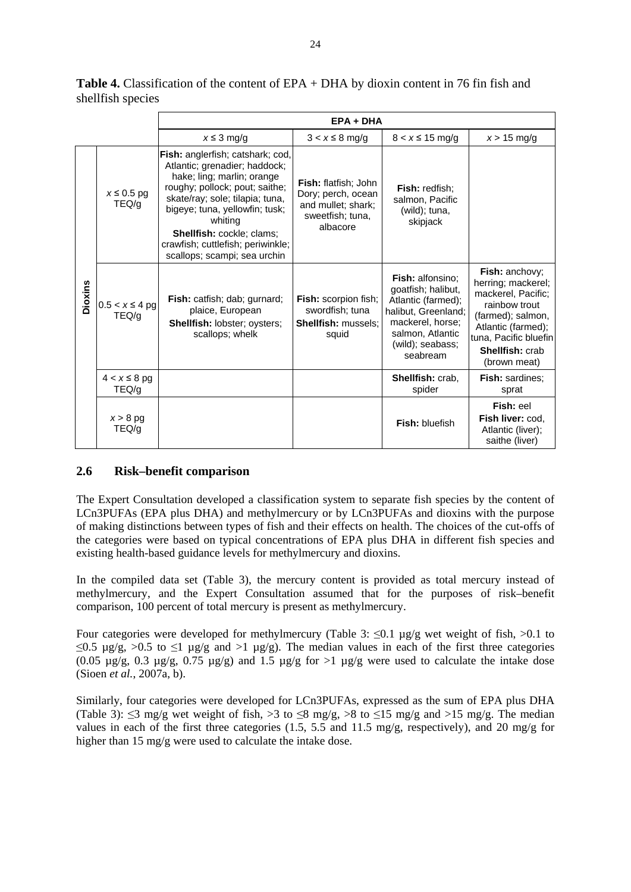|         |                             |                                                                                                                                                                                                                                                                                                                            | $EPA + DHA$                                                                                             |                                                                                                                                                             |                                                                                                                                                                                    |
|---------|-----------------------------|----------------------------------------------------------------------------------------------------------------------------------------------------------------------------------------------------------------------------------------------------------------------------------------------------------------------------|---------------------------------------------------------------------------------------------------------|-------------------------------------------------------------------------------------------------------------------------------------------------------------|------------------------------------------------------------------------------------------------------------------------------------------------------------------------------------|
|         |                             | $x \leq 3$ mg/g                                                                                                                                                                                                                                                                                                            | $3 < x \leq 8$ mg/g                                                                                     | $8 < x \le 15$ mg/g                                                                                                                                         | $x > 15$ mg/g                                                                                                                                                                      |
| Dioxins | $x \leq 0.5$ pg<br>TEQ/g    | Fish: anglerfish; catshark; cod,<br>Atlantic; grenadier; haddock;<br>hake; ling; marlin; orange<br>roughy; pollock; pout; saithe;<br>skate/ray; sole; tilapia; tuna,<br>bigeye; tuna, yellowfin; tusk;<br>whiting<br><b>Shellfish: cockle; clams;</b><br>crawfish; cuttlefish; periwinkle;<br>scallops; scampi; sea urchin | <b>Fish:</b> flatfish: John<br>Dory; perch, ocean<br>and mullet; shark;<br>sweetfish; tuna,<br>albacore | <b>Fish: redfish:</b><br>salmon, Pacific<br>(wild); tuna,<br>skipjack                                                                                       |                                                                                                                                                                                    |
|         | $0.5 < x \le 4$ pg<br>TEQ/g | Fish: catfish; dab; gurnard;<br>plaice, European<br><b>Shellfish: lobster; oysters;</b><br>scallops; whelk                                                                                                                                                                                                                 | Fish: scorpion fish;<br>swordfish; tuna<br><b>Shellfish: mussels:</b><br>squid                          | Fish: alfonsino;<br>goatfish; halibut,<br>Atlantic (farmed);<br>halibut, Greenland;<br>mackerel, horse;<br>salmon, Atlantic<br>(wild); seabass;<br>seabream | Fish: anchovy;<br>herring; mackerel;<br>mackerel, Pacific;<br>rainbow trout<br>(farmed); salmon,<br>Atlantic (farmed);<br>tuna, Pacific bluefin<br>Shellfish: crab<br>(brown meat) |
|         | $4 < x \leq 8$ pg<br>TEQ/g  |                                                                                                                                                                                                                                                                                                                            |                                                                                                         | Shellfish: crab,<br>spider                                                                                                                                  | <b>Fish:</b> sardines:<br>sprat                                                                                                                                                    |
|         | $x > 8$ pg<br>TEQ/g         |                                                                                                                                                                                                                                                                                                                            |                                                                                                         | <b>Fish: bluefish</b>                                                                                                                                       | Fish: eel<br>Fish liver: cod.<br>Atlantic (liver);<br>saithe (liver)                                                                                                               |

**Table 4.** Classification of the content of EPA + DHA by dioxin content in 76 fin fish and shellfish species

#### **2.6 Risk–benefit comparison**

The Expert Consultation developed a classification system to separate fish species by the content of LCn3PUFAs (EPA plus DHA) and methylmercury or by LCn3PUFAs and dioxins with the purpose of making distinctions between types of fish and their effects on health. The choices of the cut-offs of the categories were based on typical concentrations of EPA plus DHA in different fish species and existing health-based guidance levels for methylmercury and dioxins.

In the compiled data set (Table 3), the mercury content is provided as total mercury instead of methylmercury, and the Expert Consultation assumed that for the purposes of risk–benefit comparison, 100 percent of total mercury is present as methylmercury.

Four categories were developed for methylmercury (Table 3:  $\leq 0.1$  µg/g wet weight of fish,  $> 0.1$  to  $\leq 0.5$   $\mu$ g/g,  $> 0.5$  to  $\leq 1$   $\mu$ g/g and  $> 1$   $\mu$ g/g). The median values in each of the first three categories  $(0.05 \text{ µg/g}, 0.3 \text{ µg/g}, 0.75 \text{ µg/g})$  and 1.5  $\mu$ g/g for >1  $\mu$ g/g were used to calculate the intake dose (Sioen *et al.*, 2007a, b).

Similarly, four categories were developed for LCn3PUFAs, expressed as the sum of EPA plus DHA (Table 3):  $\leq$ 3 mg/g wet weight of fish,  $>$ 3 to  $\leq$ 8 mg/g,  $>$ 8 to  $\leq$ 15 mg/g and  $>$ 15 mg/g. The median values in each of the first three categories (1.5, 5.5 and 11.5 mg/g, respectively), and 20 mg/g for higher than 15 mg/g were used to calculate the intake dose.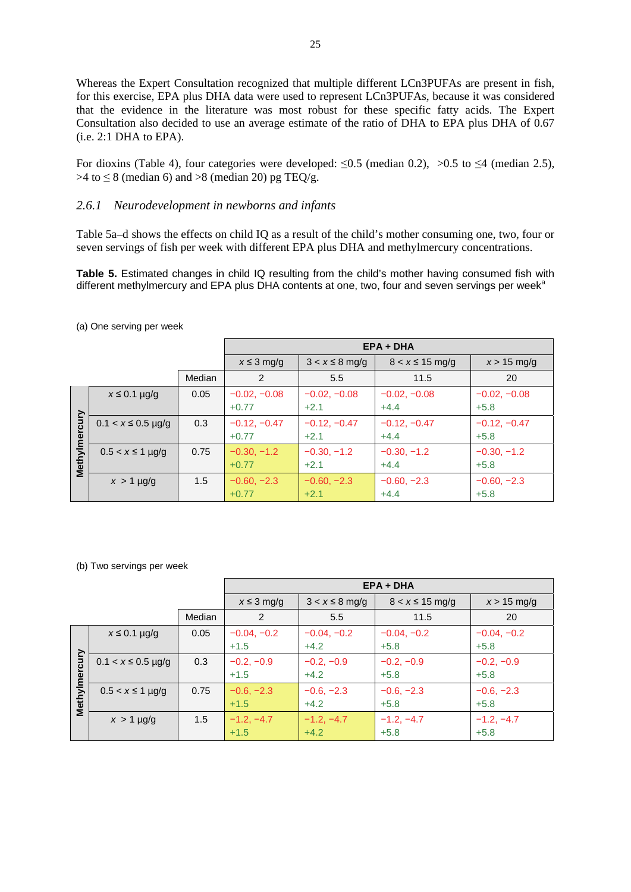Whereas the Expert Consultation recognized that multiple different LCn3PUFAs are present in fish, for this exercise, EPA plus DHA data were used to represent LCn3PUFAs, because it was considered that the evidence in the literature was most robust for these specific fatty acids. The Expert Consultation also decided to use an average estimate of the ratio of DHA to EPA plus DHA of 0.67 (i.e. 2:1 DHA to EPA).

For dioxins (Table 4), four categories were developed:  $\leq 0.5$  (median 0.2),  $> 0.5$  to  $\leq 4$  (median 2.5),  $>4$  to  $\leq$  8 (median 6) and  $>8$  (median 20) pg TEQ/g.

#### *2.6.1 Neurodevelopment in newborns and infants*

Table 5a–d shows the effects on child IQ as a result of the child's mother consuming one, two, four or seven servings of fish per week with different EPA plus DHA and methylmercury concentrations.

**Table 5.** Estimated changes in child IQ resulting from the child's mother having consumed fish with different methylmercury and EPA plus DHA contents at one, two, four and seven servings per week<sup>a</sup>

|               |                        |        | $EPA + DHA$     |                     |                     |                |  |
|---------------|------------------------|--------|-----------------|---------------------|---------------------|----------------|--|
|               |                        |        | $x \leq 3$ mg/g | $3 < x \leq 8$ mg/g | $8 < x \le 15$ mg/g | $x > 15$ mg/g  |  |
|               |                        | Median | 2               | 5.5                 | 11.5                | 20             |  |
|               | $x \leq 0.1$ µg/g      | 0.05   | $-0.02, -0.08$  | $-0.02, -0.08$      | $-0.02, -0.08$      | $-0.02, -0.08$ |  |
|               |                        |        | $+0.77$         | $+2.1$              | $+4.4$              | $+5.8$         |  |
|               | $0.1 < x \le 0.5$ µg/g | 0.3    | $-0.12, -0.47$  | $-0.12, -0.47$      | $-0.12, -0.47$      | $-0.12, -0.47$ |  |
|               |                        |        | $+0.77$         | $+2.1$              | $+4.4$              | $+5.8$         |  |
| Methylmercury | $0.5 < x \le 1$ µg/g   | 0.75   | $-0.30, -1.2$   | $-0.30, -1.2$       | $-0.30, -1.2$       | $-0.30, -1.2$  |  |
|               |                        |        | $+0.77$         | $+2.1$              | $+4.4$              | $+5.8$         |  |
|               | $x > 1$ µg/g           | 1.5    | $-0.60, -2.3$   | $-0.60, -2.3$       | $-0.60, -2.3$       | $-0.60, -2.3$  |  |
|               |                        |        | $+0.77$         | $+2.1$              | $+4.4$              | $+5.8$         |  |

(a) One serving per week

(b) Two servings per week

|               |                        |        | $EPA + DHA$             |                         |                         |                         |  |
|---------------|------------------------|--------|-------------------------|-------------------------|-------------------------|-------------------------|--|
|               |                        |        | $x \leq 3$ mg/g         | $3 < x \leq 8$ mg/g     | $8 < x \le 15$ mg/g     | $x > 15$ mg/g           |  |
|               |                        | Median | 2                       | 5.5                     | 11.5                    | 20                      |  |
|               | $x \leq 0.1$ µg/g      | 0.05   | $-0.04, -0.2$<br>$+1.5$ | $-0.04, -0.2$<br>$+4.2$ | $-0.04, -0.2$<br>$+5.8$ | $-0.04, -0.2$<br>$+5.8$ |  |
|               | $0.1 < x \le 0.5$ µg/g | 0.3    | $-0.2, -0.9$<br>$+1.5$  | $-0.2, -0.9$<br>$+4.2$  | $-0.2, -0.9$<br>$+5.8$  | $-0.2, -0.9$<br>$+5.8$  |  |
| Methylmercury | $0.5 < x \le 1$ µg/g   | 0.75   | $-0.6, -2.3$<br>$+1.5$  | $-0.6, -2.3$<br>$+4.2$  | $-0.6, -2.3$<br>$+5.8$  | $-0.6, -2.3$<br>$+5.8$  |  |
|               | $x > 1$ µg/g           | 1.5    | $-1.2, -4.7$<br>$+1.5$  | $-1.2, -4.7$<br>$+4.2$  | $-1.2, -4.7$<br>$+5.8$  | $-1.2, -4.7$<br>$+5.8$  |  |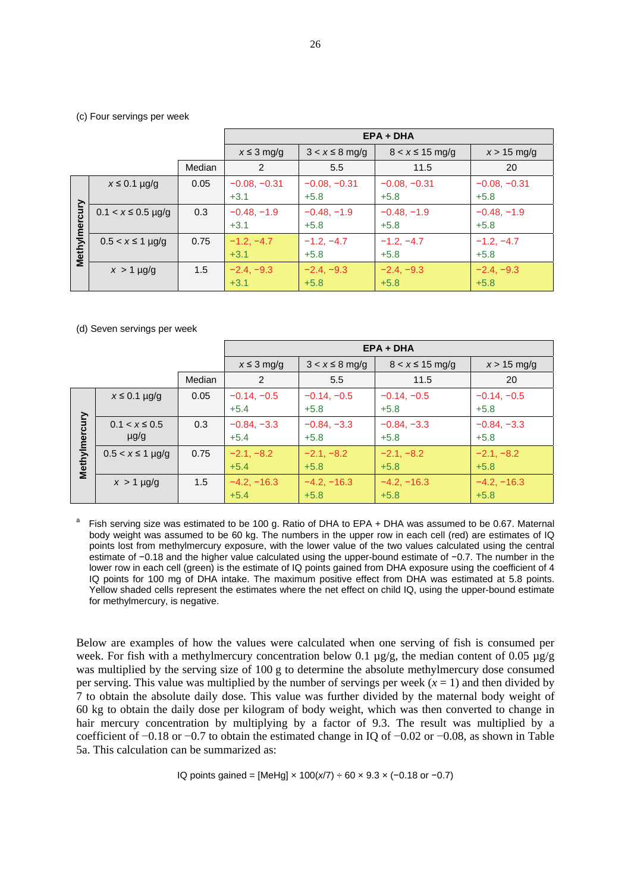#### (c) Four servings per week

|               |                        |        | $EPA + DHA$     |                     |                     |                |  |
|---------------|------------------------|--------|-----------------|---------------------|---------------------|----------------|--|
|               |                        |        | $x \leq 3$ mg/g | $3 < x \leq 8$ mg/g | $8 < x \le 15$ mg/g | $x > 15$ mg/g  |  |
|               |                        | Median | 2               | 5.5                 | 11.5                | 20             |  |
|               | $x \leq 0.1$ µg/g      | 0.05   | $-0.08, -0.31$  | $-0.08, -0.31$      | $-0.08, -0.31$      | $-0.08, -0.31$ |  |
|               |                        |        | $+3.1$          | $+5.8$              | $+5.8$              | $+5.8$         |  |
| Methylmercury | $0.1 < x \le 0.5$ µg/g | 0.3    | $-0.48, -1.9$   | $-0.48, -1.9$       | $-0.48, -1.9$       | $-0.48, -1.9$  |  |
|               |                        |        | $+3.1$          | $+5.8$              | $+5.8$              | $+5.8$         |  |
|               | $0.5 < x \le 1$ µg/g   | 0.75   | $-1.2, -4.7$    | $-1.2, -4.7$        | $-1.2, -4.7$        | $-1.2, -4.7$   |  |
|               |                        |        | $+3.1$          | $+5.8$              | $+5.8$              | $+5.8$         |  |
|               | $x > 1$ µg/g           | 1.5    | $-2.4, -9.3$    | $-2.4, -9.3$        | $-2.4, -9.3$        | $-2.4, -9.3$   |  |
|               |                        |        | $+3.1$          | $+5.8$              | $+5.8$              | $+5.8$         |  |

#### (d) Seven servings per week

|               |                                 |        | $EPA + DHA$             |                         |                         |                         |
|---------------|---------------------------------|--------|-------------------------|-------------------------|-------------------------|-------------------------|
|               |                                 |        | $x \leq 3$ mg/g         | $3 < x \leq 8$ mg/g     | $8 < x \le 15$ mg/g     | $x > 15$ mg/g           |
|               |                                 | Median | 2                       | 5.5                     | 11.5                    | 20                      |
|               | $x \leq 0.1$ µg/g               | 0.05   | $-0.14, -0.5$<br>$+5.4$ | $-0.14, -0.5$<br>$+5.8$ | $-0.14, -0.5$<br>$+5.8$ | $-0.14, -0.5$<br>$+5.8$ |
|               | $0.1 < x \leq 0.5$<br>$\mu$ g/g | 0.3    | $-0.84, -3.3$<br>$+5.4$ | $-0.84, -3.3$<br>$+5.8$ | $-0.84, -3.3$<br>$+5.8$ | $-0.84, -3.3$<br>$+5.8$ |
| Methylmercury | $0.5 < x \le 1$ µg/g            | 0.75   | $-2.1, -8.2$<br>$+5.4$  | $-2.1, -8.2$<br>$+5.8$  | $-2.1, -8.2$<br>$+5.8$  | $-2.1, -8.2$<br>$+5.8$  |
|               | $x > 1$ µg/g                    | 1.5    | $-4.2, -16.3$<br>$+5.4$ | $-4.2, -16.3$<br>$+5.8$ | $-4.2, -16.3$<br>$+5.8$ | $-4.2, -16.3$<br>$+5.8$ |

Fish serving size was estimated to be 100 g. Ratio of DHA to EPA + DHA was assumed to be 0.67. Maternal body weight was assumed to be 60 kg. The numbers in the upper row in each cell (red) are estimates of IQ points lost from methylmercury exposure, with the lower value of the two values calculated using the central estimate of −0.18 and the higher value calculated using the upper-bound estimate of −0.7. The number in the lower row in each cell (green) is the estimate of IQ points gained from DHA exposure using the coefficient of 4 IQ points for 100 mg of DHA intake. The maximum positive effect from DHA was estimated at 5.8 points. Yellow shaded cells represent the estimates where the net effect on child IQ, using the upper-bound estimate for methylmercury, is negative.

Below are examples of how the values were calculated when one serving of fish is consumed per week. For fish with a methylmercury concentration below 0.1  $\mu$ g/g, the median content of 0.05  $\mu$ g/g was multiplied by the serving size of 100 g to determine the absolute methylmercury dose consumed per serving. This value was multiplied by the number of servings per week  $(x = 1)$  and then divided by 7 to obtain the absolute daily dose. This value was further divided by the maternal body weight of 60 kg to obtain the daily dose per kilogram of body weight, which was then converted to change in hair mercury concentration by multiplying by a factor of 9.3. The result was multiplied by a coefficient of −0.18 or −0.7 to obtain the estimated change in IQ of −0.02 or −0.08, as shown in Table 5a. This calculation can be summarized as:

IQ points gained = [MeHg] × 100(*x*/7) ÷ 60 × 9.3 × (−0.18 or −0.7)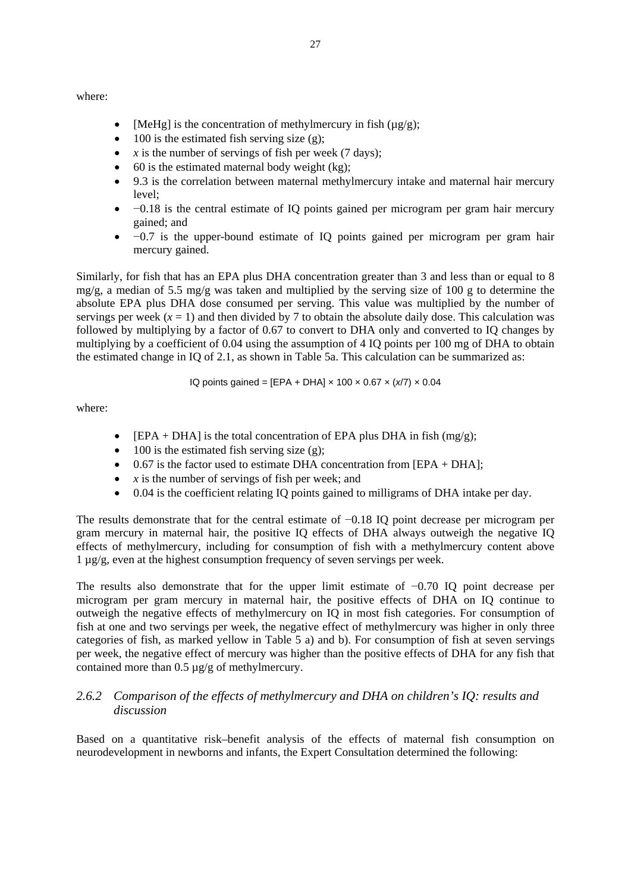where:

- [MeHg] is the concentration of methylmercury in fish  $(\mu g/g)$ ;
- $\bullet$  100 is the estimated fish serving size (g);
- $x$  is the number of servings of fish per week (7 days);
- $\bullet$  60 is the estimated maternal body weight (kg);
- 9.3 is the correlation between maternal methylmercury intake and maternal hair mercury level;
- −0.18 is the central estimate of IQ points gained per microgram per gram hair mercury gained; and
- −0.7 is the upper-bound estimate of IQ points gained per microgram per gram hair mercury gained.

Similarly, for fish that has an EPA plus DHA concentration greater than 3 and less than or equal to 8 mg/g, a median of 5.5 mg/g was taken and multiplied by the serving size of 100 g to determine the absolute EPA plus DHA dose consumed per serving. This value was multiplied by the number of servings per week  $(x = 1)$  and then divided by 7 to obtain the absolute daily dose. This calculation was followed by multiplying by a factor of 0.67 to convert to DHA only and converted to IQ changes by multiplying by a coefficient of 0.04 using the assumption of 4 IQ points per 100 mg of DHA to obtain the estimated change in IQ of 2.1, as shown in Table 5a. This calculation can be summarized as:

IQ points gained = [EPA + DHA] × 100 × 0.67 × (*x*/7) × 0.04

where:

- [EPA + DHA] is the total concentration of EPA plus DHA in fish (mg/g);
- $\bullet$  100 is the estimated fish serving size (g);
- $\bullet$  0.67 is the factor used to estimate DHA concentration from [EPA + DHA];
- $\bar{x}$  is the number of servings of fish per week; and
- 0.04 is the coefficient relating IQ points gained to milligrams of DHA intake per day.

The results demonstrate that for the central estimate of −0.18 IQ point decrease per microgram per gram mercury in maternal hair, the positive IQ effects of DHA always outweigh the negative IQ effects of methylmercury, including for consumption of fish with a methylmercury content above 1 µg/g, even at the highest consumption frequency of seven servings per week.

The results also demonstrate that for the upper limit estimate of −0.70 IQ point decrease per microgram per gram mercury in maternal hair, the positive effects of DHA on IQ continue to outweigh the negative effects of methylmercury on IQ in most fish categories. For consumption of fish at one and two servings per week, the negative effect of methylmercury was higher in only three categories of fish, as marked yellow in Table 5 a) and b). For consumption of fish at seven servings per week, the negative effect of mercury was higher than the positive effects of DHA for any fish that contained more than 0.5 µg/g of methylmercury.

## *2.6.2 Comparison of the effects of methylmercury and DHA on children's IQ: results and discussion*

Based on a quantitative risk–benefit analysis of the effects of maternal fish consumption on neurodevelopment in newborns and infants, the Expert Consultation determined the following: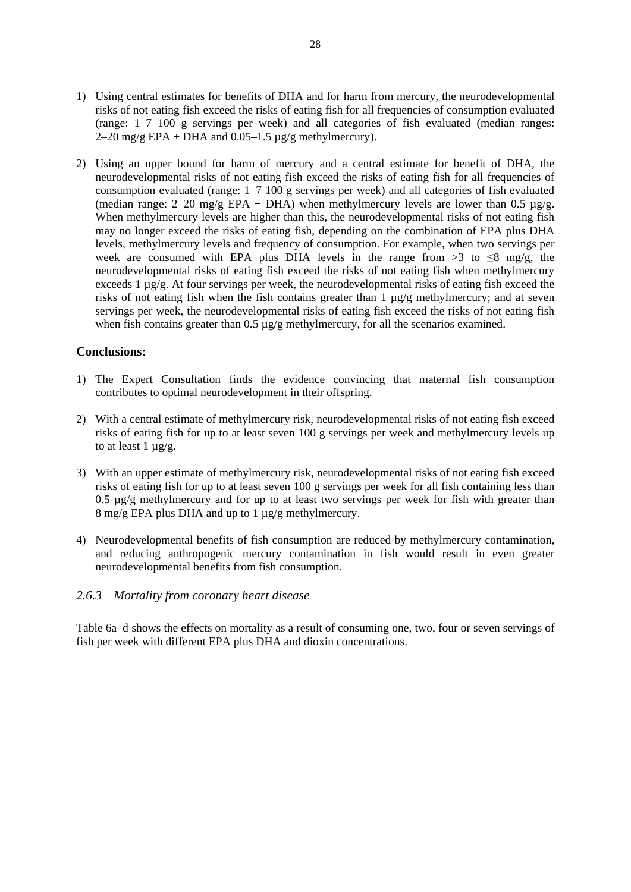- 1) Using central estimates for benefits of DHA and for harm from mercury, the neurodevelopmental risks of not eating fish exceed the risks of eating fish for all frequencies of consumption evaluated (range: 1–7 100 g servings per week) and all categories of fish evaluated (median ranges: 2–20 mg/g EPA + DHA and  $0.05-1.5 \mu$ g/g methylmercury).
- 2) Using an upper bound for harm of mercury and a central estimate for benefit of DHA, the neurodevelopmental risks of not eating fish exceed the risks of eating fish for all frequencies of consumption evaluated (range:  $1-7$  100 g servings per week) and all categories of fish evaluated (median range: 2–20 mg/g EPA + DHA) when methylmercury levels are lower than 0.5  $\mu$ g/g. When methylmercury levels are higher than this, the neurodevelopmental risks of not eating fish may no longer exceed the risks of eating fish, depending on the combination of EPA plus DHA levels, methylmercury levels and frequency of consumption. For example, when two servings per week are consumed with EPA plus DHA levels in the range from  $>3$  to  $\leq 8$  mg/g, the neurodevelopmental risks of eating fish exceed the risks of not eating fish when methylmercury exceeds 1 µg/g. At four servings per week, the neurodevelopmental risks of eating fish exceed the risks of not eating fish when the fish contains greater than  $1 \mu g/g$  methylmercury; and at seven servings per week, the neurodevelopmental risks of eating fish exceed the risks of not eating fish when fish contains greater than  $0.5 \mu g/g$  methylmercury, for all the scenarios examined.

#### **Conclusions:**

- 1) The Expert Consultation finds the evidence convincing that maternal fish consumption contributes to optimal neurodevelopment in their offspring.
- 2) With a central estimate of methylmercury risk, neurodevelopmental risks of not eating fish exceed risks of eating fish for up to at least seven 100 g servings per week and methylmercury levels up to at least  $1 \mu g/g$ .
- 3) With an upper estimate of methylmercury risk, neurodevelopmental risks of not eating fish exceed risks of eating fish for up to at least seven 100 g servings per week for all fish containing less than 0.5  $\mu$ g/g methylmercury and for up to at least two servings per week for fish with greater than 8 mg/g EPA plus DHA and up to 1 µg/g methylmercury.
- 4) Neurodevelopmental benefits of fish consumption are reduced by methylmercury contamination, and reducing anthropogenic mercury contamination in fish would result in even greater neurodevelopmental benefits from fish consumption.

#### *2.6.3 Mortality from coronary heart disease*

Table 6a–d shows the effects on mortality as a result of consuming one, two, four or seven servings of fish per week with different EPA plus DHA and dioxin concentrations.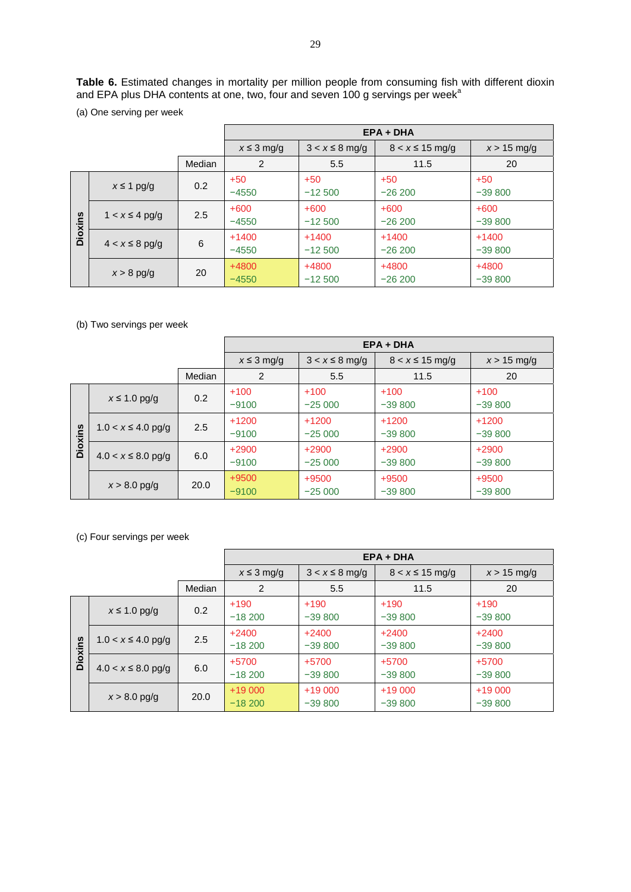**Table 6.** Estimated changes in mortality per million people from consuming fish with different dioxin and EPA plus DHA contents at one, two, four and seven 100 g servings per week<sup>a</sup>

(a) One serving per week

|                |                     |        | $EPA + DHA$        |                     |                     |                     |
|----------------|---------------------|--------|--------------------|---------------------|---------------------|---------------------|
|                |                     |        | $x \leq 3$ mg/g    | $3 < x \leq 8$ mg/g | $8 < x \le 15$ mg/g | $x > 15$ mg/g       |
|                |                     | Median | 2                  | 5.5                 | 11.5                | 20                  |
|                | $x \leq 1$ pg/g     | 0.2    | $+50$<br>$-4550$   | $+50$<br>$-12,500$  | $+50$<br>$-26200$   | $+50$<br>$-39800$   |
| <b>Dioxins</b> | $1 < x \leq 4$ pg/g | 2.5    | $+600$<br>$-4550$  | $+600$<br>$-12,500$ | $+600$<br>$-26200$  | $+600$<br>$-39800$  |
|                | $4 < x \leq 8$ pg/g | 6      | $+1400$<br>$-4550$ | $+1400$<br>$-12500$ | $+1400$<br>$-26200$ | $+1400$<br>$-39800$ |
|                | $x > 8$ pg/g        | 20     | $+4800$<br>$-4550$ | +4800<br>$-12500$   | $+4800$<br>$-26200$ | $+4800$<br>$-39800$ |

(b) Two servings per week

|                |                         |        | $EPA + DHA$        |                     |                     |                     |  |  |
|----------------|-------------------------|--------|--------------------|---------------------|---------------------|---------------------|--|--|
|                |                         |        | $x \leq 3$ mg/g    | $3 < x \leq 8$ mg/g | $8 < x \le 15$ mg/g | $x > 15$ mg/g       |  |  |
|                |                         | Median | 2                  | 5.5                 | 11.5                | 20                  |  |  |
| <b>Dioxins</b> | $x \leq 1.0$ pg/g       | 0.2    | $+100$<br>$-9100$  | $+100$<br>$-25000$  | $+100$<br>$-39800$  | $+100$<br>$-39800$  |  |  |
|                | $1.0 < x \leq 4.0$ pg/g | 2.5    | $+1200$<br>$-9100$ | $+1200$<br>$-25000$ | $+1200$<br>$-39800$ | $+1200$<br>$-39800$ |  |  |
|                | $4.0 < x \leq 8.0$ pg/g | 6.0    | $+2900$<br>$-9100$ | $+2900$<br>$-25000$ | $+2900$<br>$-39800$ | $+2900$<br>$-39800$ |  |  |
|                | $x > 8.0$ pg/g          | 20.0   | $+9500$<br>$-9100$ | $+9500$<br>$-25000$ | $+9500$<br>$-39800$ | $+9500$<br>$-39800$ |  |  |

(c) Four servings per week

|                |                         |        | $EPA + DHA$          |                      |                      |                      |  |  |
|----------------|-------------------------|--------|----------------------|----------------------|----------------------|----------------------|--|--|
|                |                         |        | $x \leq 3$ mg/g      | $3 < x \leq 8$ mg/g  | $8 < x \le 15$ mg/g  | $x > 15$ mg/g        |  |  |
|                |                         | Median | 2                    | 5.5                  | 11.5                 | 20                   |  |  |
| <b>Dioxins</b> | $x \leq 1.0$ pg/g       | 0.2    | $+190$<br>$-18,200$  | $+190$<br>$-39800$   | $+190$<br>$-39800$   | $+190$<br>$-39800$   |  |  |
|                | $1.0 < x \leq 4.0$ pg/g | 2.5    | $+2400$<br>$-18,200$ | $+2400$<br>$-39800$  | $+2400$<br>$-39800$  | $+2400$<br>$-39800$  |  |  |
|                | $4.0 < x \leq 8.0$ pg/g | 6.0    | +5700<br>$-18,200$   | $+5700$<br>$-39800$  | $+5700$<br>$-39800$  | +5700<br>$-39800$    |  |  |
|                | $x > 8.0$ pg/g          | 20.0   | $+19000$<br>$-18200$ | $+19000$<br>$-39800$ | $+19000$<br>$-39800$ | $+19000$<br>$-39800$ |  |  |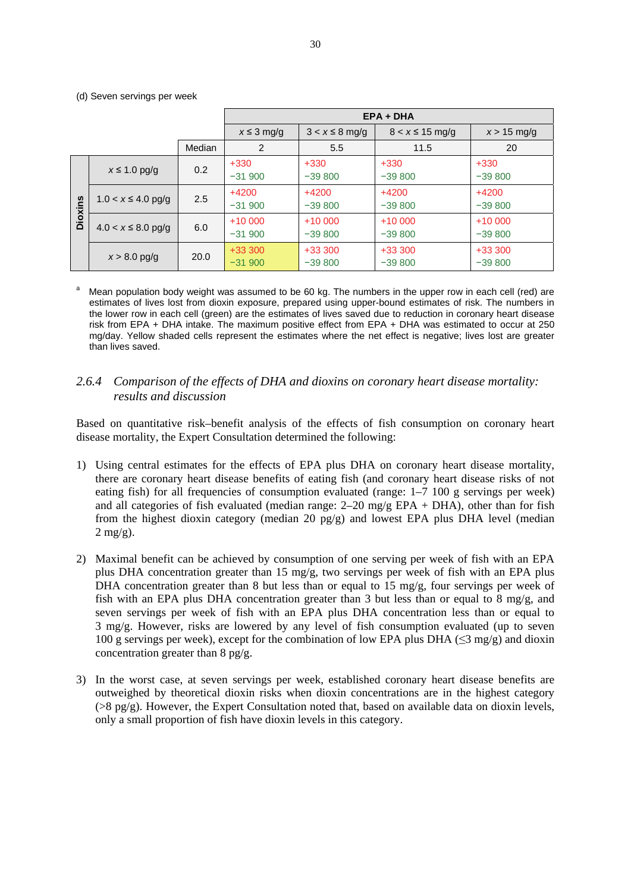|                |                         |        | $EPA + DHA$          |                      |                      |                      |  |  |
|----------------|-------------------------|--------|----------------------|----------------------|----------------------|----------------------|--|--|
|                |                         |        | $x \leq 3$ mg/g      | $3 < x \leq 8$ mg/g  | $8 < x \le 15$ mg/g  | $x > 15$ mg/g        |  |  |
|                |                         | Median | 2                    | 5.5                  | 11.5                 | 20                   |  |  |
| <b>Dioxins</b> | $x \leq 1.0$ pg/g       | 0.2    | $+330$<br>$-31,900$  | $+330$<br>$-39800$   | $+330$<br>$-39800$   | $+330$<br>$-39800$   |  |  |
|                | $1.0 < x \le 4.0$ pg/g  | 2.5    | $+4200$<br>$-31900$  | $+4200$<br>$-39800$  | $+4200$<br>$-39800$  | $+4200$<br>$-39800$  |  |  |
|                | $4.0 < x \leq 8.0$ pg/g | 6.0    | $+10000$<br>$-31900$ | $+10000$<br>$-39800$ | $+10000$<br>$-39800$ | $+10000$<br>$-39800$ |  |  |
|                | $x > 8.0$ pg/g          | 20.0   | $+33300$<br>$-31900$ | $+33300$<br>$-39800$ | $+33300$<br>$-39800$ | $+33300$<br>$-39800$ |  |  |

(d) Seven servings per week

Mean population body weight was assumed to be 60 kg. The numbers in the upper row in each cell (red) are estimates of lives lost from dioxin exposure, prepared using upper-bound estimates of risk. The numbers in the lower row in each cell (green) are the estimates of lives saved due to reduction in coronary heart disease risk from EPA + DHA intake. The maximum positive effect from EPA + DHA was estimated to occur at 250 mg/day. Yellow shaded cells represent the estimates where the net effect is negative; lives lost are greater than lives saved.

## *2.6.4 Comparison of the effects of DHA and dioxins on coronary heart disease mortality: results and discussion*

Based on quantitative risk–benefit analysis of the effects of fish consumption on coronary heart disease mortality, the Expert Consultation determined the following:

- 1) Using central estimates for the effects of EPA plus DHA on coronary heart disease mortality, there are coronary heart disease benefits of eating fish (and coronary heart disease risks of not eating fish) for all frequencies of consumption evaluated (range:  $1-7$  100 g servings per week) and all categories of fish evaluated (median range:  $2-20 \text{ mg/g EPA} + DHA$ ), other than for fish from the highest dioxin category (median 20 pg/g) and lowest EPA plus DHA level (median  $2$  mg/g).
- 2) Maximal benefit can be achieved by consumption of one serving per week of fish with an EPA plus DHA concentration greater than 15 mg/g, two servings per week of fish with an EPA plus DHA concentration greater than 8 but less than or equal to 15 mg/g, four servings per week of fish with an EPA plus DHA concentration greater than 3 but less than or equal to 8 mg/g, and seven servings per week of fish with an EPA plus DHA concentration less than or equal to 3 mg/g. However, risks are lowered by any level of fish consumption evaluated (up to seven 100 g servings per week), except for the combination of low EPA plus DHA ( $\leq$ 3 mg/g) and dioxin concentration greater than 8 pg/g.
- 3) In the worst case, at seven servings per week, established coronary heart disease benefits are outweighed by theoretical dioxin risks when dioxin concentrations are in the highest category  $(>8 \text{ pg/g})$ . However, the Expert Consultation noted that, based on available data on dioxin levels, only a small proportion of fish have dioxin levels in this category.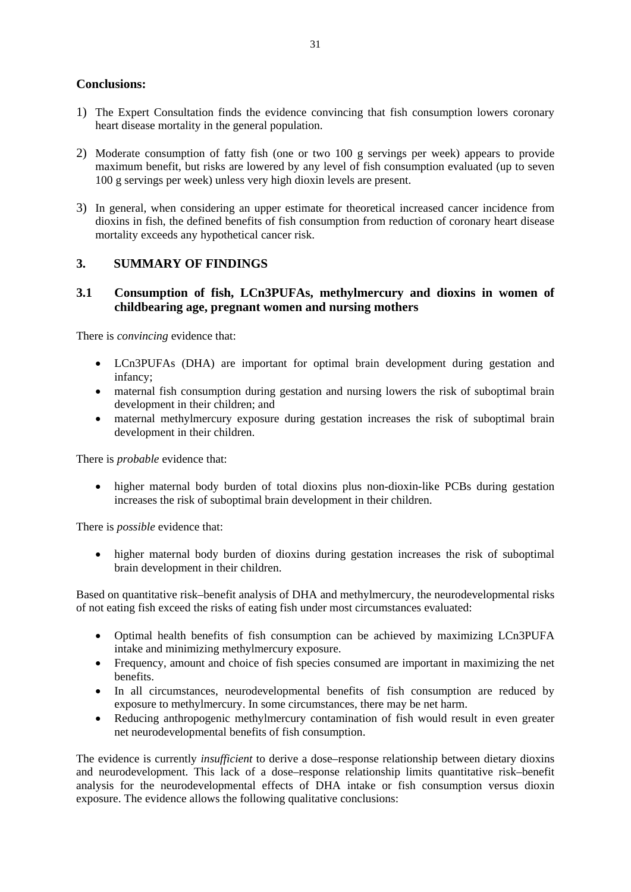## **Conclusions:**

- 1) The Expert Consultation finds the evidence convincing that fish consumption lowers coronary heart disease mortality in the general population.
- 2) Moderate consumption of fatty fish (one or two 100 g servings per week) appears to provide maximum benefit, but risks are lowered by any level of fish consumption evaluated (up to seven 100 g servings per week) unless very high dioxin levels are present.
- 3) In general, when considering an upper estimate for theoretical increased cancer incidence from dioxins in fish, the defined benefits of fish consumption from reduction of coronary heart disease mortality exceeds any hypothetical cancer risk.

#### **3. SUMMARY OF FINDINGS**

#### **3.1 Consumption of fish, LCn3PUFAs, methylmercury and dioxins in women of childbearing age, pregnant women and nursing mothers**

There is *convincing* evidence that:

- LCn3PUFAs (DHA) are important for optimal brain development during gestation and infancy;
- maternal fish consumption during gestation and nursing lowers the risk of suboptimal brain development in their children; and
- maternal methylmercury exposure during gestation increases the risk of suboptimal brain development in their children.

There is *probable* evidence that:

• higher maternal body burden of total dioxins plus non-dioxin-like PCBs during gestation increases the risk of suboptimal brain development in their children.

There is *possible* evidence that:

• higher maternal body burden of dioxins during gestation increases the risk of suboptimal brain development in their children.

Based on quantitative risk–benefit analysis of DHA and methylmercury, the neurodevelopmental risks of not eating fish exceed the risks of eating fish under most circumstances evaluated:

- Optimal health benefits of fish consumption can be achieved by maximizing LCn3PUFA intake and minimizing methylmercury exposure.
- Frequency, amount and choice of fish species consumed are important in maximizing the net benefits.
- In all circumstances, neurodevelopmental benefits of fish consumption are reduced by exposure to methylmercury. In some circumstances, there may be net harm.
- Reducing anthropogenic methylmercury contamination of fish would result in even greater net neurodevelopmental benefits of fish consumption.

The evidence is currently *insufficient* to derive a dose–response relationship between dietary dioxins and neurodevelopment. This lack of a dose–response relationship limits quantitative risk–benefit analysis for the neurodevelopmental effects of DHA intake or fish consumption versus dioxin exposure. The evidence allows the following qualitative conclusions: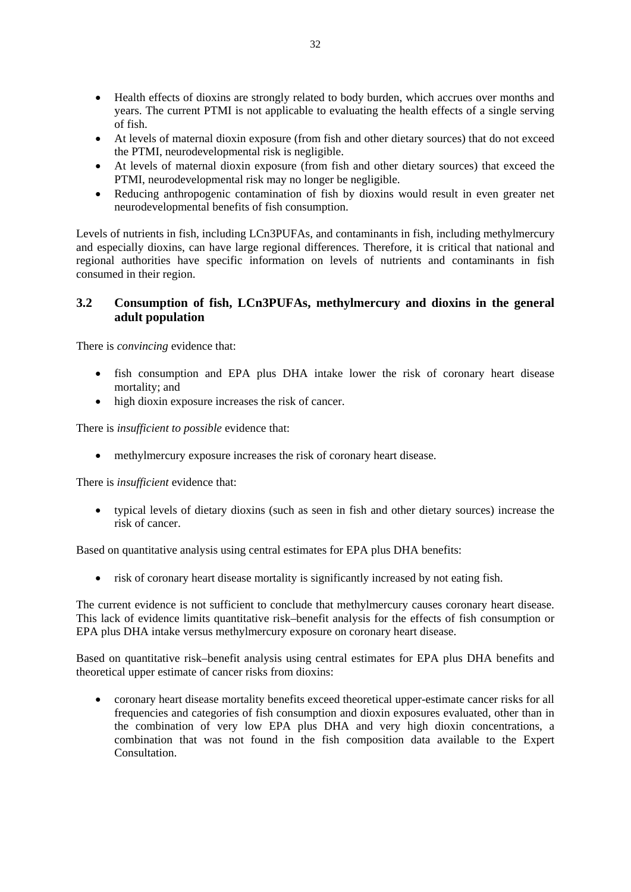- Health effects of dioxins are strongly related to body burden, which accrues over months and years. The current PTMI is not applicable to evaluating the health effects of a single serving of fish.
- At levels of maternal dioxin exposure (from fish and other dietary sources) that do not exceed the PTMI, neurodevelopmental risk is negligible.
- At levels of maternal dioxin exposure (from fish and other dietary sources) that exceed the PTMI, neurodevelopmental risk may no longer be negligible.
- Reducing anthropogenic contamination of fish by dioxins would result in even greater net neurodevelopmental benefits of fish consumption.

Levels of nutrients in fish, including LCn3PUFAs, and contaminants in fish, including methylmercury and especially dioxins, can have large regional differences. Therefore, it is critical that national and regional authorities have specific information on levels of nutrients and contaminants in fish consumed in their region.

## **3.2 Consumption of fish, LCn3PUFAs, methylmercury and dioxins in the general adult population**

There is *convincing* evidence that:

- fish consumption and EPA plus DHA intake lower the risk of coronary heart disease mortality; and
- high dioxin exposure increases the risk of cancer.

There is *insufficient to possible* evidence that:

methylmercury exposure increases the risk of coronary heart disease.

There is *insufficient* evidence that:

 typical levels of dietary dioxins (such as seen in fish and other dietary sources) increase the risk of cancer.

Based on quantitative analysis using central estimates for EPA plus DHA benefits:

risk of coronary heart disease mortality is significantly increased by not eating fish.

The current evidence is not sufficient to conclude that methylmercury causes coronary heart disease. This lack of evidence limits quantitative risk–benefit analysis for the effects of fish consumption or EPA plus DHA intake versus methylmercury exposure on coronary heart disease.

Based on quantitative risk–benefit analysis using central estimates for EPA plus DHA benefits and theoretical upper estimate of cancer risks from dioxins:

 coronary heart disease mortality benefits exceed theoretical upper-estimate cancer risks for all frequencies and categories of fish consumption and dioxin exposures evaluated, other than in the combination of very low EPA plus DHA and very high dioxin concentrations, a combination that was not found in the fish composition data available to the Expert **Consultation**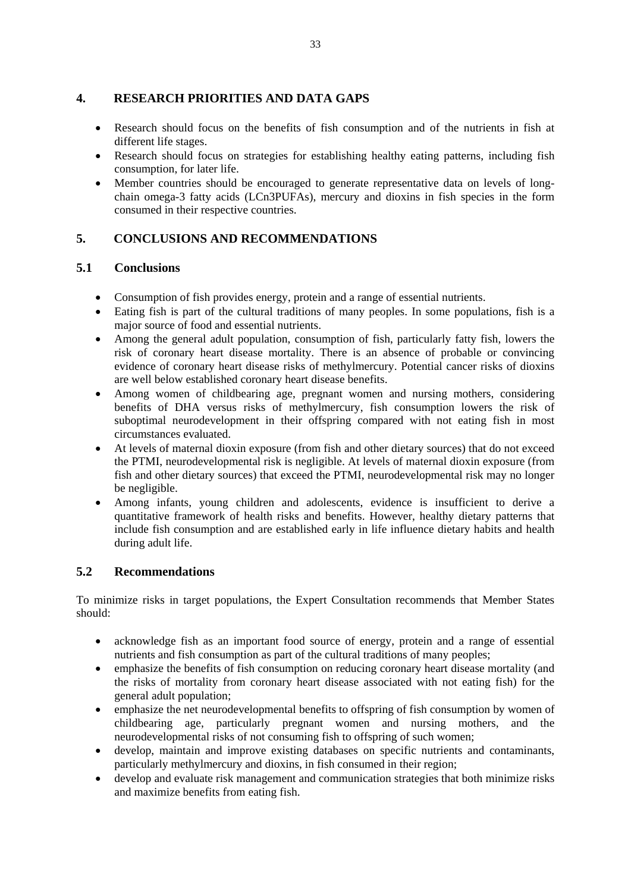## **4. RESEARCH PRIORITIES AND DATA GAPS**

- Research should focus on the benefits of fish consumption and of the nutrients in fish at different life stages.
- Research should focus on strategies for establishing healthy eating patterns, including fish consumption, for later life.
- Member countries should be encouraged to generate representative data on levels of longchain omega-3 fatty acids (LCn3PUFAs), mercury and dioxins in fish species in the form consumed in their respective countries.

## **5. CONCLUSIONS AND RECOMMENDATIONS**

## **5.1 Conclusions**

- Consumption of fish provides energy, protein and a range of essential nutrients.
- Eating fish is part of the cultural traditions of many peoples. In some populations, fish is a major source of food and essential nutrients.
- Among the general adult population, consumption of fish, particularly fatty fish, lowers the risk of coronary heart disease mortality. There is an absence of probable or convincing evidence of coronary heart disease risks of methylmercury. Potential cancer risks of dioxins are well below established coronary heart disease benefits.
- Among women of childbearing age, pregnant women and nursing mothers, considering benefits of DHA versus risks of methylmercury, fish consumption lowers the risk of suboptimal neurodevelopment in their offspring compared with not eating fish in most circumstances evaluated.
- At levels of maternal dioxin exposure (from fish and other dietary sources) that do not exceed the PTMI, neurodevelopmental risk is negligible. At levels of maternal dioxin exposure (from fish and other dietary sources) that exceed the PTMI, neurodevelopmental risk may no longer be negligible.
- Among infants, young children and adolescents, evidence is insufficient to derive a quantitative framework of health risks and benefits. However, healthy dietary patterns that include fish consumption and are established early in life influence dietary habits and health during adult life.

## **5.2 Recommendations**

To minimize risks in target populations, the Expert Consultation recommends that Member States should:

- acknowledge fish as an important food source of energy, protein and a range of essential nutrients and fish consumption as part of the cultural traditions of many peoples;
- emphasize the benefits of fish consumption on reducing coronary heart disease mortality (and the risks of mortality from coronary heart disease associated with not eating fish) for the general adult population;
- emphasize the net neurodevelopmental benefits to offspring of fish consumption by women of childbearing age, particularly pregnant women and nursing mothers, and the neurodevelopmental risks of not consuming fish to offspring of such women;
- develop, maintain and improve existing databases on specific nutrients and contaminants, particularly methylmercury and dioxins, in fish consumed in their region;
- develop and evaluate risk management and communication strategies that both minimize risks and maximize benefits from eating fish.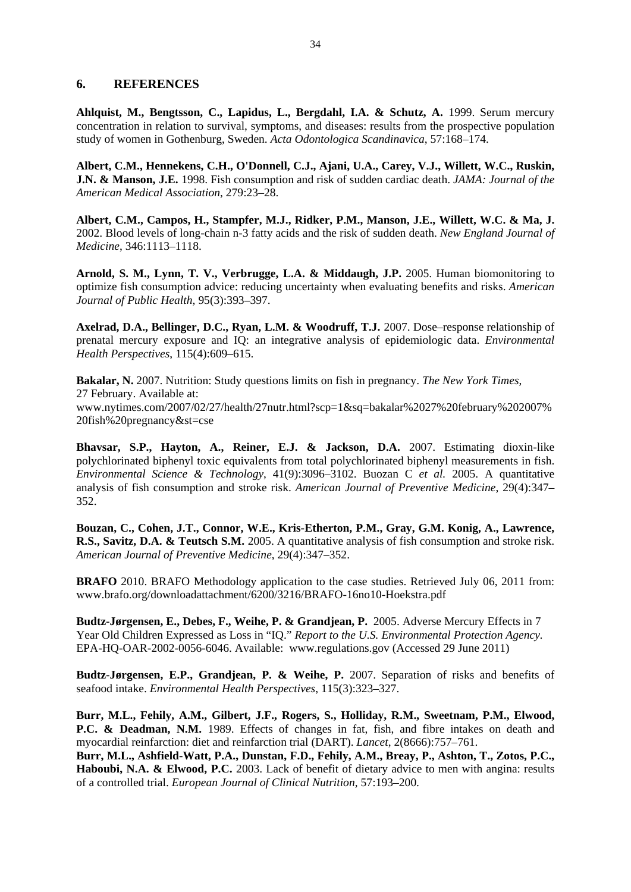#### **6. REFERENCES**

**Ahlquist, M., Bengtsson, C., Lapidus, L., Bergdahl, I.A. & Schutz, A.** 1999. Serum mercury concentration in relation to survival, symptoms, and diseases: results from the prospective population study of women in Gothenburg, Sweden. *Acta Odontologica Scandinavica*, 57:168–174.

**Albert, C.M., Hennekens, C.H., O'Donnell, C.J., Ajani, U.A., Carey, V.J., Willett, W.C., Ruskin, J.N. & Manson, J.E.** 1998. Fish consumption and risk of sudden cardiac death. *JAMA: Journal of the American Medical Association*, 279:23–28.

**Albert, C.M., Campos, H., Stampfer, M.J., Ridker, P.M., Manson, J.E., Willett, W.C. & Ma, J.** 2002. Blood levels of long-chain n-3 fatty acids and the risk of sudden death. *New England Journal of Medicine*, 346:1113–1118.

**Arnold, S. M., Lynn, T. V., Verbrugge, L.A. & Middaugh, J.P.** 2005. Human biomonitoring to optimize fish consumption advice: reducing uncertainty when evaluating benefits and risks. *American Journal of Public Health*, 95(3):393–397.

**Axelrad, D.A., Bellinger, D.C., Ryan, L.M. & Woodruff, T.J.** 2007. Dose–response relationship of prenatal mercury exposure and IQ: an integrative analysis of epidemiologic data. *Environmental Health Perspectives*, 115(4):609–615.

**Bakalar, N.** 2007. Nutrition: Study questions limits on fish in pregnancy. *The New York Times*, 27 February. Available at: www.nytimes.com/2007/02/27/health/27nutr.html?scp=1&sq=bakalar%2027%20february%202007% 20fish%20pregnancy&st=cse

**Bhavsar, S.P., Hayton, A., Reiner, E.J. & Jackson, D.A.** 2007. Estimating dioxin-like polychlorinated biphenyl toxic equivalents from total polychlorinated biphenyl measurements in fish. *Environmental Science & Technology*, 41(9):3096–3102. Buozan C *et al.* 2005. A quantitative analysis of fish consumption and stroke risk. *American Journal of Preventive Medicine*, 29(4):347– 352.

**Bouzan, C., Cohen, J.T., Connor, W.E., Kris-Etherton, P.M., Gray, G.M. Konig, A., Lawrence, R.S., Savitz, D.A. & Teutsch S.M.** 2005. A quantitative analysis of fish consumption and stroke risk. *American Journal of Preventive Medicine*, 29(4):347–352.

**BRAFO** 2010. BRAFO Methodology application to the case studies. Retrieved July 06, 2011 from: www.brafo.org/downloadattachment/6200/3216/BRAFO-16no10-Hoekstra.pdf

**Budtz-Jørgensen, E., Debes, F., Weihe, P. & Grandjean, P.** 2005. Adverse Mercury Effects in 7 Year Old Children Expressed as Loss in "IQ." *Report to the U.S. Environmental Protection Agency.*  EPA-HQ-OAR-2002-0056-6046. Available: www.regulations.gov (Accessed 29 June 2011)

**Budtz-Jørgensen, E.P., Grandjean, P. & Weihe, P.** 2007. Separation of risks and benefits of seafood intake. *Environmental Health Perspectives*, 115(3):323–327.

**Burr, M.L., Fehily, A.M., Gilbert, J.F., Rogers, S., Holliday, R.M., Sweetnam, P.M., Elwood, P.C. & Deadman, N.M.** 1989. Effects of changes in fat, fish, and fibre intakes on death and myocardial reinfarction: diet and reinfarction trial (DART). *Lancet*, 2(8666):757–761.

**Burr, M.L., Ashfield-Watt, P.A., Dunstan, F.D., Fehily, A.M., Breay, P., Ashton, T., Zotos, P.C., Haboubi, N.A. & Elwood, P.C.** 2003. Lack of benefit of dietary advice to men with angina: results of a controlled trial. *European Journal of Clinical Nutrition*, 57:193–200.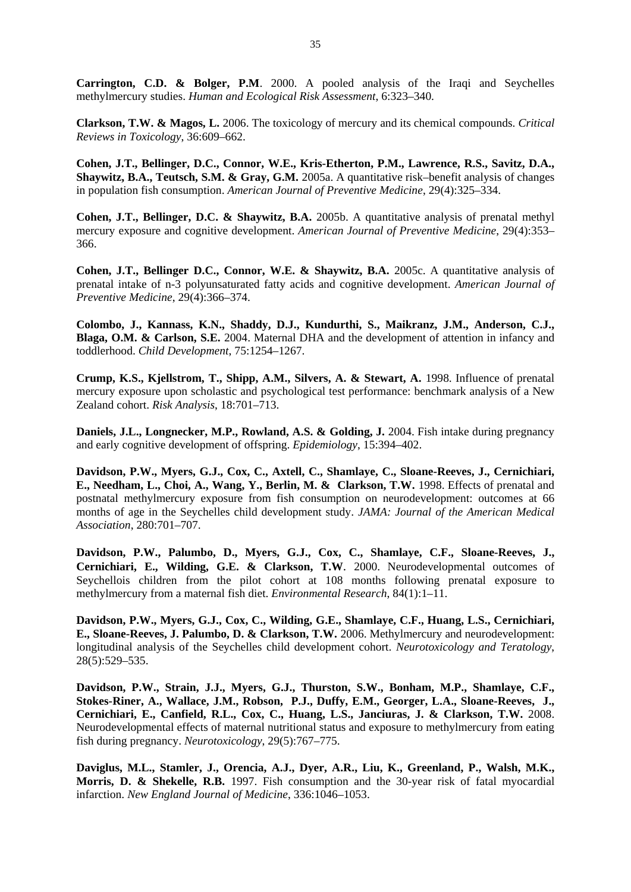**Carrington, C.D. & Bolger, P.M**. 2000. A pooled analysis of the Iraqi and Seychelles methylmercury studies. *Human and Ecological Risk Assessment*, 6:323–340.

**Clarkson, T.W. & Magos, L.** 2006. The toxicology of mercury and its chemical compounds. *Critical Reviews in Toxicology*, 36:609–662.

**Cohen, J.T., Bellinger, D.C., Connor, W.E., Kris-Etherton, P.M., Lawrence, R.S., Savitz, D.A., Shaywitz, B.A., Teutsch, S.M. & Gray, G.M.** 2005a. A quantitative risk–benefit analysis of changes in population fish consumption. *American Journal of Preventive Medicine*, 29(4):325–334.

**Cohen, J.T., Bellinger, D.C. & Shaywitz, B.A.** 2005b. A quantitative analysis of prenatal methyl mercury exposure and cognitive development. *American Journal of Preventive Medicine*, 29(4):353– 366.

**Cohen, J.T., Bellinger D.C., Connor, W.E. & Shaywitz, B.A.** 2005c. A quantitative analysis of prenatal intake of n-3 polyunsaturated fatty acids and cognitive development. *American Journal of Preventive Medicine*, 29(4):366–374.

**Colombo, J., Kannass, K.N., Shaddy, D.J., Kundurthi, S., Maikranz, J.M., Anderson, C.J., Blaga, O.M. & Carlson, S.E.** 2004. Maternal DHA and the development of attention in infancy and toddlerhood. *Child Development*, 75:1254–1267.

**Crump, K.S., Kjellstrom, T., Shipp, A.M., Silvers, A. & Stewart, A.** 1998. Influence of prenatal mercury exposure upon scholastic and psychological test performance: benchmark analysis of a New Zealand cohort. *Risk Analysis*, 18:701–713.

**Daniels, J.L., Longnecker, M.P., Rowland, A.S. & Golding, J.** 2004. Fish intake during pregnancy and early cognitive development of offspring. *Epidemiology*, 15:394–402.

**Davidson, P.W., Myers, G.J., Cox, C., Axtell, C., Shamlaye, C., Sloane-Reeves, J., Cernichiari, E., Needham, L., Choi, A., Wang, Y., Berlin, M. & Clarkson, T.W.** 1998. Effects of prenatal and postnatal methylmercury exposure from fish consumption on neurodevelopment: outcomes at 66 months of age in the Seychelles child development study. *JAMA: Journal of the American Medical Association*, 280:701–707.

**Davidson, P.W., Palumbo, D., Myers, G.J., Cox, C., Shamlaye, C.F., Sloane-Reeves, J., Cernichiari, E., Wilding, G.E. & Clarkson, T.W**. 2000. Neurodevelopmental outcomes of Seychellois children from the pilot cohort at 108 months following prenatal exposure to methylmercury from a maternal fish diet. *Environmental Research*, 84(1):1–11.

**Davidson, P.W., Myers, G.J., Cox, C., Wilding, G.E., Shamlaye, C.F., Huang, L.S., Cernichiari, E., Sloane-Reeves, J. Palumbo, D. & Clarkson, T.W.** 2006. Methylmercury and neurodevelopment: longitudinal analysis of the Seychelles child development cohort. *Neurotoxicology and Teratology*, 28(5):529–535.

**Davidson, P.W., Strain, J.J., Myers, G.J., Thurston, S.W., Bonham, M.P., Shamlaye, C.F., Stokes-Riner, A., Wallace, J.M., Robson, P.J., Duffy, E.M., Georger, L.A., Sloane-Reeves, J., Cernichiari, E., Canfield, R.L., Cox, C., Huang, L.S., Janciuras, J. & Clarkson, T.W.** 2008. Neurodevelopmental effects of maternal nutritional status and exposure to methylmercury from eating fish during pregnancy. *Neurotoxicology*, 29(5):767–775.

**Daviglus, M.L., Stamler, J., Orencia, A.J., Dyer, A.R., Liu, K., Greenland, P., Walsh, M.K., Morris, D. & Shekelle, R.B.** 1997. Fish consumption and the 30-year risk of fatal myocardial infarction. *New England Journal of Medicine*, 336:1046–1053.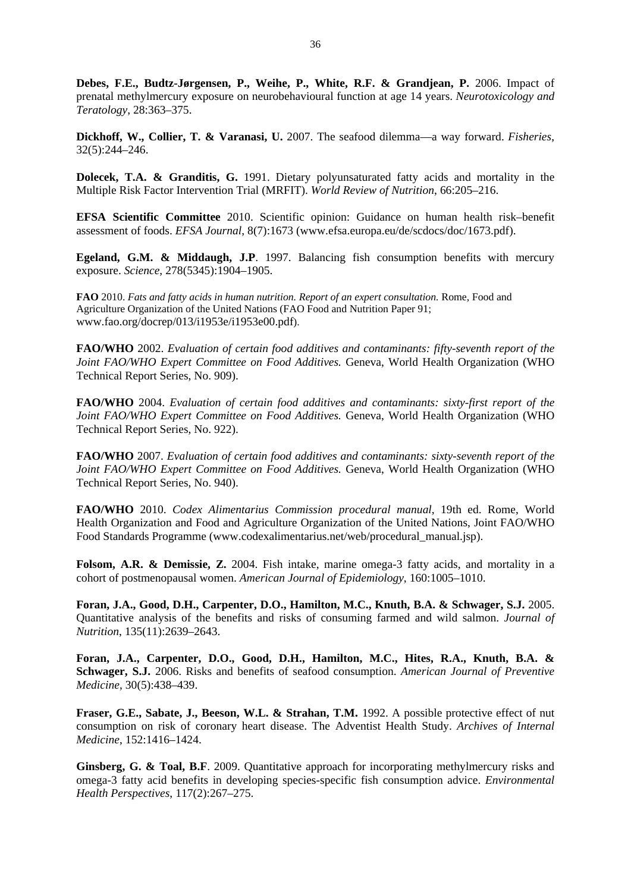**Debes, F.E., Budtz-Jørgensen, P., Weihe, P., White, R.F. & Grandjean, P.** 2006. Impact of prenatal methylmercury exposure on neurobehavioural function at age 14 years. *Neurotoxicology and Teratology*, 28:363–375.

**Dickhoff, W., Collier, T. & Varanasi, U.** 2007. The seafood dilemma—a way forward. *Fisheries*, 32(5):244–246.

**Dolecek, T.A. & Granditis, G.** 1991. Dietary polyunsaturated fatty acids and mortality in the Multiple Risk Factor Intervention Trial (MRFIT). *World Review of Nutrition*, 66:205–216.

**EFSA Scientific Committee** 2010. Scientific opinion: Guidance on human health risk–benefit assessment of foods. *EFSA Journal*, 8(7):1673 (www.efsa.europa.eu/de/scdocs/doc/1673.pdf).

**Egeland, G.M. & Middaugh, J.P**. 1997. Balancing fish consumption benefits with mercury exposure. *Science*, 278(5345):1904–1905.

**FAO** 2010. *Fats and fatty acids in human nutrition. Report of an expert consultation.* Rome, Food and Agriculture Organization of the United Nations (FAO Food and Nutrition Paper 91; www.fao.org/docrep/013/i1953e/i1953e00.pdf).

**FAO/WHO** 2002. *Evaluation of certain food additives and contaminants: fifty-seventh report of the Joint FAO/WHO Expert Committee on Food Additives.* Geneva, World Health Organization (WHO Technical Report Series, No. 909).

**FAO/WHO** 2004. *Evaluation of certain food additives and contaminants: sixty-first report of the Joint FAO/WHO Expert Committee on Food Additives.* Geneva, World Health Organization (WHO Technical Report Series, No. 922).

**FAO/WHO** 2007. *Evaluation of certain food additives and contaminants: sixty-seventh report of the Joint FAO/WHO Expert Committee on Food Additives.* Geneva, World Health Organization (WHO Technical Report Series, No. 940).

**FAO/WHO** 2010. *Codex Alimentarius Commission procedural manual*, 19th ed. Rome, World Health Organization and Food and Agriculture Organization of the United Nations, Joint FAO/WHO Food Standards Programme (www.codexalimentarius.net/web/procedural\_manual.jsp).

**Folsom, A.R. & Demissie, Z.** 2004. Fish intake, marine omega-3 fatty acids, and mortality in a cohort of postmenopausal women. *American Journal of Epidemiology*, 160:1005–1010.

**Foran, J.A., Good, D.H., Carpenter, D.O., Hamilton, M.C., Knuth, B.A. & Schwager, S.J.** 2005. Quantitative analysis of the benefits and risks of consuming farmed and wild salmon. *Journal of Nutrition*, 135(11):2639–2643.

**Foran, J.A., Carpenter, D.O., Good, D.H., Hamilton, M.C., Hites, R.A., Knuth, B.A. & Schwager, S.J.** 2006. Risks and benefits of seafood consumption. *American Journal of Preventive Medicine*, 30(5):438–439.

**Fraser, G.E., Sabate, J., Beeson, W.L. & Strahan, T.M.** 1992. A possible protective effect of nut consumption on risk of coronary heart disease. The Adventist Health Study. *Archives of Internal Medicine*, 152:1416–1424.

**Ginsberg, G. & Toal, B.F.** 2009. Quantitative approach for incorporating methylmercury risks and omega-3 fatty acid benefits in developing species-specific fish consumption advice. *Environmental Health Perspectives*, 117(2):267–275.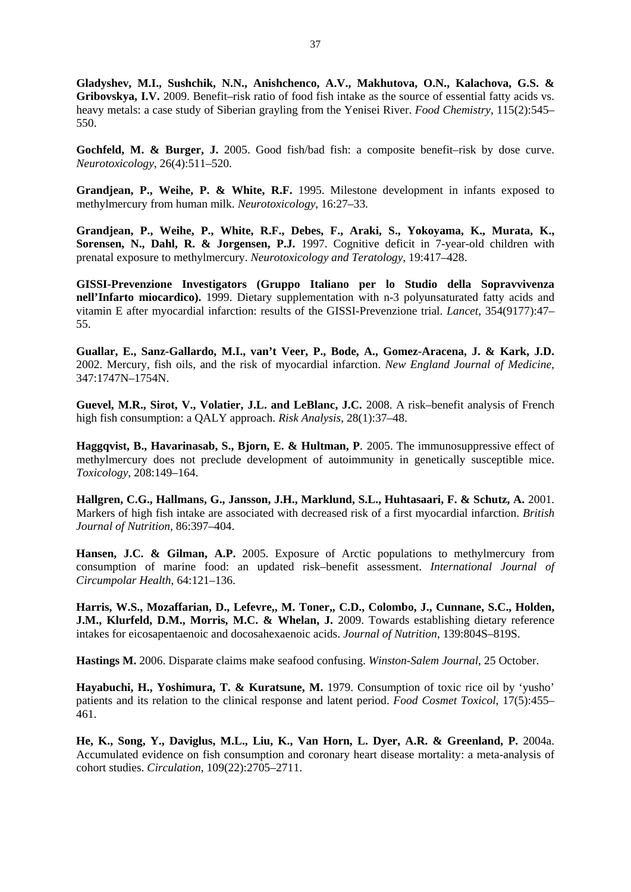**Gladyshev, M.I., Sushchik, N.N., Anishchenco, A.V., Makhutova, O.N., Kalachova, G.S. & Gribovskya, I.V.** 2009. Benefit–risk ratio of food fish intake as the source of essential fatty acids vs. heavy metals: a case study of Siberian grayling from the Yenisei River. *Food Chemistry*, 115(2):545– 550.

Gochfeld, M. & Burger, J. 2005. Good fish/bad fish: a composite benefit-risk by dose curve. *Neurotoxicology*, 26(4):511–520.

**Grandjean, P., Weihe, P. & White, R.F.** 1995. Milestone development in infants exposed to methylmercury from human milk. *Neurotoxicology*, 16:27–33.

**Grandjean, P., Weihe, P., White, R.F., Debes, F., Araki, S., Yokoyama, K., Murata, K., Sorensen, N., Dahl, R. & Jorgensen, P.J.** 1997. Cognitive deficit in 7-year-old children with prenatal exposure to methylmercury. *Neurotoxicology and Teratology*, 19:417–428.

**GISSI-Prevenzione Investigators (Gruppo Italiano per lo Studio della Sopravvivenza nell'Infarto miocardico).** 1999. Dietary supplementation with n-3 polyunsaturated fatty acids and vitamin E after myocardial infarction: results of the GISSI-Prevenzione trial. *Lancet*, 354(9177):47– 55.

**Guallar, E., Sanz-Gallardo, M.I., van't Veer, P., Bode, A., Gomez-Aracena, J. & Kark, J.D.**  2002. Mercury, fish oils, and the risk of myocardial infarction. *New England Journal of Medicine*, 347:1747N–1754N.

**Guevel, M.R., Sirot, V., Volatier, J.L. and LeBlanc, J.C.** 2008. A risk–benefit analysis of French high fish consumption: a QALY approach. *Risk Analysis*, 28(1):37–48.

**Haggqvist, B., Havarinasab, S., Bjorn, E. & Hultman, P**. 2005. The immunosuppressive effect of methylmercury does not preclude development of autoimmunity in genetically susceptible mice. *Toxicology*, 208:149–164.

**Hallgren, C.G., Hallmans, G., Jansson, J.H., Marklund, S.L., Huhtasaari, F. & Schutz, A.** 2001. Markers of high fish intake are associated with decreased risk of a first myocardial infarction. *British Journal of Nutrition*, 86:397–404.

Hansen, J.C. & Gilman, A.P. 2005. Exposure of Arctic populations to methylmercury from consumption of marine food: an updated risk–benefit assessment. *International Journal of Circumpolar Health*, 64:121–136.

**Harris, W.S., Mozaffarian, D., Lefevre,, M. Toner,, C.D., Colombo, J., Cunnane, S.C., Holden, J.M., Klurfeld, D.M., Morris, M.C. & Whelan, J.** 2009. Towards establishing dietary reference intakes for eicosapentaenoic and docosahexaenoic acids. *Journal of Nutrition*, 139:804S–819S.

**Hastings M.** 2006. Disparate claims make seafood confusing. *Winston-Salem Journal*, 25 October.

**Hayabuchi, H., Yoshimura, T. & Kuratsune, M.** 1979. Consumption of toxic rice oil by 'yusho' patients and its relation to the clinical response and latent period. *Food Cosmet Toxicol*, 17(5):455– 461.

**He, K., Song, Y., Daviglus, M.L., Liu, K., Van Horn, L. Dyer, A.R. & Greenland, P.** 2004a. Accumulated evidence on fish consumption and coronary heart disease mortality: a meta-analysis of cohort studies. *Circulation*, 109(22):2705–2711.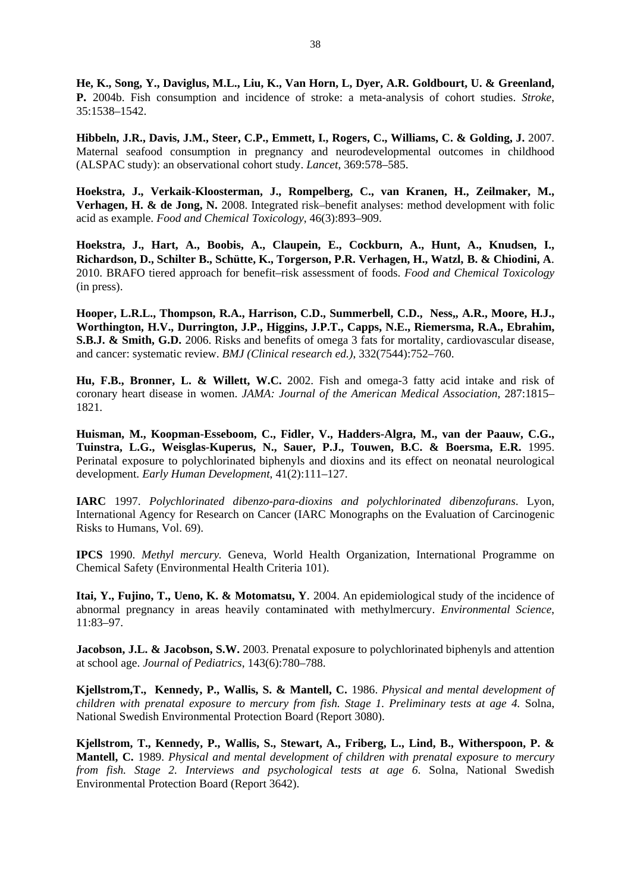**He, K., Song, Y., Daviglus, M.L., Liu, K., Van Horn, L, Dyer, A.R. Goldbourt, U. & Greenland, P.** 2004b. Fish consumption and incidence of stroke: a meta-analysis of cohort studies. *Stroke*, 35:1538–1542.

**Hibbeln, J.R., Davis, J.M., Steer, C.P., Emmett, I., Rogers, C., Williams, C. & Golding, J.** 2007. Maternal seafood consumption in pregnancy and neurodevelopmental outcomes in childhood (ALSPAC study): an observational cohort study. *Lancet*, 369:578–585.

**Hoekstra, J., Verkaik-Kloosterman, J., Rompelberg, C., van Kranen, H., Zeilmaker, M., Verhagen, H. & de Jong, N.** 2008. Integrated risk–benefit analyses: method development with folic acid as example. *Food and Chemical Toxicology*, 46(3):893–909.

**Hoekstra, J., Hart, A., Boobis, A., Claupein, E., Cockburn, A., Hunt, A., Knudsen, I., Richardson, D., Schilter B., Schütte, K., Torgerson, P.R. Verhagen, H., Watzl, B. & Chiodini, A**. 2010. BRAFO tiered approach for benefit–risk assessment of foods. *Food and Chemical Toxicology* (in press).

**Hooper, L.R.L., Thompson, R.A., Harrison, C.D., Summerbell, C.D., Ness,, A.R., Moore, H.J., Worthington, H.V., Durrington, J.P., Higgins, J.P.T., Capps, N.E., Riemersma, R.A., Ebrahim, S.B.J. & Smith, G.D.** 2006. Risks and benefits of omega 3 fats for mortality, cardiovascular disease, and cancer: systematic review. *BMJ (Clinical research ed.)*, 332(7544):752–760.

**Hu, F.B., Bronner, L. & Willett, W.C.** 2002. Fish and omega-3 fatty acid intake and risk of coronary heart disease in women. *JAMA: Journal of the American Medical Association*, 287:1815– 1821.

**Huisman, M., Koopman-Esseboom, C., Fidler, V., Hadders-Algra, M., van der Paauw, C.G., Tuinstra, L.G., Weisglas-Kuperus, N., Sauer, P.J., Touwen, B.C. & Boersma, E.R.** 1995. Perinatal exposure to polychlorinated biphenyls and dioxins and its effect on neonatal neurological development. *Early Human Development*, 41(2):111–127.

**IARC** 1997. *Polychlorinated dibenzo-para-dioxins and polychlorinated dibenzofurans*. Lyon, International Agency for Research on Cancer (IARC Monographs on the Evaluation of Carcinogenic Risks to Humans, Vol. 69).

**IPCS** 1990. *Methyl mercury.* Geneva, World Health Organization, International Programme on Chemical Safety (Environmental Health Criteria 101).

**Itai, Y., Fujino, T., Ueno, K. & Motomatsu, Y**. 2004. An epidemiological study of the incidence of abnormal pregnancy in areas heavily contaminated with methylmercury. *Environmental Science*, 11:83–97.

**Jacobson, J.L. & Jacobson, S.W.** 2003. Prenatal exposure to polychlorinated biphenyls and attention at school age. *Journal of Pediatrics*, 143(6):780–788.

**Kjellstrom,T., Kennedy, P., Wallis, S. & Mantell, C.** 1986. *Physical and mental development of children with prenatal exposure to mercury from fish. Stage 1. Preliminary tests at age 4.* Solna, National Swedish Environmental Protection Board (Report 3080).

**Kjellstrom, T., Kennedy, P., Wallis, S., Stewart, A., Friberg, L., Lind, B., Witherspoon, P. & Mantell, C.** 1989. *Physical and mental development of children with prenatal exposure to mercury from fish. Stage 2. Interviews and psychological tests at age 6*. Solna, National Swedish Environmental Protection Board (Report 3642).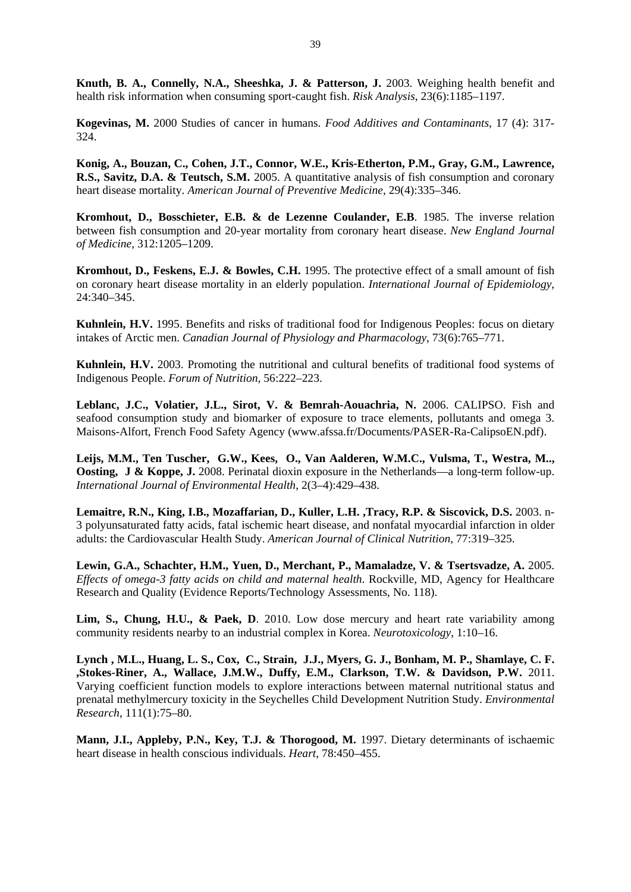**Knuth, B. A., Connelly, N.A., Sheeshka, J. & Patterson, J.** 2003. Weighing health benefit and health risk information when consuming sport-caught fish. *Risk Analysis*, 23(6):1185–1197.

**Kogevinas, M.** 2000 Studies of cancer in humans. *Food Additives and Contaminants*, 17 (4): 317- 324.

**Konig, A., Bouzan, C., Cohen, J.T., Connor, W.E., Kris-Etherton, P.M., Gray, G.M., Lawrence, R.S., Savitz, D.A. & Teutsch, S.M.** 2005. A quantitative analysis of fish consumption and coronary heart disease mortality. *American Journal of Preventive Medicine*, 29(4):335–346.

**Kromhout, D., Bosschieter, E.B. & de Lezenne Coulander, E.B**. 1985. The inverse relation between fish consumption and 20-year mortality from coronary heart disease. *New England Journal of Medicine*, 312:1205–1209.

**Kromhout, D., Feskens, E.J. & Bowles, C.H.** 1995. The protective effect of a small amount of fish on coronary heart disease mortality in an elderly population. *International Journal of Epidemiology*, 24:340–345.

**Kuhnlein, H.V.** 1995. Benefits and risks of traditional food for Indigenous Peoples: focus on dietary intakes of Arctic men. *Canadian Journal of Physiology and Pharmacology*, 73(6):765–771.

**Kuhnlein, H.V.** 2003. Promoting the nutritional and cultural benefits of traditional food systems of Indigenous People. *Forum of Nutrition*, 56:222–223.

Leblanc, J.C., Volatier, J.L., Sirot, V. & Bemrah-Aouachria, N. 2006. CALIPSO. Fish and seafood consumption study and biomarker of exposure to trace elements, pollutants and omega 3. Maisons-Alfort, French Food Safety Agency (www.afssa.fr/Documents/PASER-Ra-CalipsoEN.pdf).

**Leijs, M.M., Ten Tuscher, G.W., Kees, O., Van Aalderen, W.M.C., Vulsma, T., Westra, M.., Oosting, J & Koppe, J.** 2008. Perinatal dioxin exposure in the Netherlands—a long-term follow-up. *International Journal of Environmental Health*, 2(3–4):429–438.

**Lemaitre, R.N., King, I.B., Mozaffarian, D., Kuller, L.H. ,Tracy, R.P. & Siscovick, D.S.** 2003. n-3 polyunsaturated fatty acids, fatal ischemic heart disease, and nonfatal myocardial infarction in older adults: the Cardiovascular Health Study. *American Journal of Clinical Nutrition*, 77:319–325.

**Lewin, G.A., Schachter, H.M., Yuen, D., Merchant, P., Mamaladze, V. & Tsertsvadze, A.** 2005. *Effects of omega-3 fatty acids on child and maternal health*. Rockville, MD, Agency for Healthcare Research and Quality (Evidence Reports/Technology Assessments, No. 118).

Lim, S., Chung, H.U., & Paek, D. 2010. Low dose mercury and heart rate variability among community residents nearby to an industrial complex in Korea. *Neurotoxicology*, 1:10–16.

**Lynch , M.L., Huang, L. S., Cox, C., Strain, J.J., Myers, G. J., Bonham, M. P., Shamlaye, C. F. ,Stokes-Riner, A., Wallace, J.M.W., Duffy, E.M., Clarkson, T.W. & Davidson, P.W.** 2011. Varying coefficient function models to explore interactions between maternal nutritional status and prenatal methylmercury toxicity in the Seychelles Child Development Nutrition Study. *Environmental Research*, 111(1):75–80.

**Mann, J.I., Appleby, P.N., Key, T.J. & Thorogood, M.** 1997. Dietary determinants of ischaemic heart disease in health conscious individuals. *Heart*, 78:450–455.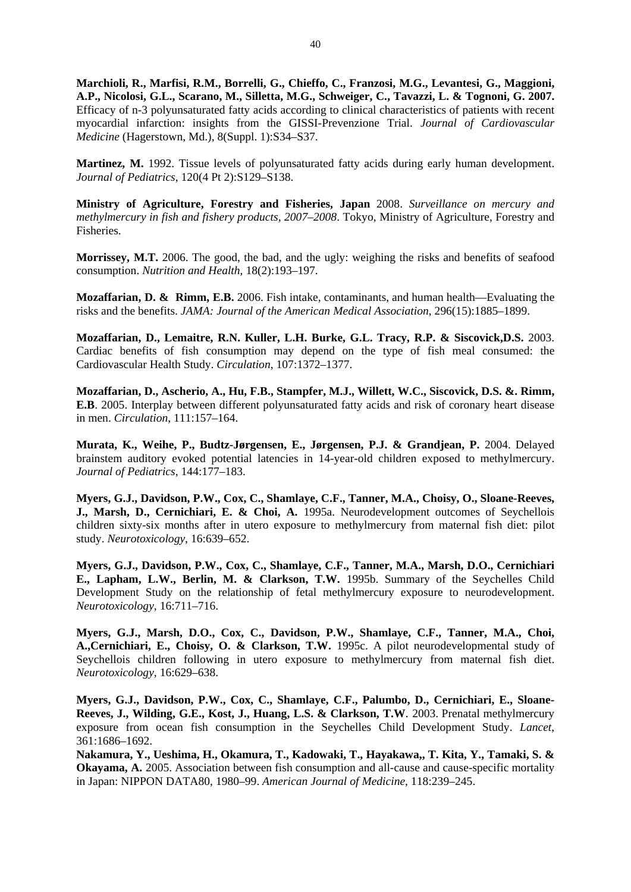**Marchioli, R., Marfisi, R.M., Borrelli, G., Chieffo, C., Franzosi, M.G., Levantesi, G., Maggioni, A.P., Nicolosi, G.L., Scarano, M., Silletta, M.G., Schweiger, C., Tavazzi, L. & Tognoni, G. 2007.**  Efficacy of n-3 polyunsaturated fatty acids according to clinical characteristics of patients with recent myocardial infarction: insights from the GISSI-Prevenzione Trial. *Journal of Cardiovascular Medicine* (Hagerstown, Md.), 8(Suppl. 1):S34–S37.

**Martinez, M.** 1992. Tissue levels of polyunsaturated fatty acids during early human development. *Journal of Pediatrics*, 120(4 Pt 2):S129–S138.

**Ministry of Agriculture, Forestry and Fisheries, Japan** 2008. *Surveillance on mercury and methylmercury in fish and fishery products, 2007–2008*. Tokyo, Ministry of Agriculture, Forestry and Fisheries.

**Morrissey, M.T.** 2006. The good, the bad, and the ugly: weighing the risks and benefits of seafood consumption. *Nutrition and Health*, 18(2):193–197.

**Mozaffarian, D. & Rimm, E.B.** 2006. Fish intake, contaminants, and human health—Evaluating the risks and the benefits. *JAMA: Journal of the American Medical Association*, 296(15):1885–1899.

**Mozaffarian, D., Lemaitre, R.N. Kuller, L.H. Burke, G.L. Tracy, R.P. & Siscovick,D.S.** 2003. Cardiac benefits of fish consumption may depend on the type of fish meal consumed: the Cardiovascular Health Study. *Circulation*, 107:1372–1377.

**Mozaffarian, D., Ascherio, A., Hu, F.B., Stampfer, M.J., Willett, W.C., Siscovick, D.S. &. Rimm, E.B**. 2005. Interplay between different polyunsaturated fatty acids and risk of coronary heart disease in men. *Circulation*, 111:157–164.

**Murata, K., Weihe, P., Budtz-Jørgensen, E., Jørgensen, P.J. & Grandjean, P.** 2004. Delayed brainstem auditory evoked potential latencies in 14-year-old children exposed to methylmercury. *Journal of Pediatrics*, 144:177–183.

**Myers, G.J., Davidson, P.W., Cox, C., Shamlaye, C.F., Tanner, M.A., Choisy, O., Sloane-Reeves, J., Marsh, D., Cernichiari, E. & Choi, A.** 1995a. Neurodevelopment outcomes of Seychellois children sixty-six months after in utero exposure to methylmercury from maternal fish diet: pilot study. *Neurotoxicology*, 16:639–652.

**Myers, G.J., Davidson, P.W., Cox, C., Shamlaye, C.F., Tanner, M.A., Marsh, D.O., Cernichiari E., Lapham, L.W., Berlin, M. & Clarkson, T.W.** 1995b. Summary of the Seychelles Child Development Study on the relationship of fetal methylmercury exposure to neurodevelopment. *Neurotoxicology*, 16:711–716.

**Myers, G.J., Marsh, D.O., Cox, C., Davidson, P.W., Shamlaye, C.F., Tanner, M.A., Choi, A.,Cernichiari, E., Choisy, O. & Clarkson, T.W.** 1995c. A pilot neurodevelopmental study of Seychellois children following in utero exposure to methylmercury from maternal fish diet. *Neurotoxicology*, 16:629–638.

**Myers, G.J., Davidson, P.W., Cox, C., Shamlaye, C.F., Palumbo, D., Cernichiari, E., Sloane-Reeves, J., Wilding, G.E., Kost, J., Huang, L.S. & Clarkson, T.W**. 2003. Prenatal methylmercury exposure from ocean fish consumption in the Seychelles Child Development Study. *Lancet*, 361:1686–1692.

**Nakamura, Y., Ueshima, H., Okamura, T., Kadowaki, T., Hayakawa,, T. Kita, Y., Tamaki, S. & Okayama, A.** 2005. Association between fish consumption and all-cause and cause-specific mortality in Japan: NIPPON DATA80, 1980–99. *American Journal of Medicine*, 118:239–245.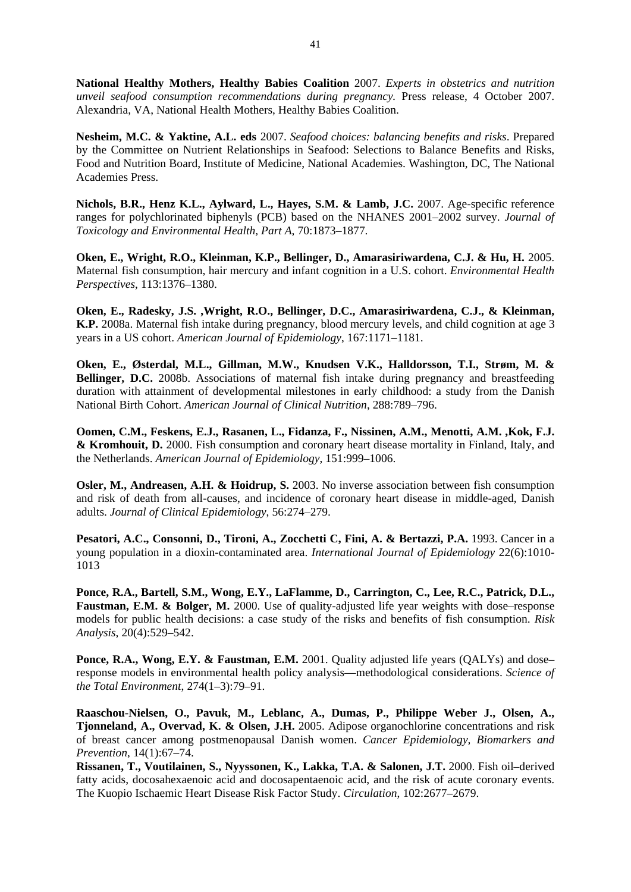**National Healthy Mothers, Healthy Babies Coalition** 2007. *Experts in obstetrics and nutrition unveil seafood consumption recommendations during pregnancy.* Press release, 4 October 2007. Alexandria, VA, National Health Mothers, Healthy Babies Coalition.

**Nesheim, M.C. & Yaktine, A.L. eds** 2007. *Seafood choices: balancing benefits and risks*. Prepared by the Committee on Nutrient Relationships in Seafood: Selections to Balance Benefits and Risks, Food and Nutrition Board, Institute of Medicine, National Academies. Washington, DC, The National Academies Press.

**Nichols, B.R., Henz K.L., Aylward, L., Hayes, S.M. & Lamb, J.C.** 2007. Age-specific reference ranges for polychlorinated biphenyls (PCB) based on the NHANES 2001–2002 survey. *Journal of Toxicology and Environmental Health, Part A*, 70:1873–1877.

**Oken, E., Wright, R.O., Kleinman, K.P., Bellinger, D., Amarasiriwardena, C.J. & Hu, H.** 2005. Maternal fish consumption, hair mercury and infant cognition in a U.S. cohort. *Environmental Health Perspectives*, 113:1376–1380.

**Oken, E., Radesky, J.S. ,Wright, R.O., Bellinger, D.C., Amarasiriwardena, C.J., & Kleinman, K.P.** 2008a. Maternal fish intake during pregnancy, blood mercury levels, and child cognition at age 3 years in a US cohort. *American Journal of Epidemiology*, 167:1171–1181.

**Oken, E., Østerdal, M.L., Gillman, M.W., Knudsen V.K., Halldorsson, T.I., Strøm, M. & Bellinger, D.C.** 2008b. Associations of maternal fish intake during pregnancy and breastfeeding duration with attainment of developmental milestones in early childhood: a study from the Danish National Birth Cohort. *American Journal of Clinical Nutrition*, 288:789–796.

**Oomen, C.M., Feskens, E.J., Rasanen, L., Fidanza, F., Nissinen, A.M., Menotti, A.M. ,Kok, F.J. & Kromhouit, D.** 2000. Fish consumption and coronary heart disease mortality in Finland, Italy, and the Netherlands. *American Journal of Epidemiology*, 151:999–1006.

**Osler, M., Andreasen, A.H. & Hoidrup, S.** 2003. No inverse association between fish consumption and risk of death from all-causes, and incidence of coronary heart disease in middle-aged, Danish adults. *Journal of Clinical Epidemiology*, 56:274–279.

**Pesatori, A.C., Consonni, D., Tironi, A., Zocchetti C, Fini, A. & Bertazzi, P.A.** 1993. Cancer in a young population in a dioxin-contaminated area. *International Journal of Epidemiology* 22(6):1010- 1013

**Ponce, R.A., Bartell, S.M., Wong, E.Y., LaFlamme, D., Carrington, C., Lee, R.C., Patrick, D.L., Faustman, E.M. & Bolger, M.** 2000. Use of quality-adjusted life year weights with dose–response models for public health decisions: a case study of the risks and benefits of fish consumption. *Risk Analysis*, 20(4):529–542.

**Ponce, R.A., Wong, E.Y. & Faustman, E.M.** 2001. Quality adjusted life years (OALYs) and dose– response models in environmental health policy analysis—methodological considerations. *Science of the Total Environment*, 274(1–3):79–91.

**Raaschou-Nielsen, O., Pavuk, M., Leblanc, A., Dumas, P., Philippe Weber J., Olsen, A., Tjonneland, A., Overvad, K. & Olsen, J.H.** 2005. Adipose organochlorine concentrations and risk of breast cancer among postmenopausal Danish women. *Cancer Epidemiology, Biomarkers and Prevention*, 14(1):67–74.

**Rissanen, T., Voutilainen, S., Nyyssonen, K., Lakka, T.A. & Salonen, J.T.** 2000. Fish oil–derived fatty acids, docosahexaenoic acid and docosapentaenoic acid, and the risk of acute coronary events. The Kuopio Ischaemic Heart Disease Risk Factor Study. *Circulation*, 102:2677–2679.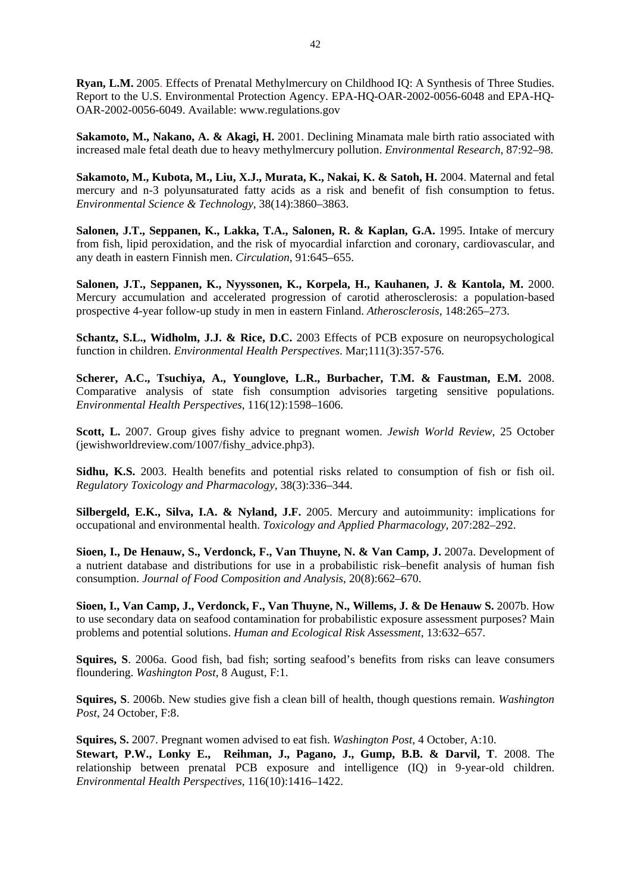**Ryan, L.M.** 2005. Effects of Prenatal Methylmercury on Childhood IQ: A Synthesis of Three Studies. Report to the U.S. Environmental Protection Agency. EPA-HQ-OAR-2002-0056-6048 and EPA-HQ-OAR-2002-0056-6049. Available: www.regulations.gov

**Sakamoto, M., Nakano, A. & Akagi, H.** 2001. Declining Minamata male birth ratio associated with increased male fetal death due to heavy methylmercury pollution. *Environmental Research*, 87:92–98.

**Sakamoto, M., Kubota, M., Liu, X.J., Murata, K., Nakai, K. & Satoh, H.** 2004. Maternal and fetal mercury and n-3 polyunsaturated fatty acids as a risk and benefit of fish consumption to fetus. *Environmental Science & Technology*, 38(14):3860–3863.

**Salonen, J.T., Seppanen, K., Lakka, T.A., Salonen, R. & Kaplan, G.A.** 1995. Intake of mercury from fish, lipid peroxidation, and the risk of myocardial infarction and coronary, cardiovascular, and any death in eastern Finnish men. *Circulation*, 91:645–655.

**Salonen, J.T., Seppanen, K., Nyyssonen, K., Korpela, H., Kauhanen, J. & Kantola, M.** 2000. Mercury accumulation and accelerated progression of carotid atherosclerosis: a population-based prospective 4-year follow-up study in men in eastern Finland. *Atherosclerosis*, 148:265–273.

**Schantz, S.L., Widholm, J.J. & Rice, D.C.** 2003 Effects of PCB exposure on neuropsychological function in children. *Environmental Health Perspectives*. Mar;111(3):357-576.

**Scherer, A.C., Tsuchiya, A., Younglove, L.R., Burbacher, T.M. & Faustman, E.M.** 2008. Comparative analysis of state fish consumption advisories targeting sensitive populations. *Environmental Health Perspectives*, 116(12):1598–1606.

**Scott, L.** 2007. Group gives fishy advice to pregnant women. *Jewish World Review*, 25 October (jewishworldreview.com/1007/fishy\_advice.php3).

**Sidhu, K.S.** 2003. Health benefits and potential risks related to consumption of fish or fish oil. *Regulatory Toxicology and Pharmacology*, 38(3):336–344.

**Silbergeld, E.K., Silva, I.A. & Nyland, J.F.** 2005. Mercury and autoimmunity: implications for occupational and environmental health. *Toxicology and Applied Pharmacology*, 207:282–292.

Sioen, I., De Henauw, S., Verdonck, F., Van Thuyne, N. & Van Camp, J. 2007a. Development of a nutrient database and distributions for use in a probabilistic risk–benefit analysis of human fish consumption. *Journal of Food Composition and Analysis*, 20(8):662–670.

**Sioen, I., Van Camp, J., Verdonck, F., Van Thuyne, N., Willems, J. & De Henauw S.** 2007b. How to use secondary data on seafood contamination for probabilistic exposure assessment purposes? Main problems and potential solutions. *Human and Ecological Risk Assessment*, 13:632–657.

**Squires, S**. 2006a. Good fish, bad fish; sorting seafood's benefits from risks can leave consumers floundering. *Washington Post*, 8 August, F:1.

**Squires, S**. 2006b. New studies give fish a clean bill of health, though questions remain. *Washington Post*, 24 October, F:8.

**Squires, S.** 2007. Pregnant women advised to eat fish. *Washington Post*, 4 October, A:10. **Stewart, P.W., Lonky E., Reihman, J., Pagano, J., Gump, B.B. & Darvil, T**. 2008. The relationship between prenatal PCB exposure and intelligence (IQ) in 9-year-old children. *Environmental Health Perspectives*, 116(10):1416–1422.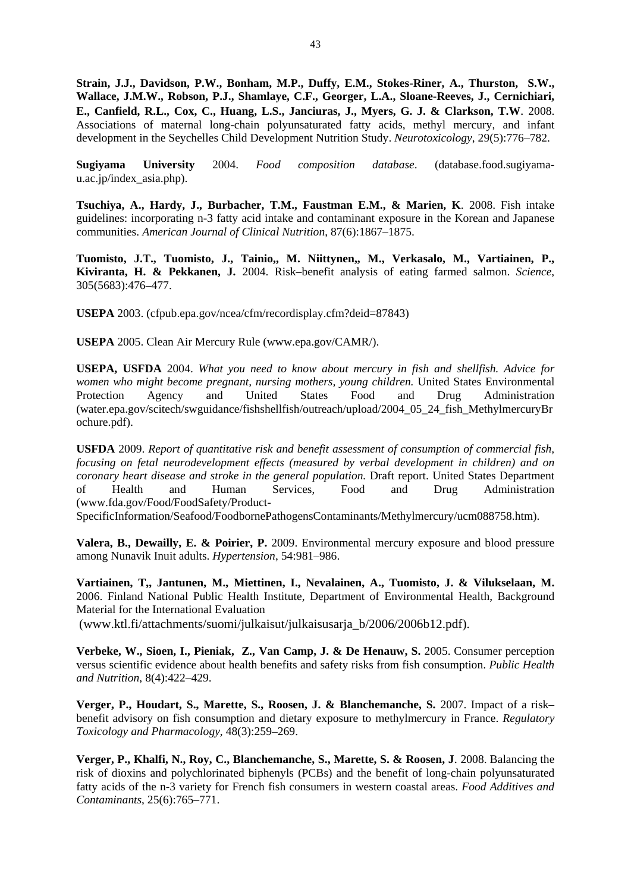**Strain, J.J., Davidson, P.W., Bonham, M.P., Duffy, E.M., Stokes-Riner, A., Thurston, S.W., Wallace, J.M.W., Robson, P.J., Shamlaye, C.F., Georger, L.A., Sloane-Reeves, J., Cernichiari, E., Canfield, R.L., Cox, C., Huang, L.S., Janciuras, J., Myers, G. J. & Clarkson, T.W**. 2008. Associations of maternal long-chain polyunsaturated fatty acids, methyl mercury, and infant development in the Seychelles Child Development Nutrition Study. *Neurotoxicology*, 29(5):776–782.

**Sugiyama University** 2004. *Food composition database*. (database.food.sugiyamau.ac.jp/index\_asia.php).

**Tsuchiya, A., Hardy, J., Burbacher, T.M., Faustman E.M., & Marien, K**. 2008. Fish intake guidelines: incorporating n-3 fatty acid intake and contaminant exposure in the Korean and Japanese communities. *American Journal of Clinical Nutrition*, 87(6):1867–1875.

**Tuomisto, J.T., Tuomisto, J., Tainio,, M. Niittynen,, M., Verkasalo, M., Vartiainen, P., Kiviranta, H. & Pekkanen, J.** 2004. Risk–benefit analysis of eating farmed salmon. *Science*, 305(5683):476–477.

**USEPA** 2003. (cfpub.epa.gov/ncea/cfm/recordisplay.cfm?deid=87843)

**USEPA** 2005. Clean Air Mercury Rule (www.epa.gov/CAMR/).

**USEPA, USFDA** 2004. *What you need to know about mercury in fish and shellfish. Advice for women who might become pregnant, nursing mothers, young children.* United States Environmental Protection Agency and United States Food and Drug Administration (water.epa.gov/scitech/swguidance/fishshellfish/outreach/upload/2004\_05\_24\_fish\_MethylmercuryBr ochure.pdf).

**USFDA** 2009. *Report of quantitative risk and benefit assessment of consumption of commercial fish, focusing on fetal neurodevelopment effects (measured by verbal development in children) and on coronary heart disease and stroke in the general population.* Draft report. United States Department of Health and Human Services, Food and Drug Administration (www.fda.gov/Food/FoodSafety/Product-

SpecificInformation/Seafood/FoodbornePathogensContaminants/Methylmercury/ucm088758.htm).

**Valera, B., Dewailly, E. & Poirier, P.** 2009. Environmental mercury exposure and blood pressure among Nunavik Inuit adults. *Hypertension*, 54:981–986.

**Vartiainen, T,, Jantunen, M., Miettinen, I., Nevalainen, A., Tuomisto, J. & Vilukselaan, M.** 2006. Finland National Public Health Institute, Department of Environmental Health, Background Material for the International Evaluation

(www.ktl.fi/attachments/suomi/julkaisut/julkaisusarja\_b/2006/2006b12.pdf).

**Verbeke, W., Sioen, I., Pieniak, Z., Van Camp, J. & De Henauw, S.** 2005. Consumer perception versus scientific evidence about health benefits and safety risks from fish consumption. *Public Health and Nutrition*, 8(4):422–429.

**Verger, P., Houdart, S., Marette, S., Roosen, J. & Blanchemanche, S.** 2007. Impact of a risk– benefit advisory on fish consumption and dietary exposure to methylmercury in France. *Regulatory Toxicology and Pharmacology*, 48(3):259–269.

**Verger, P., Khalfi, N., Roy, C., Blanchemanche, S., Marette, S. & Roosen, J**. 2008. Balancing the risk of dioxins and polychlorinated biphenyls (PCBs) and the benefit of long-chain polyunsaturated fatty acids of the n-3 variety for French fish consumers in western coastal areas. *Food Additives and Contaminants*, 25(6):765–771.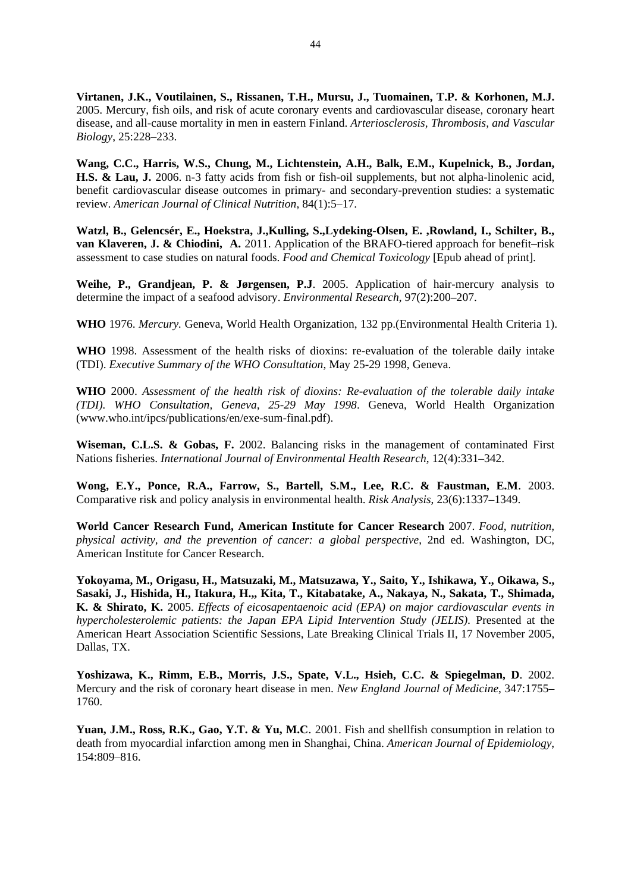**Virtanen, J.K., Voutilainen, S., Rissanen, T.H., Mursu, J., Tuomainen, T.P. & Korhonen, M.J.** 2005. Mercury, fish oils, and risk of acute coronary events and cardiovascular disease, coronary heart disease, and all-cause mortality in men in eastern Finland. *Arteriosclerosis, Thrombosis, and Vascular Biology*, 25:228–233.

**Wang, C.C., Harris, W.S., Chung, M., Lichtenstein, A.H., Balk, E.M., Kupelnick, B., Jordan, H.S. & Lau, J.** 2006. n-3 fatty acids from fish or fish-oil supplements, but not alpha-linolenic acid, benefit cardiovascular disease outcomes in primary- and secondary-prevention studies: a systematic review. *American Journal of Clinical Nutrition*, 84(1):5–17.

**Watzl, B., Gelencsér, E., Hoekstra, J.,Kulling, S.,Lydeking-Olsen, E. ,Rowland, I., Schilter, B., van Klaveren, J. & Chiodini, A.** 2011. Application of the BRAFO-tiered approach for benefit–risk assessment to case studies on natural foods. *Food and Chemical Toxicology* [Epub ahead of print].

**Weihe, P., Grandjean, P. & Jørgensen, P.J**. 2005. Application of hair-mercury analysis to determine the impact of a seafood advisory. *Environmental Research*, 97(2):200–207.

**WHO** 1976. *Mercury.* Geneva, World Health Organization, 132 pp.(Environmental Health Criteria 1).

**WHO** 1998. Assessment of the health risks of dioxins: re-evaluation of the tolerable daily intake (TDI). *Executive Summary of the WHO Consultation*, May 25-29 1998, Geneva.

**WHO** 2000. *Assessment of the health risk of dioxins: Re-evaluation of the tolerable daily intake (TDI). WHO Consultation, Geneva, 25-29 May 1998*. Geneva, World Health Organization (www.who.int/ipcs/publications/en/exe-sum-final.pdf).

**Wiseman, C.L.S. & Gobas, F.** 2002. Balancing risks in the management of contaminated First Nations fisheries. *International Journal of Environmental Health Research*, 12(4):331–342.

**Wong, E.Y., Ponce, R.A., Farrow, S., Bartell, S.M., Lee, R.C. & Faustman, E.M**. 2003. Comparative risk and policy analysis in environmental health. *Risk Analysis*, 23(6):1337–1349.

**World Cancer Research Fund, American Institute for Cancer Research** 2007. *Food, nutrition, physical activity, and the prevention of cancer: a global perspective*, 2nd ed. Washington, DC, American Institute for Cancer Research.

**Yokoyama, M., Origasu, H., Matsuzaki, M., Matsuzawa, Y., Saito, Y., Ishikawa, Y., Oikawa, S., Sasaki, J., Hishida, H., Itakura, H.,, Kita, T., Kitabatake, A., Nakaya, N., Sakata, T., Shimada, K. & Shirato, K.** 2005. *Effects of eicosapentaenoic acid (EPA) on major cardiovascular events in hypercholesterolemic patients: the Japan EPA Lipid Intervention Study (JELIS).* Presented at the American Heart Association Scientific Sessions, Late Breaking Clinical Trials II, 17 November 2005, Dallas, TX.

**Yoshizawa, K., Rimm, E.B., Morris, J.S., Spate, V.L., Hsieh, C.C. & Spiegelman, D**. 2002. Mercury and the risk of coronary heart disease in men. *New England Journal of Medicine*, 347:1755– 1760.

**Yuan, J.M., Ross, R.K., Gao, Y.T. & Yu, M.C**. 2001. Fish and shellfish consumption in relation to death from myocardial infarction among men in Shanghai, China. *American Journal of Epidemiology*, 154:809–816.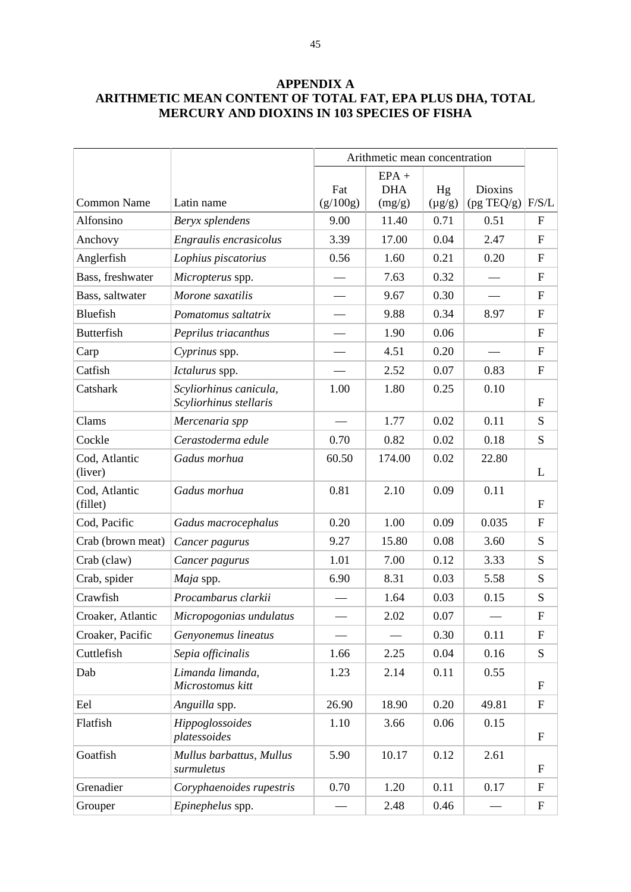# **APPENDIX A ARITHMETIC MEAN CONTENT OF TOTAL FAT, EPA PLUS DHA, TOTAL MERCURY AND DIOXINS IN 103 SPECIES OF FISHA**

|                           |                                                  | Arithmetic mean concentration |                                 |                   |                                 |                           |
|---------------------------|--------------------------------------------------|-------------------------------|---------------------------------|-------------------|---------------------------------|---------------------------|
| <b>Common Name</b>        | Latin name                                       | Fat<br>(g/100g)               | $EPA +$<br><b>DHA</b><br>(mg/g) | Hg<br>$(\mu g/g)$ | Dioxins<br>$(pg \text{ TEQ/g})$ | F/S/L                     |
| Alfonsino                 | Beryx splendens                                  | 9.00                          | 11.40                           | 0.71              | 0.51                            | $\mathbf{F}$              |
| Anchovy                   | Engraulis encrasicolus                           | 3.39                          | 17.00                           | 0.04              | 2.47                            | $\mathbf F$               |
| Anglerfish                | Lophius piscatorius                              | 0.56                          | 1.60                            | 0.21              | 0.20                            | $\mathbf F$               |
| Bass, freshwater          | Micropterus spp.                                 |                               | 7.63                            | 0.32              |                                 | $\boldsymbol{\mathrm{F}}$ |
| Bass, saltwater           | Morone saxatilis                                 |                               | 9.67                            | 0.30              |                                 | $\boldsymbol{\mathrm{F}}$ |
| Bluefish                  | Pomatomus saltatrix                              |                               | 9.88                            | 0.34              | 8.97                            | $\boldsymbol{\mathrm{F}}$ |
| <b>Butterfish</b>         | Peprilus triacanthus                             |                               | 1.90                            | 0.06              |                                 | $\mathbf F$               |
| Carp                      | Cyprinus spp.                                    |                               | 4.51                            | 0.20              |                                 | $\boldsymbol{\mathrm{F}}$ |
| Catfish                   | Ictalurus spp.                                   |                               | 2.52                            | 0.07              | 0.83                            | $\boldsymbol{\mathrm{F}}$ |
| Catshark                  | Scyliorhinus canicula,<br>Scyliorhinus stellaris | 1.00                          | 1.80                            | 0.25              | 0.10                            | $\mathbf{F}$              |
| Clams                     | Mercenaria spp                                   |                               | 1.77                            | 0.02              | 0.11                            | S                         |
| Cockle                    | Cerastoderma edule                               | 0.70                          | 0.82                            | 0.02              | 0.18                            | S                         |
| Cod, Atlantic<br>(liver)  | Gadus morhua                                     | 60.50                         | 174.00                          | 0.02              | 22.80                           | L                         |
| Cod, Atlantic<br>(fillet) | Gadus morhua                                     | 0.81                          | 2.10                            | 0.09              | 0.11                            | $\mathbf{F}$              |
| Cod, Pacific              | Gadus macrocephalus                              | 0.20                          | 1.00                            | 0.09              | 0.035                           | ${\bf F}$                 |
| Crab (brown meat)         | Cancer pagurus                                   | 9.27                          | 15.80                           | 0.08              | 3.60                            | S                         |
| Crab (claw)               | Cancer pagurus                                   | 1.01                          | 7.00                            | 0.12              | 3.33                            | S                         |
| Crab, spider              | Maja spp.                                        | 6.90                          | 8.31                            | 0.03              | 5.58                            | S                         |
| Crawfish                  | Procambarus clarkii                              |                               | 1.64                            | 0.03              | 0.15                            | S                         |
| Croaker, Atlantic         | Micropogonias undulatus                          |                               | 2.02                            | 0.07              |                                 | $\boldsymbol{\mathrm{F}}$ |
| Croaker, Pacific          | Genyonemus lineatus                              |                               |                                 | 0.30              | 0.11                            | $\mathbf F$               |
| Cuttlefish                | Sepia officinalis                                | 1.66                          | 2.25                            | 0.04              | 0.16                            | S                         |
| Dab                       | Limanda limanda,<br>Microstomus kitt             | 1.23                          | 2.14                            | 0.11              | 0.55                            | $\mathbf F$               |
| Eel                       | Anguilla spp.                                    | 26.90                         | 18.90                           | 0.20              | 49.81                           | ${\bf F}$                 |
| Flatfish                  | Hippoglossoides<br>platessoides                  | 1.10                          | 3.66                            | 0.06              | 0.15                            | $\boldsymbol{\mathrm{F}}$ |
| Goatfish                  | Mullus barbattus, Mullus<br>surmuletus           | 5.90                          | 10.17                           | 0.12              | 2.61                            | $\boldsymbol{\mathrm{F}}$ |
| Grenadier                 | Coryphaenoides rupestris                         | 0.70                          | 1.20                            | 0.11              | 0.17                            | ${\bf F}$                 |
| Grouper                   | Epinephelus spp.                                 |                               | 2.48                            | 0.46              |                                 | $\boldsymbol{\mathrm{F}}$ |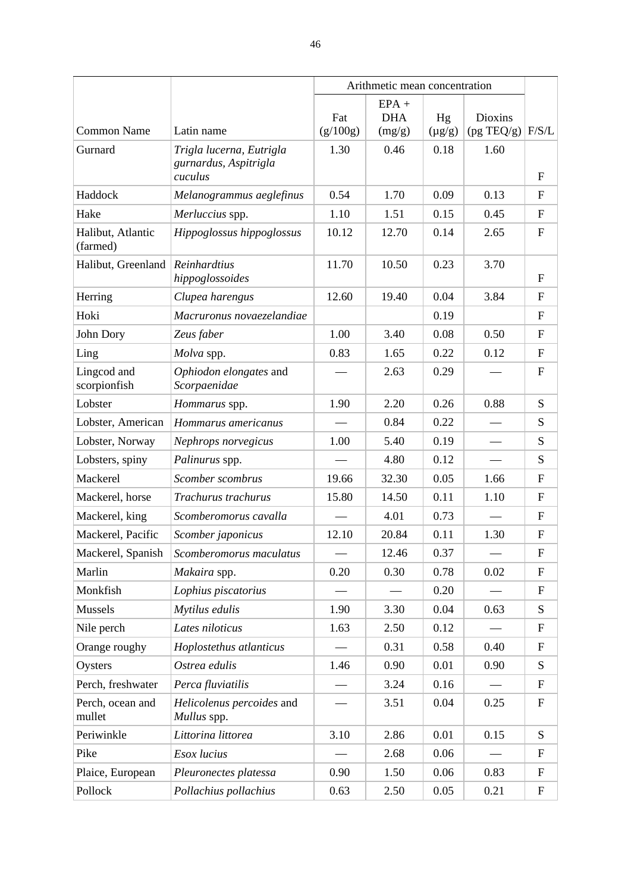|                             |                                          |          | Arithmetic mean concentration |             |                            |                           |
|-----------------------------|------------------------------------------|----------|-------------------------------|-------------|----------------------------|---------------------------|
|                             |                                          | Fat      | $EPA +$<br><b>DHA</b>         | Hg          | <b>Dioxins</b>             |                           |
| <b>Common Name</b>          | Latin name                               | (g/100g) | (mg/g)                        | $(\mu g/g)$ | $(pg \text{ TEQ/g})$ F/S/L |                           |
| Gurnard                     | Trigla lucerna, Eutrigla                 | 1.30     | 0.46                          | 0.18        | 1.60                       |                           |
|                             | gurnardus, Aspitrigla<br>cuculus         |          |                               |             |                            | $\mathbf{F}$              |
| Haddock                     | Melanogrammus aeglefinus                 | 0.54     | 1.70                          | 0.09        | 0.13                       | $\mathbf F$               |
| Hake                        | Merluccius spp.                          | 1.10     | 1.51                          | 0.15        | 0.45                       | $\mathbf F$               |
| Halibut, Atlantic           | Hippoglossus hippoglossus                | 10.12    | 12.70                         | 0.14        | 2.65                       | $\mathbf F$               |
| (farmed)                    |                                          |          |                               |             |                            |                           |
| Halibut, Greenland          | Reinhardtius<br>hippoglossoides          | 11.70    | 10.50                         | 0.23        | 3.70                       | $\mathbf{F}$              |
| Herring                     | Clupea harengus                          | 12.60    | 19.40                         | 0.04        | 3.84                       | $\mathbf F$               |
| Hoki                        | Macruronus novaezelandiae                |          |                               | 0.19        |                            | $\mathbf F$               |
| John Dory                   | Zeus faber                               | 1.00     | 3.40                          | 0.08        | 0.50                       | $\mathbf F$               |
| Ling                        | Molva spp.                               | 0.83     | 1.65                          | 0.22        | 0.12                       | $\boldsymbol{\mathrm{F}}$ |
| Lingcod and<br>scorpionfish | Ophiodon elongates and<br>Scorpaenidae   |          | 2.63                          | 0.29        |                            | $\mathbf F$               |
| Lobster                     | Hommarus spp.                            | 1.90     | 2.20                          | 0.26        | 0.88                       | S                         |
| Lobster, American           | Hommarus americanus                      |          | 0.84                          | 0.22        |                            | S                         |
| Lobster, Norway             | Nephrops norvegicus                      | 1.00     | 5.40                          | 0.19        |                            | S                         |
| Lobsters, spiny             | Palinurus spp.                           |          | 4.80                          | 0.12        |                            | S                         |
| Mackerel                    | Scomber scombrus                         | 19.66    | 32.30                         | 0.05        | 1.66                       | F                         |
| Mackerel, horse             | Trachurus trachurus                      | 15.80    | 14.50                         | 0.11        | 1.10                       | $\mathbf F$               |
| Mackerel, king              | Scomberomorus cavalla                    |          | 4.01                          | 0.73        |                            | F                         |
| Mackerel, Pacific           | Scomber japonicus                        | 12.10    | 20.84                         | 0.11        | 1.30                       | $\mathbf{F}$              |
| Mackerel, Spanish           | Scomberomorus maculatus                  |          | 12.46                         | 0.37        |                            | $\boldsymbol{\mathrm{F}}$ |
| Marlin                      | Makaira spp.                             | 0.20     | 0.30                          | 0.78        | 0.02                       | $\mathbf{F}$              |
| Monkfish                    | Lophius piscatorius                      |          |                               | 0.20        |                            | $\boldsymbol{\mathrm{F}}$ |
| Mussels                     | Mytilus edulis                           | 1.90     | 3.30                          | 0.04        | 0.63                       | S                         |
| Nile perch                  | Lates niloticus                          | 1.63     | 2.50                          | 0.12        |                            | $\mathbf F$               |
| Orange roughy               | Hoplostethus atlanticus                  |          | 0.31                          | 0.58        | 0.40                       | $\boldsymbol{\mathrm{F}}$ |
| Oysters                     | Ostrea edulis                            | 1.46     | 0.90                          | 0.01        | 0.90                       | S                         |
| Perch, freshwater           | Perca fluviatilis                        |          | 3.24                          | 0.16        |                            | $\boldsymbol{\mathrm{F}}$ |
| Perch, ocean and<br>mullet  | Helicolenus percoides and<br>Mullus spp. |          | 3.51                          | 0.04        | 0.25                       | $\mathbf F$               |
| Periwinkle                  | Littorina littorea                       | 3.10     | 2.86                          | 0.01        | 0.15                       | S                         |
| Pike                        | Esox lucius                              |          | 2.68                          | 0.06        |                            | $\boldsymbol{\mathrm{F}}$ |
| Plaice, European            | Pleuronectes platessa                    | 0.90     | 1.50                          | 0.06        | 0.83                       | $\boldsymbol{\mathrm{F}}$ |
| Pollock                     | Pollachius pollachius                    | 0.63     | 2.50                          | 0.05        | 0.21                       | $\boldsymbol{\mathrm{F}}$ |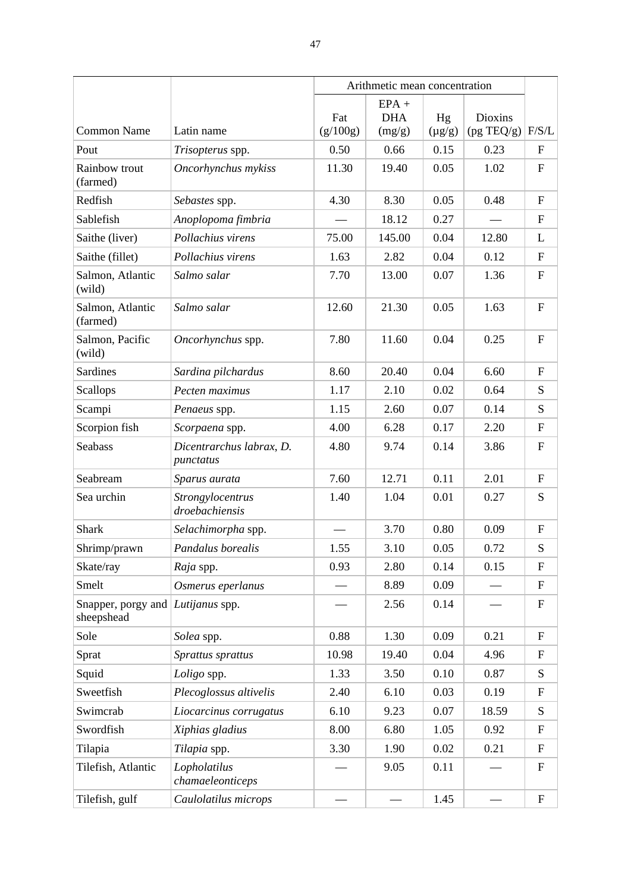|                                  |                                       | Arithmetic mean concentration |                                 |                   |                                        |                           |
|----------------------------------|---------------------------------------|-------------------------------|---------------------------------|-------------------|----------------------------------------|---------------------------|
| <b>Common Name</b>               | Latin name                            | Fat<br>(g/100g)               | $EPA +$<br><b>DHA</b><br>(mg/g) | Hg<br>$(\mu g/g)$ | <b>Dioxins</b><br>$(pg \text{ TEQ/g})$ | F/S/L                     |
| Pout                             | Trisopterus spp.                      | 0.50                          | 0.66                            | 0.15              | 0.23                                   | $\boldsymbol{\mathrm{F}}$ |
| Rainbow trout<br>(farmed)        | Oncorhynchus mykiss                   | 11.30                         | 19.40                           | 0.05              | 1.02                                   | $\boldsymbol{\mathrm{F}}$ |
| Redfish                          | Sebastes spp.                         | 4.30                          | 8.30                            | 0.05              | 0.48                                   | F                         |
| Sablefish                        | Anoplopoma fimbria                    |                               | 18.12                           | 0.27              |                                        | $\boldsymbol{\mathrm{F}}$ |
| Saithe (liver)                   | Pollachius virens                     | 75.00                         | 145.00                          | 0.04              | 12.80                                  | L                         |
| Saithe (fillet)                  | Pollachius virens                     | 1.63                          | 2.82                            | 0.04              | 0.12                                   | $\mathbf F$               |
| Salmon, Atlantic<br>(wild)       | Salmo salar                           | 7.70                          | 13.00                           | 0.07              | 1.36                                   | $\boldsymbol{\mathrm{F}}$ |
| Salmon, Atlantic<br>(farmed)     | Salmo salar                           | 12.60                         | 21.30                           | 0.05              | 1.63                                   | $\mathbf F$               |
| Salmon, Pacific<br>(wild)        | Oncorhynchus spp.                     | 7.80                          | 11.60                           | 0.04              | 0.25                                   | $\boldsymbol{\mathrm{F}}$ |
| Sardines                         | Sardina pilchardus                    | 8.60                          | 20.40                           | 0.04              | 6.60                                   | $\boldsymbol{\mathrm{F}}$ |
| Scallops                         | Pecten maximus                        | 1.17                          | 2.10                            | 0.02              | 0.64                                   | S                         |
| Scampi                           | Penaeus spp.                          | 1.15                          | 2.60                            | 0.07              | 0.14                                   | S                         |
| Scorpion fish                    | Scorpaena spp.                        | 4.00                          | 6.28                            | 0.17              | 2.20                                   | $\boldsymbol{\mathrm{F}}$ |
| <b>Seabass</b>                   | Dicentrarchus labrax, D.<br>punctatus | 4.80                          | 9.74                            | 0.14              | 3.86                                   | $\mathbf F$               |
| Seabream                         | Sparus aurata                         | 7.60                          | 12.71                           | 0.11              | 2.01                                   | $\boldsymbol{\mathrm{F}}$ |
| Sea urchin                       | Strongylocentrus<br>droebachiensis    | 1.40                          | 1.04                            | 0.01              | 0.27                                   | S                         |
| <b>Shark</b>                     | Selachimorpha spp.                    |                               | 3.70                            | 0.80              | 0.09                                   | $\boldsymbol{\mathrm{F}}$ |
| Shrimp/prawn                     | Pandalus borealis                     | 1.55                          | 3.10                            | 0.05              | 0.72                                   | ${\bf S}$                 |
| Skate/ray                        | Raja spp.                             | 0.93                          | 2.80                            | 0.14              | 0.15                                   | $\mathbf F$               |
| Smelt                            | Osmerus eperlanus                     |                               | 8.89                            | 0.09              |                                        | $\mathbf F$               |
| Snapper, porgy and<br>sheepshead | Lutijanus spp.                        |                               | 2.56                            | 0.14              |                                        | $\boldsymbol{\mathrm{F}}$ |
| Sole                             | Solea spp.                            | 0.88                          | 1.30                            | 0.09              | 0.21                                   | $\mathbf F$               |
| Sprat                            | Sprattus sprattus                     | 10.98                         | 19.40                           | 0.04              | 4.96                                   | $\mathbf F$               |
| Squid                            | Loligo spp.                           | 1.33                          | 3.50                            | 0.10              | 0.87                                   | S                         |
| Sweetfish                        | Plecoglossus altivelis                | 2.40                          | 6.10                            | 0.03              | 0.19                                   | $\mathbf F$               |
| Swimcrab                         | Liocarcinus corrugatus                | 6.10                          | 9.23                            | 0.07              | 18.59                                  | S                         |
| Swordfish                        | Xiphias gladius                       | 8.00                          | 6.80                            | 1.05              | 0.92                                   | $\boldsymbol{\mathrm{F}}$ |
| Tilapia                          | Tilapia spp.                          | 3.30                          | 1.90                            | 0.02              | 0.21                                   | $\boldsymbol{\mathrm{F}}$ |
| Tilefish, Atlantic               | Lopholatilus<br>chamaeleonticeps      |                               | 9.05                            | 0.11              |                                        | $\boldsymbol{\mathrm{F}}$ |
| Tilefish, gulf                   | Caulolatilus microps                  |                               |                                 | 1.45              |                                        | ${\bf F}$                 |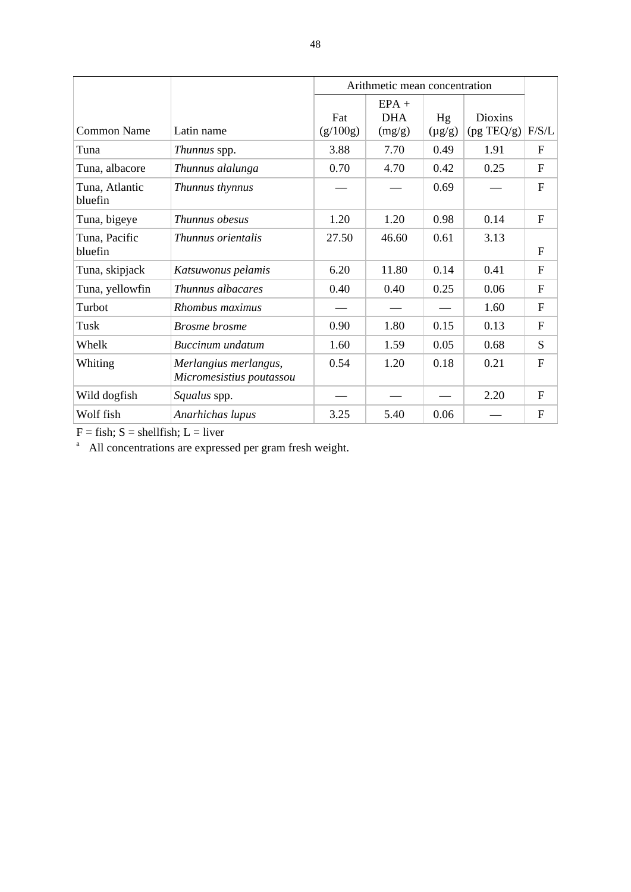|                           |                                                   |                 | Arithmetic mean concentration   |                   |                              |                           |
|---------------------------|---------------------------------------------------|-----------------|---------------------------------|-------------------|------------------------------|---------------------------|
| <b>Common Name</b>        | Latin name                                        | Fat<br>(g/100g) | $EPA +$<br><b>DHA</b><br>(mg/g) | Hg<br>$(\mu g/g)$ | <b>Dioxins</b><br>(pg TEQ/g) | F/S/L                     |
| Tuna                      | Thunnus spp.                                      | 3.88            | 7.70                            | 0.49              | 1.91                         | $\boldsymbol{\mathrm{F}}$ |
| Tuna, albacore            | Thunnus alalunga                                  | 0.70            | 4.70                            | 0.42              | 0.25                         | ${\bf F}$                 |
| Tuna, Atlantic<br>bluefin | Thunnus thynnus                                   |                 |                                 | 0.69              |                              | $\overline{F}$            |
| Tuna, bigeye              | Thunnus obesus                                    | 1.20            | 1.20                            | 0.98              | 0.14                         | $\mathbf{F}$              |
| Tuna, Pacific<br>bluefin  | <i>Thunnus orientalis</i>                         | 27.50           | 46.60                           | 0.61              | 3.13                         | $\mathbf F$               |
| Tuna, skipjack            | Katsuwonus pelamis                                | 6.20            | 11.80                           | 0.14              | 0.41                         | $\mathbf{F}$              |
| Tuna, yellowfin           | Thunnus albacares                                 | 0.40            | 0.40                            | 0.25              | 0.06                         | $\mathbf{F}$              |
| Turbot                    | Rhombus maximus                                   |                 |                                 |                   | 1.60                         | $\mathbf{F}$              |
| Tusk                      | <b>Brosme</b> brosme                              | 0.90            | 1.80                            | 0.15              | 0.13                         | $\mathbf{F}$              |
| Whelk                     | Buccinum undatum                                  | 1.60            | 1.59                            | 0.05              | 0.68                         | S                         |
| Whiting                   | Merlangius merlangus,<br>Micromesistius poutassou | 0.54            | 1.20                            | 0.18              | 0.21                         | $\mathbf{F}$              |
| Wild dogfish              | Squalus spp.                                      |                 |                                 |                   | 2.20                         | F                         |
| Wolf fish                 | Anarhichas lupus                                  | 3.25            | 5.40                            | 0.06              |                              | $\mathbf F$               |

 $F =$  fish;  $S =$  shellfish;  $L =$  liver

<sup>a</sup> All concentrations are expressed per gram fresh weight.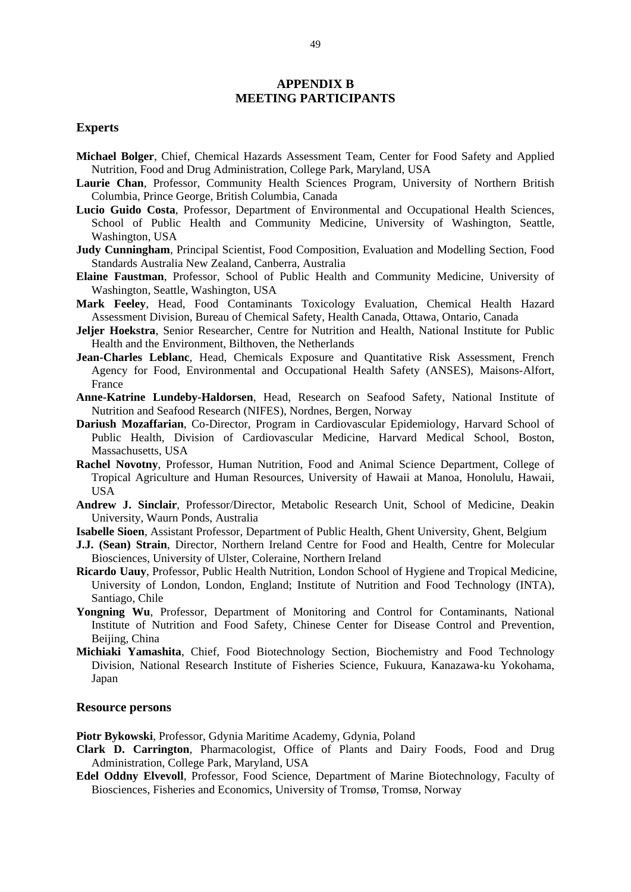#### **APPENDIX B MEETING PARTICIPANTS**

#### **Experts**

- **Michael Bolger**, Chief, Chemical Hazards Assessment Team, Center for Food Safety and Applied Nutrition, Food and Drug Administration, College Park, Maryland, USA
- **Laurie Chan**, Professor, Community Health Sciences Program, University of Northern British Columbia, Prince George, British Columbia, Canada
- **Lucio Guido Costa**, Professor, Department of Environmental and Occupational Health Sciences, School of Public Health and Community Medicine, University of Washington, Seattle, Washington, USA
- **Judy Cunningham**, Principal Scientist, Food Composition, Evaluation and Modelling Section, Food Standards Australia New Zealand, Canberra, Australia
- **Elaine Faustman**, Professor, School of Public Health and Community Medicine, University of Washington, Seattle, Washington, USA
- **Mark Feeley**, Head, Food Contaminants Toxicology Evaluation, Chemical Health Hazard Assessment Division, Bureau of Chemical Safety, Health Canada, Ottawa, Ontario, Canada
- **Jeljer Hoekstra**, Senior Researcher, Centre for Nutrition and Health, National Institute for Public Health and the Environment, Bilthoven, the Netherlands
- **Jean-Charles Leblanc**, Head, Chemicals Exposure and Quantitative Risk Assessment, French Agency for Food, Environmental and Occupational Health Safety (ANSES), Maisons-Alfort, France
- **Anne-Katrine Lundeby-Haldorsen**, Head, Research on Seafood Safety, National Institute of Nutrition and Seafood Research (NIFES), Nordnes, Bergen, Norway
- **Dariush Mozaffarian**, Co-Director, Program in Cardiovascular Epidemiology, Harvard School of Public Health, Division of Cardiovascular Medicine, Harvard Medical School, Boston, Massachusetts, USA
- **Rachel Novotny**, Professor, Human Nutrition, Food and Animal Science Department, College of Tropical Agriculture and Human Resources, University of Hawaii at Manoa, Honolulu, Hawaii, **USA**
- **Andrew J. Sinclair**, Professor/Director, Metabolic Research Unit, School of Medicine, Deakin University, Waurn Ponds, Australia
- **Isabelle Sioen**, Assistant Professor, Department of Public Health, Ghent University, Ghent, Belgium
- **J.J. (Sean) Strain**, Director, Northern Ireland Centre for Food and Health, Centre for Molecular Biosciences, University of Ulster, Coleraine, Northern Ireland
- **Ricardo Uauy**, Professor, Public Health Nutrition, London School of Hygiene and Tropical Medicine, University of London, London, England; Institute of Nutrition and Food Technology (INTA), Santiago, Chile
- **Yongning Wu**, Professor, Department of Monitoring and Control for Contaminants, National Institute of Nutrition and Food Safety, Chinese Center for Disease Control and Prevention, Beijing, China
- **Michiaki Yamashita**, Chief, Food Biotechnology Section, Biochemistry and Food Technology Division, National Research Institute of Fisheries Science, Fukuura, Kanazawa-ku Yokohama, Japan

#### **Resource persons**

**Piotr Bykowski**, Professor, Gdynia Maritime Academy, Gdynia, Poland

- **Clark D. Carrington**, Pharmacologist, Office of Plants and Dairy Foods, Food and Drug Administration, College Park, Maryland, USA
- **Edel Oddny Elvevoll**, Professor, Food Science, Department of Marine Biotechnology, Faculty of Biosciences, Fisheries and Economics, University of Tromsø, Tromsø, Norway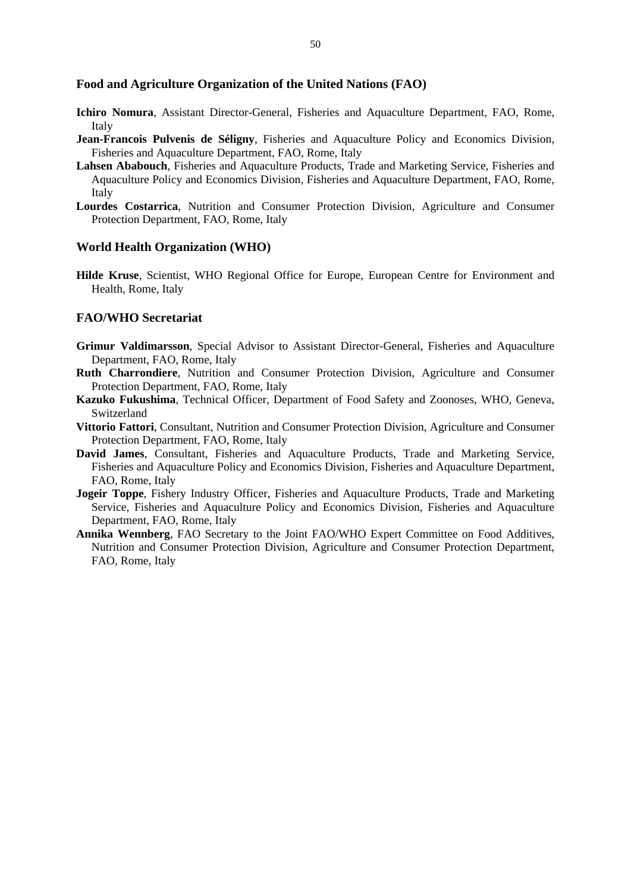#### **Food and Agriculture Organization of the United Nations (FAO)**

- **Ichiro Nomura**, Assistant Director-General, Fisheries and Aquaculture Department, FAO, Rome, Italy
- **Jean-Francois Pulvenis de Séligny**, Fisheries and Aquaculture Policy and Economics Division, Fisheries and Aquaculture Department, FAO, Rome, Italy
- **Lahsen Ababouch**, Fisheries and Aquaculture Products, Trade and Marketing Service, Fisheries and Aquaculture Policy and Economics Division, Fisheries and Aquaculture Department, FAO, Rome, Italy
- **Lourdes Costarrica**, Nutrition and Consumer Protection Division, Agriculture and Consumer Protection Department, FAO, Rome, Italy

#### **World Health Organization (WHO)**

**Hilde Kruse**, Scientist, WHO Regional Office for Europe, European Centre for Environment and Health, Rome, Italy

#### **FAO/WHO Secretariat**

- **Grimur Valdimarsson**, Special Advisor to Assistant Director-General, Fisheries and Aquaculture Department, FAO, Rome, Italy
- **Ruth Charrondiere**, Nutrition and Consumer Protection Division, Agriculture and Consumer Protection Department, FAO, Rome, Italy
- **Kazuko Fukushima**, Technical Officer, Department of Food Safety and Zoonoses, WHO, Geneva, Switzerland
- **Vittorio Fattori**, Consultant, Nutrition and Consumer Protection Division, Agriculture and Consumer Protection Department, FAO, Rome, Italy
- **David James**, Consultant, Fisheries and Aquaculture Products, Trade and Marketing Service, Fisheries and Aquaculture Policy and Economics Division, Fisheries and Aquaculture Department, FAO, Rome, Italy
- **Jogeir Toppe**, Fishery Industry Officer, Fisheries and Aquaculture Products, Trade and Marketing Service, Fisheries and Aquaculture Policy and Economics Division, Fisheries and Aquaculture Department, FAO, Rome, Italy
- **Annika Wennberg**, FAO Secretary to the Joint FAO/WHO Expert Committee on Food Additives, Nutrition and Consumer Protection Division, Agriculture and Consumer Protection Department, FAO, Rome, Italy